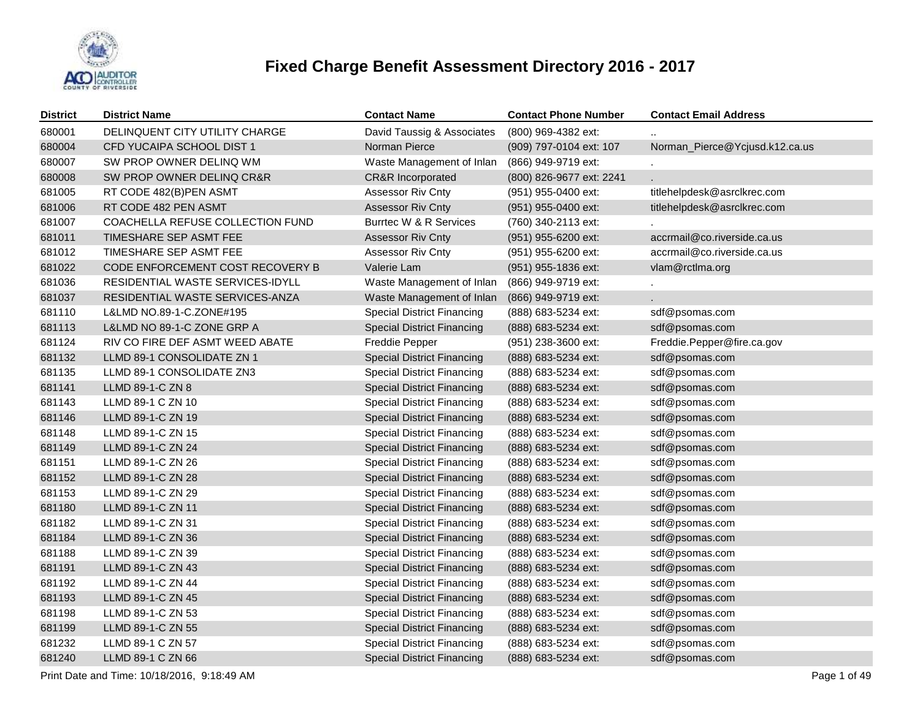

| <b>District</b> | <b>District Name</b>             | <b>Contact Name</b>               | <b>Contact Phone Number</b> | <b>Contact Email Address</b>   |
|-----------------|----------------------------------|-----------------------------------|-----------------------------|--------------------------------|
| 680001          | DELINQUENT CITY UTILITY CHARGE   | David Taussig & Associates        | (800) 969-4382 ext:         |                                |
| 680004          | CFD YUCAIPA SCHOOL DIST 1        | Norman Pierce                     | (909) 797-0104 ext: 107     | Norman_Pierce@Ycjusd.k12.ca.us |
| 680007          | SW PROP OWNER DELINQ WM          | Waste Management of Inlan         | (866) 949-9719 ext:         |                                |
| 680008          | SW PROP OWNER DELINQ CR&R        | <b>CR&amp;R</b> Incorporated      | (800) 826-9677 ext: 2241    | L.                             |
| 681005          | RT CODE 482(B)PEN ASMT           | <b>Assessor Riv Cnty</b>          | (951) 955-0400 ext:         | titlehelpdesk@asrclkrec.com    |
| 681006          | RT CODE 482 PEN ASMT             | <b>Assessor Riv Cnty</b>          | (951) 955-0400 ext:         | titlehelpdesk@asrclkrec.com    |
| 681007          | COACHELLA REFUSE COLLECTION FUND | Burrtec W & R Services            | (760) 340-2113 ext:         |                                |
| 681011          | TIMESHARE SEP ASMT FEE           | <b>Assessor Riv Cnty</b>          | (951) 955-6200 ext:         | accrmail@co.riverside.ca.us    |
| 681012          | TIMESHARE SEP ASMT FEE           | Assessor Riv Cnty                 | (951) 955-6200 ext:         | accrmail@co.riverside.ca.us    |
| 681022          | CODE ENFORCEMENT COST RECOVERY B | Valerie Lam                       | (951) 955-1836 ext:         | vlam@rctlma.org                |
| 681036          | RESIDENTIAL WASTE SERVICES-IDYLL | Waste Management of Inlan         | (866) 949-9719 ext:         |                                |
| 681037          | RESIDENTIAL WASTE SERVICES-ANZA  | Waste Management of Inlan         | (866) 949-9719 ext:         |                                |
| 681110          | L&LMD NO.89-1-C.ZONE#195         | <b>Special District Financing</b> | (888) 683-5234 ext:         | sdf@psomas.com                 |
| 681113          | L&LMD NO 89-1-C ZONE GRP A       | <b>Special District Financing</b> | (888) 683-5234 ext:         | sdf@psomas.com                 |
| 681124          | RIV CO FIRE DEF ASMT WEED ABATE  | Freddie Pepper                    | (951) 238-3600 ext:         | Freddie.Pepper@fire.ca.gov     |
| 681132          | LLMD 89-1 CONSOLIDATE ZN 1       | <b>Special District Financing</b> | (888) 683-5234 ext:         | sdf@psomas.com                 |
| 681135          | LLMD 89-1 CONSOLIDATE ZN3        | <b>Special District Financing</b> | (888) 683-5234 ext:         | sdf@psomas.com                 |
| 681141          | LLMD 89-1-C ZN 8                 | <b>Special District Financing</b> | (888) 683-5234 ext:         | sdf@psomas.com                 |
| 681143          | LLMD 89-1 C ZN 10                | <b>Special District Financing</b> | (888) 683-5234 ext:         | sdf@psomas.com                 |
| 681146          | LLMD 89-1-C ZN 19                | <b>Special District Financing</b> | (888) 683-5234 ext:         | sdf@psomas.com                 |
| 681148          | LLMD 89-1-C ZN 15                | <b>Special District Financing</b> | (888) 683-5234 ext:         | sdf@psomas.com                 |
| 681149          | LLMD 89-1-C ZN 24                | <b>Special District Financing</b> | (888) 683-5234 ext:         | sdf@psomas.com                 |
| 681151          | LLMD 89-1-C ZN 26                | <b>Special District Financing</b> | (888) 683-5234 ext:         | sdf@psomas.com                 |
| 681152          | LLMD 89-1-C ZN 28                | <b>Special District Financing</b> | (888) 683-5234 ext:         | sdf@psomas.com                 |
| 681153          | LLMD 89-1-C ZN 29                | <b>Special District Financing</b> | (888) 683-5234 ext:         | sdf@psomas.com                 |
| 681180          | LLMD 89-1-C ZN 11                | <b>Special District Financing</b> | (888) 683-5234 ext:         | sdf@psomas.com                 |
| 681182          | LLMD 89-1-C ZN 31                | <b>Special District Financing</b> | (888) 683-5234 ext:         | sdf@psomas.com                 |
| 681184          | LLMD 89-1-C ZN 36                | <b>Special District Financing</b> | (888) 683-5234 ext:         | sdf@psomas.com                 |
| 681188          | LLMD 89-1-C ZN 39                | <b>Special District Financing</b> | (888) 683-5234 ext:         | sdf@psomas.com                 |
| 681191          | LLMD 89-1-C ZN 43                | <b>Special District Financing</b> | (888) 683-5234 ext:         | sdf@psomas.com                 |
| 681192          | LLMD 89-1-C ZN 44                | <b>Special District Financing</b> | (888) 683-5234 ext:         | sdf@psomas.com                 |
| 681193          | LLMD 89-1-C ZN 45                | <b>Special District Financing</b> | (888) 683-5234 ext:         | sdf@psomas.com                 |
| 681198          | LLMD 89-1-C ZN 53                | <b>Special District Financing</b> | (888) 683-5234 ext:         | sdf@psomas.com                 |
| 681199          | LLMD 89-1-C ZN 55                | <b>Special District Financing</b> | (888) 683-5234 ext:         | sdf@psomas.com                 |
| 681232          | LLMD 89-1 C ZN 57                | <b>Special District Financing</b> | (888) 683-5234 ext:         | sdf@psomas.com                 |
| 681240          | LLMD 89-1 C ZN 66                | <b>Special District Financing</b> | (888) 683-5234 ext:         | sdf@psomas.com                 |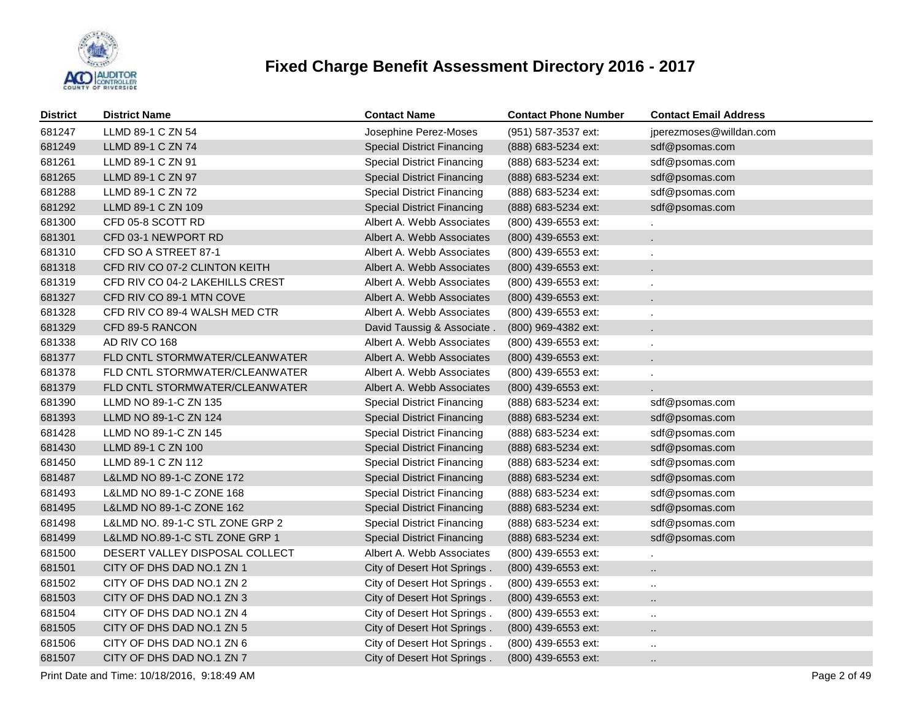

| <b>District</b> | <b>District Name</b>            | <b>Contact Name</b>               | <b>Contact Phone Number</b> | <b>Contact Email Address</b> |
|-----------------|---------------------------------|-----------------------------------|-----------------------------|------------------------------|
| 681247          | LLMD 89-1 C ZN 54               | Josephine Perez-Moses             | (951) 587-3537 ext:         | jperezmoses@willdan.com      |
| 681249          | LLMD 89-1 C ZN 74               | <b>Special District Financing</b> | (888) 683-5234 ext:         | sdf@psomas.com               |
| 681261          | LLMD 89-1 C ZN 91               | <b>Special District Financing</b> | (888) 683-5234 ext:         | sdf@psomas.com               |
| 681265          | LLMD 89-1 C ZN 97               | <b>Special District Financing</b> | (888) 683-5234 ext:         | sdf@psomas.com               |
| 681288          | LLMD 89-1 C ZN 72               | <b>Special District Financing</b> | (888) 683-5234 ext:         | sdf@psomas.com               |
| 681292          | LLMD 89-1 C ZN 109              | <b>Special District Financing</b> | (888) 683-5234 ext:         | sdf@psomas.com               |
| 681300          | CFD 05-8 SCOTT RD               | Albert A. Webb Associates         | (800) 439-6553 ext:         |                              |
| 681301          | CFD 03-1 NEWPORT RD             | Albert A. Webb Associates         | (800) 439-6553 ext:         | $\epsilon$                   |
| 681310          | CFD SO A STREET 87-1            | Albert A. Webb Associates         | (800) 439-6553 ext:         | $\mathbf{r}$                 |
| 681318          | CFD RIV CO 07-2 CLINTON KEITH   | Albert A. Webb Associates         | (800) 439-6553 ext:         | $\epsilon$                   |
| 681319          | CFD RIV CO 04-2 LAKEHILLS CREST | Albert A. Webb Associates         | (800) 439-6553 ext:         | $\mathbf{r}$                 |
| 681327          | CFD RIV CO 89-1 MTN COVE        | Albert A. Webb Associates         | (800) 439-6553 ext:         | $\mathbf{r}$                 |
| 681328          | CFD RIV CO 89-4 WALSH MED CTR   | Albert A. Webb Associates         | (800) 439-6553 ext:         | $\mathbf{r}$                 |
| 681329          | CFD 89-5 RANCON                 | David Taussig & Associate.        | (800) 969-4382 ext:         | $\mathbf{r}$                 |
| 681338          | AD RIV CO 168                   | Albert A. Webb Associates         | (800) 439-6553 ext:         | $\epsilon$                   |
| 681377          | FLD CNTL STORMWATER/CLEANWATER  | Albert A. Webb Associates         | (800) 439-6553 ext:         | $\mathbf{r}$                 |
| 681378          | FLD CNTL STORMWATER/CLEANWATER  | Albert A. Webb Associates         | (800) 439-6553 ext:         |                              |
| 681379          | FLD CNTL STORMWATER/CLEANWATER  | Albert A. Webb Associates         | (800) 439-6553 ext:         |                              |
| 681390          | LLMD NO 89-1-C ZN 135           | <b>Special District Financing</b> | (888) 683-5234 ext:         | sdf@psomas.com               |
| 681393          | LLMD NO 89-1-C ZN 124           | <b>Special District Financing</b> | (888) 683-5234 ext:         | sdf@psomas.com               |
| 681428          | LLMD NO 89-1-C ZN 145           | <b>Special District Financing</b> | (888) 683-5234 ext:         | sdf@psomas.com               |
| 681430          | LLMD 89-1 C ZN 100              | <b>Special District Financing</b> | (888) 683-5234 ext:         | sdf@psomas.com               |
| 681450          | LLMD 89-1 C ZN 112              | <b>Special District Financing</b> | (888) 683-5234 ext:         | sdf@psomas.com               |
| 681487          | L&LMD NO 89-1-C ZONE 172        | <b>Special District Financing</b> | (888) 683-5234 ext:         | sdf@psomas.com               |
| 681493          | L&LMD NO 89-1-C ZONE 168        | <b>Special District Financing</b> | (888) 683-5234 ext:         | sdf@psomas.com               |
| 681495          | L&LMD NO 89-1-C ZONE 162        | <b>Special District Financing</b> | (888) 683-5234 ext:         | sdf@psomas.com               |
| 681498          | L&LMD NO. 89-1-C STL ZONE GRP 2 | <b>Special District Financing</b> | (888) 683-5234 ext:         | sdf@psomas.com               |
| 681499          | L&LMD NO.89-1-C STL ZONE GRP 1  | <b>Special District Financing</b> | (888) 683-5234 ext:         | sdf@psomas.com               |
| 681500          | DESERT VALLEY DISPOSAL COLLECT  | Albert A. Webb Associates         | (800) 439-6553 ext:         |                              |
| 681501          | CITY OF DHS DAD NO.1 ZN 1       | City of Desert Hot Springs.       | (800) 439-6553 ext:         | $\ddot{\phantom{a}}$         |
| 681502          | CITY OF DHS DAD NO.1 ZN 2       | City of Desert Hot Springs.       | (800) 439-6553 ext:         | $\sim$                       |
| 681503          | CITY OF DHS DAD NO.1 ZN 3       | City of Desert Hot Springs.       | (800) 439-6553 ext:         | $\sim$                       |
| 681504          | CITY OF DHS DAD NO.1 ZN 4       | City of Desert Hot Springs.       | (800) 439-6553 ext:         | $\sim$                       |
| 681505          | CITY OF DHS DAD NO.1 ZN 5       | City of Desert Hot Springs.       | (800) 439-6553 ext:         | $\cdot$ .                    |
| 681506          | CITY OF DHS DAD NO.1 ZN 6       | City of Desert Hot Springs.       | (800) 439-6553 ext:         | $\ddotsc$                    |
| 681507          | CITY OF DHS DAD NO.1 ZN 7       | City of Desert Hot Springs.       | (800) 439-6553 ext:         | $\ddot{\phantom{a}}$         |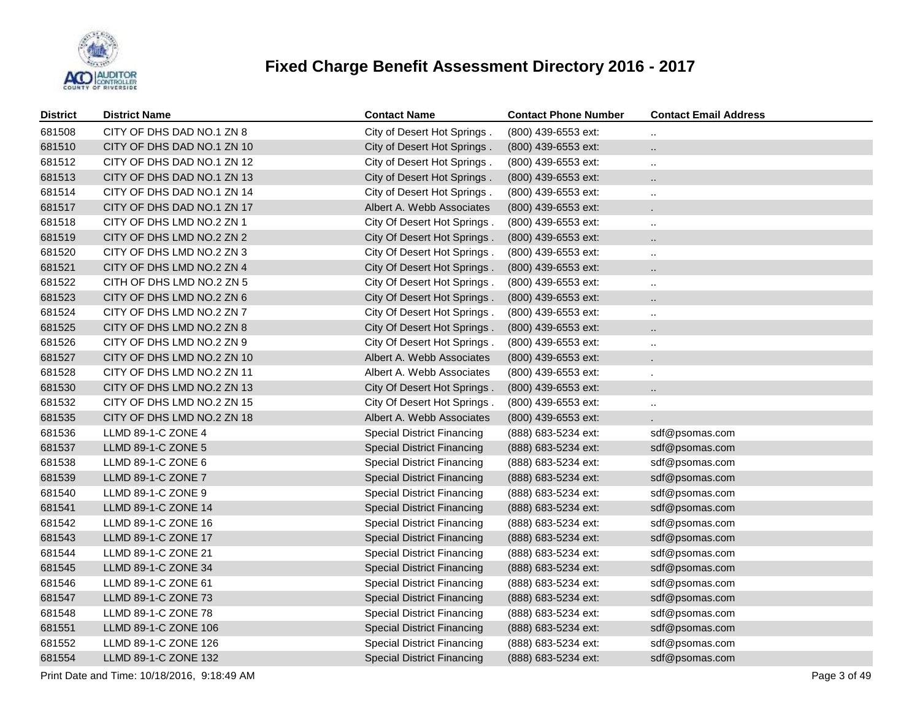

| <b>District</b> | <b>District Name</b>       | <b>Contact Name</b>               | <b>Contact Phone Number</b> | <b>Contact Email Address</b> |
|-----------------|----------------------------|-----------------------------------|-----------------------------|------------------------------|
| 681508          | CITY OF DHS DAD NO.1 ZN 8  | City of Desert Hot Springs.       | (800) 439-6553 ext:         |                              |
| 681510          | CITY OF DHS DAD NO.1 ZN 10 | City of Desert Hot Springs.       | (800) 439-6553 ext:         | $\ddotsc$                    |
| 681512          | CITY OF DHS DAD NO.1 ZN 12 | City of Desert Hot Springs.       | (800) 439-6553 ext:         | ٠.                           |
| 681513          | CITY OF DHS DAD NO.1 ZN 13 | City of Desert Hot Springs.       | (800) 439-6553 ext:         | $\ddotsc$                    |
| 681514          | CITY OF DHS DAD NO.1 ZN 14 | City of Desert Hot Springs.       | (800) 439-6553 ext:         |                              |
| 681517          | CITY OF DHS DAD NO.1 ZN 17 | Albert A. Webb Associates         | (800) 439-6553 ext:         | $\mathbf{r}$                 |
| 681518          | CITY OF DHS LMD NO.2 ZN 1  | City Of Desert Hot Springs.       | (800) 439-6553 ext:         |                              |
| 681519          | CITY OF DHS LMD NO.2 ZN 2  | City Of Desert Hot Springs.       | (800) 439-6553 ext:         | $\ddotsc$                    |
| 681520          | CITY OF DHS LMD NO.2 ZN 3  | City Of Desert Hot Springs.       | (800) 439-6553 ext:         |                              |
| 681521          | CITY OF DHS LMD NO.2 ZN 4  | City Of Desert Hot Springs.       | (800) 439-6553 ext:         | $\ddotsc$                    |
| 681522          | CITH OF DHS LMD NO.2 ZN 5  | City Of Desert Hot Springs.       | (800) 439-6553 ext:         |                              |
| 681523          | CITY OF DHS LMD NO.2 ZN 6  | City Of Desert Hot Springs.       | (800) 439-6553 ext:         | $\ddotsc$                    |
| 681524          | CITY OF DHS LMD NO.2 ZN 7  | City Of Desert Hot Springs.       | (800) 439-6553 ext:         |                              |
| 681525          | CITY OF DHS LMD NO.2 ZN 8  | City Of Desert Hot Springs.       | (800) 439-6553 ext:         | Ω.                           |
| 681526          | CITY OF DHS LMD NO.2 ZN 9  | City Of Desert Hot Springs.       | (800) 439-6553 ext:         |                              |
| 681527          | CITY OF DHS LMD NO.2 ZN 10 | Albert A. Webb Associates         | (800) 439-6553 ext:         | $\mathbf{r}$                 |
| 681528          | CITY OF DHS LMD NO.2 ZN 11 | Albert A. Webb Associates         | (800) 439-6553 ext:         | ä,                           |
| 681530          | CITY OF DHS LMD NO.2 ZN 13 | City Of Desert Hot Springs.       | (800) 439-6553 ext:         | Ω.                           |
| 681532          | CITY OF DHS LMD NO.2 ZN 15 | City Of Desert Hot Springs.       | (800) 439-6553 ext:         |                              |
| 681535          | CITY OF DHS LMD NO.2 ZN 18 | Albert A. Webb Associates         | (800) 439-6553 ext:         |                              |
| 681536          | LLMD 89-1-C ZONE 4         | <b>Special District Financing</b> | (888) 683-5234 ext:         | sdf@psomas.com               |
| 681537          | LLMD 89-1-C ZONE 5         | <b>Special District Financing</b> | (888) 683-5234 ext:         | sdf@psomas.com               |
| 681538          | LLMD 89-1-C ZONE 6         | <b>Special District Financing</b> | (888) 683-5234 ext:         | sdf@psomas.com               |
| 681539          | LLMD 89-1-C ZONE 7         | <b>Special District Financing</b> | (888) 683-5234 ext:         | sdf@psomas.com               |
| 681540          | LLMD 89-1-C ZONE 9         | <b>Special District Financing</b> | (888) 683-5234 ext:         | sdf@psomas.com               |
| 681541          | LLMD 89-1-C ZONE 14        | <b>Special District Financing</b> | (888) 683-5234 ext:         | sdf@psomas.com               |
| 681542          | LLMD 89-1-C ZONE 16        | <b>Special District Financing</b> | (888) 683-5234 ext:         | sdf@psomas.com               |
| 681543          | LLMD 89-1-C ZONE 17        | <b>Special District Financing</b> | (888) 683-5234 ext:         | sdf@psomas.com               |
| 681544          | LLMD 89-1-C ZONE 21        | <b>Special District Financing</b> | (888) 683-5234 ext:         | sdf@psomas.com               |
| 681545          | LLMD 89-1-C ZONE 34        | <b>Special District Financing</b> | (888) 683-5234 ext:         | sdf@psomas.com               |
| 681546          | LLMD 89-1-C ZONE 61        | <b>Special District Financing</b> | (888) 683-5234 ext:         | sdf@psomas.com               |
| 681547          | LLMD 89-1-C ZONE 73        | <b>Special District Financing</b> | (888) 683-5234 ext:         | sdf@psomas.com               |
| 681548          | LLMD 89-1-C ZONE 78        | <b>Special District Financing</b> | (888) 683-5234 ext:         | sdf@psomas.com               |
| 681551          | LLMD 89-1-C ZONE 106       | <b>Special District Financing</b> | (888) 683-5234 ext:         | sdf@psomas.com               |
| 681552          | LLMD 89-1-C ZONE 126       | <b>Special District Financing</b> | (888) 683-5234 ext:         | sdf@psomas.com               |
| 681554          | LLMD 89-1-C ZONE 132       | <b>Special District Financing</b> | (888) 683-5234 ext:         | sdf@psomas.com               |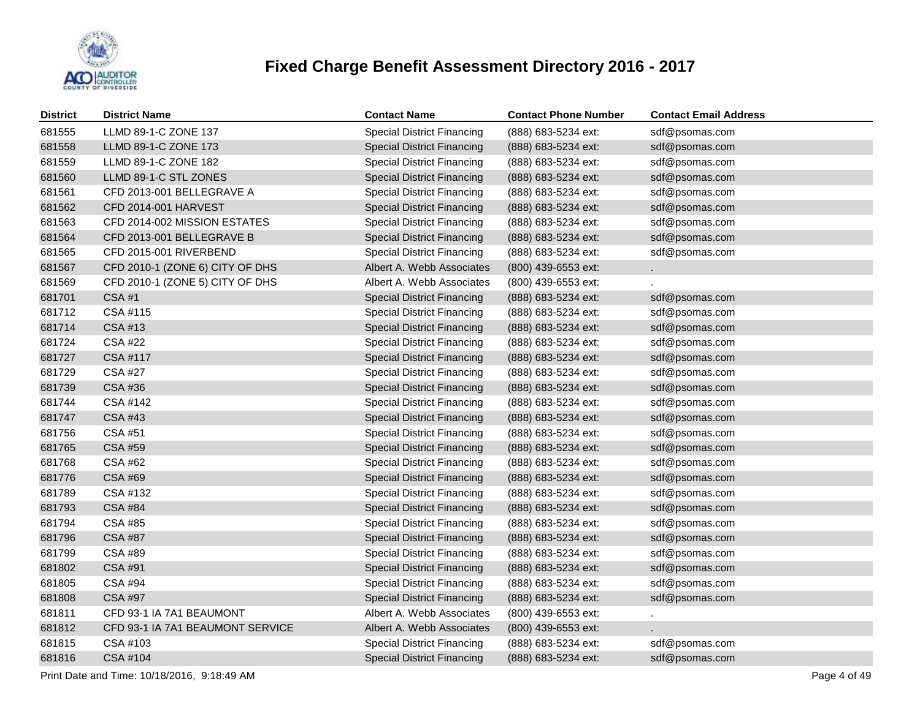

| <b>District</b> | <b>District Name</b>             | <b>Contact Name</b>               | <b>Contact Phone Number</b> | <b>Contact Email Address</b> |
|-----------------|----------------------------------|-----------------------------------|-----------------------------|------------------------------|
| 681555          | LLMD 89-1-C ZONE 137             | <b>Special District Financing</b> | (888) 683-5234 ext:         | sdf@psomas.com               |
| 681558          | LLMD 89-1-C ZONE 173             | <b>Special District Financing</b> | (888) 683-5234 ext:         | sdf@psomas.com               |
| 681559          | LLMD 89-1-C ZONE 182             | <b>Special District Financing</b> | (888) 683-5234 ext:         | sdf@psomas.com               |
| 681560          | LLMD 89-1-C STL ZONES            | <b>Special District Financing</b> | (888) 683-5234 ext:         | sdf@psomas.com               |
| 681561          | CFD 2013-001 BELLEGRAVE A        | <b>Special District Financing</b> | (888) 683-5234 ext:         | sdf@psomas.com               |
| 681562          | CFD 2014-001 HARVEST             | <b>Special District Financing</b> | (888) 683-5234 ext:         | sdf@psomas.com               |
| 681563          | CFD 2014-002 MISSION ESTATES     | <b>Special District Financing</b> | (888) 683-5234 ext:         | sdf@psomas.com               |
| 681564          | CFD 2013-001 BELLEGRAVE B        | <b>Special District Financing</b> | (888) 683-5234 ext:         | sdf@psomas.com               |
| 681565          | CFD 2015-001 RIVERBEND           | <b>Special District Financing</b> | (888) 683-5234 ext:         | sdf@psomas.com               |
| 681567          | CFD 2010-1 (ZONE 6) CITY OF DHS  | Albert A. Webb Associates         | (800) 439-6553 ext:         |                              |
| 681569          | CFD 2010-1 (ZONE 5) CITY OF DHS  | Albert A. Webb Associates         | (800) 439-6553 ext:         |                              |
| 681701          | <b>CSA#1</b>                     | <b>Special District Financing</b> | (888) 683-5234 ext:         | sdf@psomas.com               |
| 681712          | CSA #115                         | <b>Special District Financing</b> | (888) 683-5234 ext:         | sdf@psomas.com               |
| 681714          | <b>CSA #13</b>                   | <b>Special District Financing</b> | (888) 683-5234 ext:         | sdf@psomas.com               |
| 681724          | <b>CSA #22</b>                   | <b>Special District Financing</b> | (888) 683-5234 ext:         | sdf@psomas.com               |
| 681727          | CSA #117                         | <b>Special District Financing</b> | (888) 683-5234 ext:         | sdf@psomas.com               |
| 681729          | <b>CSA #27</b>                   | <b>Special District Financing</b> | (888) 683-5234 ext:         | sdf@psomas.com               |
| 681739          | <b>CSA #36</b>                   | <b>Special District Financing</b> | (888) 683-5234 ext:         | sdf@psomas.com               |
| 681744          | CSA #142                         | <b>Special District Financing</b> | (888) 683-5234 ext:         | sdf@psomas.com               |
| 681747          | <b>CSA #43</b>                   | <b>Special District Financing</b> | (888) 683-5234 ext:         | sdf@psomas.com               |
| 681756          | CSA #51                          | <b>Special District Financing</b> | (888) 683-5234 ext:         | sdf@psomas.com               |
| 681765          | <b>CSA #59</b>                   | <b>Special District Financing</b> | (888) 683-5234 ext:         | sdf@psomas.com               |
| 681768          | CSA #62                          | <b>Special District Financing</b> | (888) 683-5234 ext:         | sdf@psomas.com               |
| 681776          | <b>CSA #69</b>                   | <b>Special District Financing</b> | (888) 683-5234 ext:         | sdf@psomas.com               |
| 681789          | CSA #132                         | <b>Special District Financing</b> | (888) 683-5234 ext:         | sdf@psomas.com               |
| 681793          | <b>CSA #84</b>                   | <b>Special District Financing</b> | (888) 683-5234 ext:         | sdf@psomas.com               |
| 681794          | <b>CSA #85</b>                   | <b>Special District Financing</b> | (888) 683-5234 ext:         | sdf@psomas.com               |
| 681796          | <b>CSA #87</b>                   | <b>Special District Financing</b> | (888) 683-5234 ext:         | sdf@psomas.com               |
| 681799          | CSA #89                          | <b>Special District Financing</b> | (888) 683-5234 ext:         | sdf@psomas.com               |
| 681802          | CSA #91                          | <b>Special District Financing</b> | (888) 683-5234 ext:         | sdf@psomas.com               |
| 681805          | CSA #94                          | <b>Special District Financing</b> | (888) 683-5234 ext:         | sdf@psomas.com               |
| 681808          | <b>CSA #97</b>                   | <b>Special District Financing</b> | (888) 683-5234 ext:         | sdf@psomas.com               |
| 681811          | CFD 93-1 IA 7A1 BEAUMONT         | Albert A. Webb Associates         | (800) 439-6553 ext:         | $\blacksquare$               |
| 681812          | CFD 93-1 IA 7A1 BEAUMONT SERVICE | Albert A. Webb Associates         | (800) 439-6553 ext:         |                              |
| 681815          | CSA #103                         | <b>Special District Financing</b> | (888) 683-5234 ext:         | sdf@psomas.com               |
| 681816          | CSA #104                         | <b>Special District Financing</b> | (888) 683-5234 ext:         | sdf@psomas.com               |

Print Date and Time: 10/18/2016, 9:18:49 AM Page 4 of 49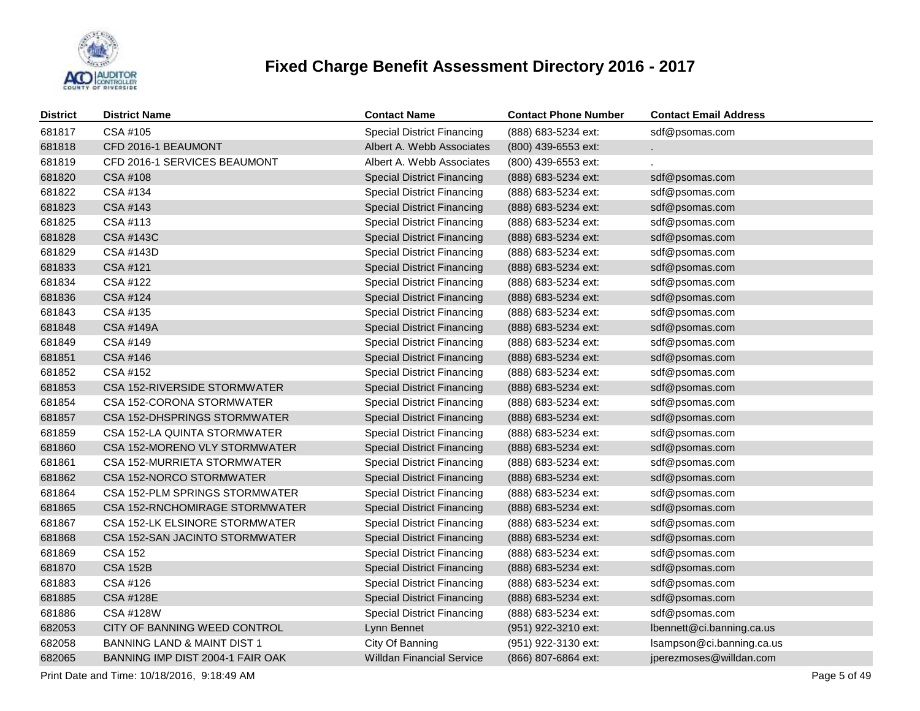

| <b>District</b> | <b>District Name</b>                   | <b>Contact Name</b>               | <b>Contact Phone Number</b> | <b>Contact Email Address</b> |
|-----------------|----------------------------------------|-----------------------------------|-----------------------------|------------------------------|
| 681817          | CSA #105                               | <b>Special District Financing</b> | (888) 683-5234 ext:         | sdf@psomas.com               |
| 681818          | CFD 2016-1 BEAUMONT                    | Albert A. Webb Associates         | (800) 439-6553 ext:         |                              |
| 681819          | CFD 2016-1 SERVICES BEAUMONT           | Albert A. Webb Associates         | (800) 439-6553 ext:         |                              |
| 681820          | CSA #108                               | <b>Special District Financing</b> | (888) 683-5234 ext:         | sdf@psomas.com               |
| 681822          | CSA #134                               | <b>Special District Financing</b> | (888) 683-5234 ext:         | sdf@psomas.com               |
| 681823          | CSA #143                               | <b>Special District Financing</b> | (888) 683-5234 ext:         | sdf@psomas.com               |
| 681825          | CSA #113                               | <b>Special District Financing</b> | (888) 683-5234 ext:         | sdf@psomas.com               |
| 681828          | <b>CSA #143C</b>                       | <b>Special District Financing</b> | (888) 683-5234 ext:         | sdf@psomas.com               |
| 681829          | CSA #143D                              | <b>Special District Financing</b> | (888) 683-5234 ext:         | sdf@psomas.com               |
| 681833          | CSA #121                               | <b>Special District Financing</b> | (888) 683-5234 ext:         | sdf@psomas.com               |
| 681834          | CSA #122                               | <b>Special District Financing</b> | (888) 683-5234 ext:         | sdf@psomas.com               |
| 681836          | CSA #124                               | <b>Special District Financing</b> | (888) 683-5234 ext:         | sdf@psomas.com               |
| 681843          | CSA #135                               | <b>Special District Financing</b> | (888) 683-5234 ext:         | sdf@psomas.com               |
| 681848          | <b>CSA #149A</b>                       | <b>Special District Financing</b> | (888) 683-5234 ext:         | sdf@psomas.com               |
| 681849          | CSA #149                               | <b>Special District Financing</b> | (888) 683-5234 ext:         | sdf@psomas.com               |
| 681851          | CSA #146                               | <b>Special District Financing</b> | (888) 683-5234 ext:         | sdf@psomas.com               |
| 681852          | CSA #152                               | <b>Special District Financing</b> | (888) 683-5234 ext:         | sdf@psomas.com               |
| 681853          | CSA 152-RIVERSIDE STORMWATER           | <b>Special District Financing</b> | (888) 683-5234 ext:         | sdf@psomas.com               |
| 681854          | CSA 152-CORONA STORMWATER              | <b>Special District Financing</b> | (888) 683-5234 ext:         | sdf@psomas.com               |
| 681857          | CSA 152-DHSPRINGS STORMWATER           | <b>Special District Financing</b> | (888) 683-5234 ext:         | sdf@psomas.com               |
| 681859          | CSA 152-LA QUINTA STORMWATER           | <b>Special District Financing</b> | (888) 683-5234 ext:         | sdf@psomas.com               |
| 681860          | CSA 152-MORENO VLY STORMWATER          | <b>Special District Financing</b> | (888) 683-5234 ext:         | sdf@psomas.com               |
| 681861          | CSA 152-MURRIETA STORMWATER            | <b>Special District Financing</b> | (888) 683-5234 ext:         | sdf@psomas.com               |
| 681862          | CSA 152-NORCO STORMWATER               | <b>Special District Financing</b> | (888) 683-5234 ext:         | sdf@psomas.com               |
| 681864          | CSA 152-PLM SPRINGS STORMWATER         | <b>Special District Financing</b> | (888) 683-5234 ext:         | sdf@psomas.com               |
| 681865          | CSA 152-RNCHOMIRAGE STORMWATER         | <b>Special District Financing</b> | (888) 683-5234 ext:         | sdf@psomas.com               |
| 681867          | CSA 152-LK ELSINORE STORMWATER         | <b>Special District Financing</b> | (888) 683-5234 ext:         | sdf@psomas.com               |
| 681868          | CSA 152-SAN JACINTO STORMWATER         | <b>Special District Financing</b> | (888) 683-5234 ext:         | sdf@psomas.com               |
| 681869          | <b>CSA 152</b>                         | <b>Special District Financing</b> | (888) 683-5234 ext:         | sdf@psomas.com               |
| 681870          | <b>CSA 152B</b>                        | <b>Special District Financing</b> | (888) 683-5234 ext:         | sdf@psomas.com               |
| 681883          | CSA #126                               | <b>Special District Financing</b> | (888) 683-5234 ext:         | sdf@psomas.com               |
| 681885          | <b>CSA #128E</b>                       | <b>Special District Financing</b> | (888) 683-5234 ext:         | sdf@psomas.com               |
| 681886          | CSA #128W                              | <b>Special District Financing</b> | (888) 683-5234 ext:         | sdf@psomas.com               |
| 682053          | CITY OF BANNING WEED CONTROL           | Lynn Bennet                       | (951) 922-3210 ext:         | Ibennett@ci.banning.ca.us    |
| 682058          | <b>BANNING LAND &amp; MAINT DIST 1</b> | City Of Banning                   | (951) 922-3130 ext:         | Isampson@ci.banning.ca.us    |
| 682065          | BANNING IMP DIST 2004-1 FAIR OAK       | <b>Willdan Financial Service</b>  | (866) 807-6864 ext:         | jperezmoses@willdan.com      |

Print Date and Time: 10/18/2016, 9:18:49 AM Page 5 of 49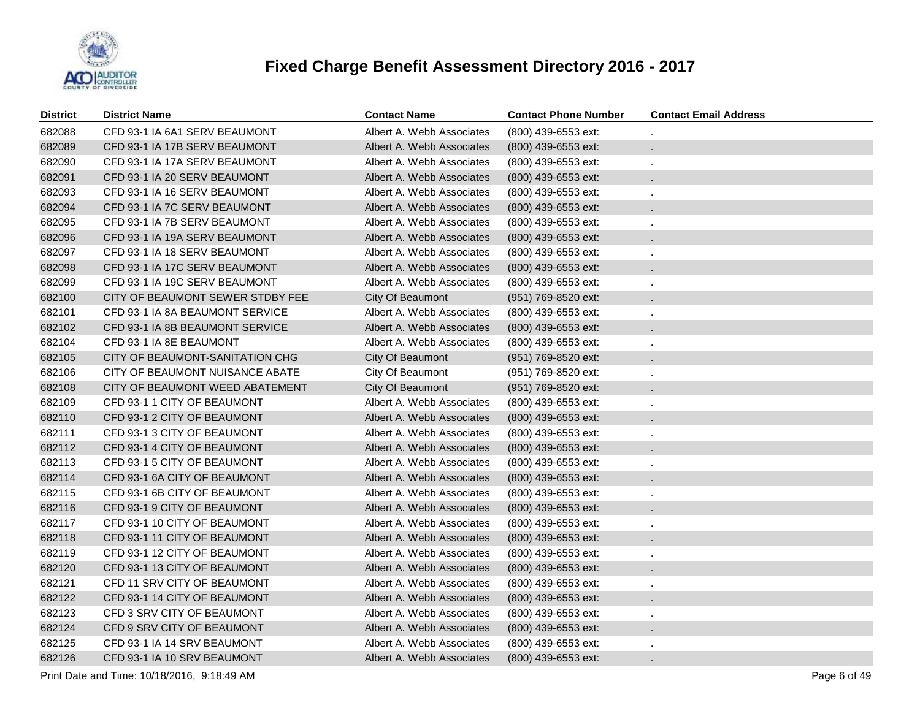

| District | <b>District Name</b>             | <b>Contact Name</b>       | <b>Contact Phone Number</b> | <b>Contact Email Address</b> |
|----------|----------------------------------|---------------------------|-----------------------------|------------------------------|
| 682088   | CFD 93-1 IA 6A1 SERV BEAUMONT    | Albert A. Webb Associates | (800) 439-6553 ext:         |                              |
| 682089   | CFD 93-1 IA 17B SERV BEAUMONT    | Albert A. Webb Associates | (800) 439-6553 ext:         | $\mathbf{r}$                 |
| 682090   | CFD 93-1 IA 17A SERV BEAUMONT    | Albert A. Webb Associates | (800) 439-6553 ext:         | ä,                           |
| 682091   | CFD 93-1 IA 20 SERV BEAUMONT     | Albert A. Webb Associates | (800) 439-6553 ext:         |                              |
| 682093   | CFD 93-1 IA 16 SERV BEAUMONT     | Albert A. Webb Associates | (800) 439-6553 ext:         | ä,                           |
| 682094   | CFD 93-1 IA 7C SERV BEAUMONT     | Albert A. Webb Associates | (800) 439-6553 ext:         |                              |
| 682095   | CFD 93-1 IA 7B SERV BEAUMONT     | Albert A. Webb Associates | (800) 439-6553 ext:         | ä,                           |
| 682096   | CFD 93-1 IA 19A SERV BEAUMONT    | Albert A. Webb Associates | (800) 439-6553 ext:         |                              |
| 682097   | CFD 93-1 IA 18 SERV BEAUMONT     | Albert A. Webb Associates | (800) 439-6553 ext:         | ä,                           |
| 682098   | CFD 93-1 IA 17C SERV BEAUMONT    | Albert A. Webb Associates | $(800)$ 439-6553 ext:       |                              |
| 682099   | CFD 93-1 IA 19C SERV BEAUMONT    | Albert A. Webb Associates | (800) 439-6553 ext:         | ä,                           |
| 682100   | CITY OF BEAUMONT SEWER STDBY FEE | City Of Beaumont          | (951) 769-8520 ext:         | $\mathbf{r}$                 |
| 682101   | CFD 93-1 IA 8A BEAUMONT SERVICE  | Albert A. Webb Associates | (800) 439-6553 ext:         | ä,                           |
| 682102   | CFD 93-1 IA 8B BEAUMONT SERVICE  | Albert A. Webb Associates | $(800)$ 439-6553 ext:       | ×.                           |
| 682104   | CFD 93-1 IA 8E BEAUMONT          | Albert A. Webb Associates | (800) 439-6553 ext:         |                              |
| 682105   | CITY OF BEAUMONT-SANITATION CHG  | City Of Beaumont          | (951) 769-8520 ext:         | $\mathbf{r}$                 |
| 682106   | CITY OF BEAUMONT NUISANCE ABATE  | City Of Beaumont          | (951) 769-8520 ext:         |                              |
| 682108   | CITY OF BEAUMONT WEED ABATEMENT  | City Of Beaumont          | (951) 769-8520 ext:         | $\mathbf{r}$                 |
| 682109   | CFD 93-1 1 CITY OF BEAUMONT      | Albert A. Webb Associates | (800) 439-6553 ext:         |                              |
| 682110   | CFD 93-1 2 CITY OF BEAUMONT      | Albert A. Webb Associates | $(800)$ 439-6553 ext:       | $\mathbf{r}$                 |
| 682111   | CFD 93-1 3 CITY OF BEAUMONT      | Albert A. Webb Associates | (800) 439-6553 ext:         | ä,                           |
| 682112   | CFD 93-1 4 CITY OF BEAUMONT      | Albert A. Webb Associates | $(800)$ 439-6553 ext:       | ×.                           |
| 682113   | CFD 93-1 5 CITY OF BEAUMONT      | Albert A. Webb Associates | (800) 439-6553 ext:         | ä,                           |
| 682114   | CFD 93-1 6A CITY OF BEAUMONT     | Albert A. Webb Associates | (800) 439-6553 ext:         |                              |
| 682115   | CFD 93-1 6B CITY OF BEAUMONT     | Albert A. Webb Associates | (800) 439-6553 ext:         | $\epsilon$                   |
| 682116   | CFD 93-1 9 CITY OF BEAUMONT      | Albert A. Webb Associates | (800) 439-6553 ext:         | ×.                           |
| 682117   | CFD 93-1 10 CITY OF BEAUMONT     | Albert A. Webb Associates | (800) 439-6553 ext:         | $\epsilon$                   |
| 682118   | CFD 93-1 11 CITY OF BEAUMONT     | Albert A. Webb Associates | $(800)$ 439-6553 ext:       | $\mathbf{r}$                 |
| 682119   | CFD 93-1 12 CITY OF BEAUMONT     | Albert A. Webb Associates | (800) 439-6553 ext:         | ×,                           |
| 682120   | CFD 93-1 13 CITY OF BEAUMONT     | Albert A. Webb Associates | $(800)$ 439-6553 ext:       | ۰                            |
| 682121   | CFD 11 SRV CITY OF BEAUMONT      | Albert A. Webb Associates | (800) 439-6553 ext:         | ä,                           |
| 682122   | CFD 93-1 14 CITY OF BEAUMONT     | Albert A. Webb Associates | $(800)$ 439-6553 ext:       | ×.                           |
| 682123   | CFD 3 SRV CITY OF BEAUMONT       | Albert A. Webb Associates | (800) 439-6553 ext:         | ä,                           |
| 682124   | CFD 9 SRV CITY OF BEAUMONT       | Albert A. Webb Associates | $(800)$ 439-6553 ext:       | $\ddot{\phantom{0}}$         |
| 682125   | CFD 93-1 IA 14 SRV BEAUMONT      | Albert A. Webb Associates | (800) 439-6553 ext:         |                              |
| 682126   | CFD 93-1 IA 10 SRV BEAUMONT      | Albert A. Webb Associates | (800) 439-6553 ext:         | $\mathbf{r}$                 |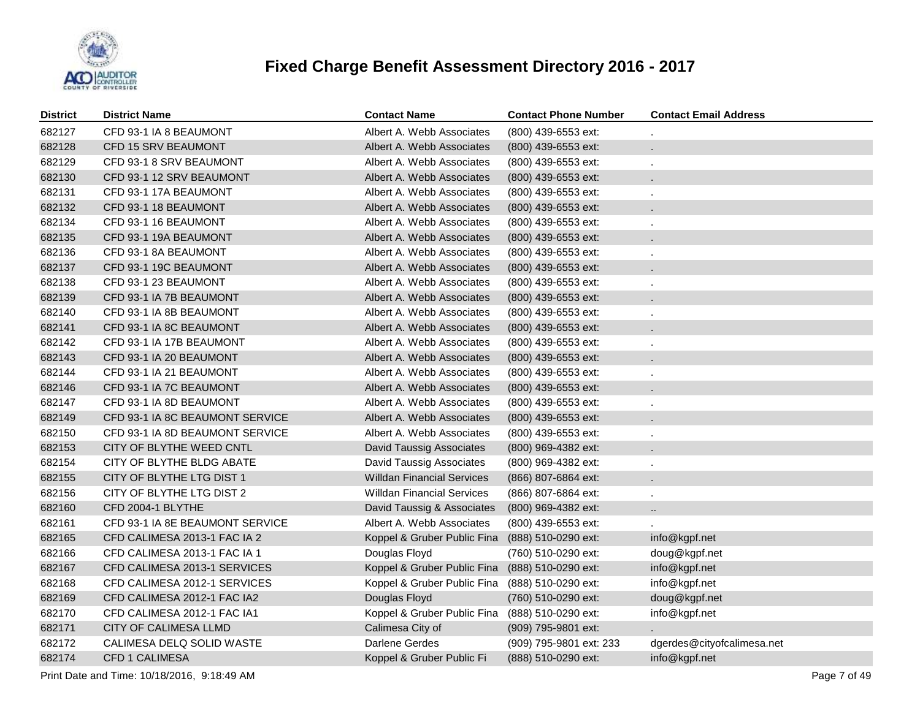

| <b>District</b> | <b>District Name</b>            | <b>Contact Name</b>               | <b>Contact Phone Number</b> | <b>Contact Email Address</b> |
|-----------------|---------------------------------|-----------------------------------|-----------------------------|------------------------------|
| 682127          | CFD 93-1 IA 8 BEAUMONT          | Albert A. Webb Associates         | (800) 439-6553 ext:         |                              |
| 682128          | CFD 15 SRV BEAUMONT             | Albert A. Webb Associates         | (800) 439-6553 ext:         | ÷.                           |
| 682129          | CFD 93-1 8 SRV BEAUMONT         | Albert A. Webb Associates         | (800) 439-6553 ext:         |                              |
| 682130          | CFD 93-1 12 SRV BEAUMONT        | Albert A. Webb Associates         | (800) 439-6553 ext:         | $\mathbf{r}$                 |
| 682131          | CFD 93-1 17A BEAUMONT           | Albert A. Webb Associates         | (800) 439-6553 ext:         | ä,                           |
| 682132          | CFD 93-1 18 BEAUMONT            | Albert A. Webb Associates         | (800) 439-6553 ext:         |                              |
| 682134          | CFD 93-1 16 BEAUMONT            | Albert A. Webb Associates         | (800) 439-6553 ext:         |                              |
| 682135          | CFD 93-1 19A BEAUMONT           | Albert A. Webb Associates         | (800) 439-6553 ext:         |                              |
| 682136          | CFD 93-1 8A BEAUMONT            | Albert A. Webb Associates         | (800) 439-6553 ext:         | ÷,                           |
| 682137          | CFD 93-1 19C BEAUMONT           | Albert A. Webb Associates         | (800) 439-6553 ext:         |                              |
| 682138          | CFD 93-1 23 BEAUMONT            | Albert A. Webb Associates         | (800) 439-6553 ext:         |                              |
| 682139          | CFD 93-1 IA 7B BEAUMONT         | Albert A. Webb Associates         | (800) 439-6553 ext:         |                              |
| 682140          | CFD 93-1 IA 8B BEAUMONT         | Albert A. Webb Associates         | (800) 439-6553 ext:         |                              |
| 682141          | CFD 93-1 IA 8C BEAUMONT         | Albert A. Webb Associates         | (800) 439-6553 ext:         |                              |
| 682142          | CFD 93-1 IA 17B BEAUMONT        | Albert A. Webb Associates         | (800) 439-6553 ext:         |                              |
| 682143          | CFD 93-1 IA 20 BEAUMONT         | Albert A. Webb Associates         | (800) 439-6553 ext:         |                              |
| 682144          | CFD 93-1 IA 21 BEAUMONT         | Albert A. Webb Associates         | (800) 439-6553 ext:         |                              |
| 682146          | CFD 93-1 IA 7C BEAUMONT         | Albert A. Webb Associates         | (800) 439-6553 ext:         |                              |
| 682147          | CFD 93-1 IA 8D BEAUMONT         | Albert A. Webb Associates         | (800) 439-6553 ext:         |                              |
| 682149          | CFD 93-1 IA 8C BEAUMONT SERVICE | Albert A. Webb Associates         | (800) 439-6553 ext:         |                              |
| 682150          | CFD 93-1 IA 8D BEAUMONT SERVICE | Albert A. Webb Associates         | (800) 439-6553 ext:         |                              |
| 682153          | CITY OF BLYTHE WEED CNTL        | David Taussig Associates          | (800) 969-4382 ext:         |                              |
| 682154          | CITY OF BLYTHE BLDG ABATE       | David Taussig Associates          | (800) 969-4382 ext:         |                              |
| 682155          | CITY OF BLYTHE LTG DIST 1       | <b>Willdan Financial Services</b> | (866) 807-6864 ext:         |                              |
| 682156          | CITY OF BLYTHE LTG DIST 2       | <b>Willdan Financial Services</b> | (866) 807-6864 ext:         |                              |
| 682160          | CFD 2004-1 BLYTHE               | David Taussig & Associates        | (800) 969-4382 ext:         | $\ldots$                     |
| 682161          | CFD 93-1 IA 8E BEAUMONT SERVICE | Albert A. Webb Associates         | (800) 439-6553 ext:         |                              |
| 682165          | CFD CALIMESA 2013-1 FAC IA 2    | Koppel & Gruber Public Fina       | (888) 510-0290 ext:         | info@kgpf.net                |
| 682166          | CFD CALIMESA 2013-1 FAC IA 1    | Douglas Floyd                     | (760) 510-0290 ext:         | doug@kgpf.net                |
| 682167          | CFD CALIMESA 2013-1 SERVICES    | Koppel & Gruber Public Fina       | (888) 510-0290 ext:         | info@kgpf.net                |
| 682168          | CFD CALIMESA 2012-1 SERVICES    | Koppel & Gruber Public Fina       | (888) 510-0290 ext:         | info@kgpf.net                |
| 682169          | CFD CALIMESA 2012-1 FAC IA2     | Douglas Floyd                     | (760) 510-0290 ext:         | doug@kgpf.net                |
| 682170          | CFD CALIMESA 2012-1 FAC IA1     | Koppel & Gruber Public Fina       | (888) 510-0290 ext:         | info@kgpf.net                |
| 682171          | CITY OF CALIMESA LLMD           | Calimesa City of                  | (909) 795-9801 ext:         |                              |
| 682172          | CALIMESA DELQ SOLID WASTE       | Darlene Gerdes                    | (909) 795-9801 ext: 233     | dgerdes@cityofcalimesa.net   |
| 682174          | CFD 1 CALIMESA                  | Koppel & Gruber Public Fi         | (888) 510-0290 ext:         | info@kgpf.net                |

Print Date and Time: 10/18/2016, 9:18:49 AM Page 7 of 49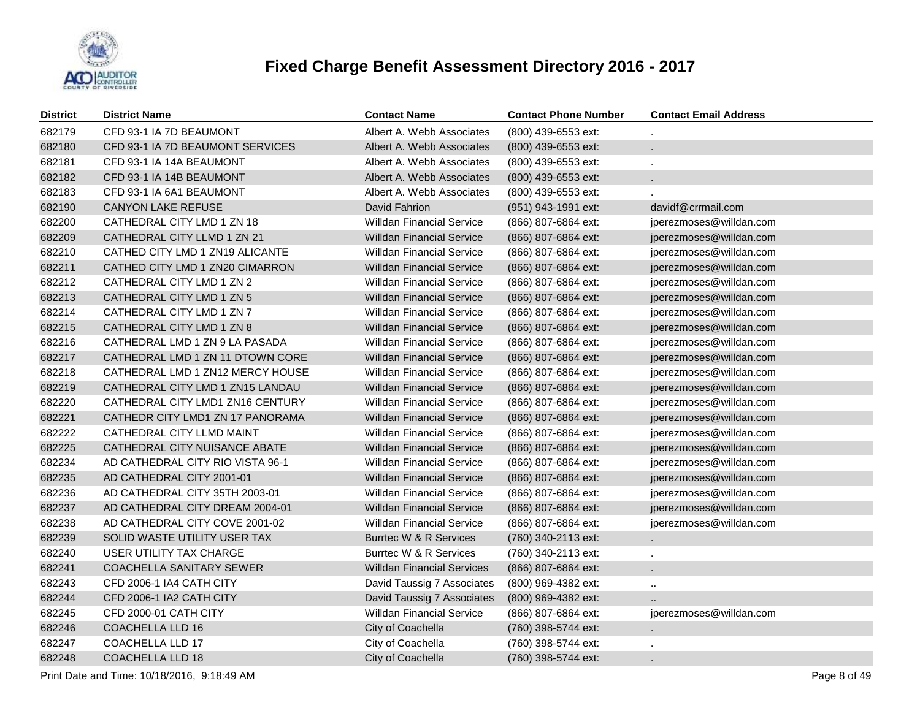

| <b>District</b> | <b>District Name</b>             | <b>Contact Name</b>               | <b>Contact Phone Number</b> | <b>Contact Email Address</b> |
|-----------------|----------------------------------|-----------------------------------|-----------------------------|------------------------------|
| 682179          | CFD 93-1 IA 7D BEAUMONT          | Albert A. Webb Associates         | (800) 439-6553 ext:         |                              |
| 682180          | CFD 93-1 IA 7D BEAUMONT SERVICES | Albert A. Webb Associates         | (800) 439-6553 ext:         | ÷                            |
| 682181          | CFD 93-1 IA 14A BEAUMONT         | Albert A. Webb Associates         | (800) 439-6553 ext:         |                              |
| 682182          | CFD 93-1 IA 14B BEAUMONT         | Albert A. Webb Associates         | (800) 439-6553 ext:         |                              |
| 682183          | CFD 93-1 IA 6A1 BEAUMONT         | Albert A. Webb Associates         | (800) 439-6553 ext:         |                              |
| 682190          | <b>CANYON LAKE REFUSE</b>        | David Fahrion                     | (951) 943-1991 ext:         | davidf@crrmail.com           |
| 682200          | CATHEDRAL CITY LMD 1 ZN 18       | <b>Willdan Financial Service</b>  | (866) 807-6864 ext:         | jperezmoses@willdan.com      |
| 682209          | CATHEDRAL CITY LLMD 1 ZN 21      | <b>Willdan Financial Service</b>  | (866) 807-6864 ext:         | jperezmoses@willdan.com      |
| 682210          | CATHED CITY LMD 1 ZN19 ALICANTE  | <b>Willdan Financial Service</b>  | (866) 807-6864 ext:         | jperezmoses@willdan.com      |
| 682211          | CATHED CITY LMD 1 ZN20 CIMARRON  | <b>Willdan Financial Service</b>  | (866) 807-6864 ext:         | jperezmoses@willdan.com      |
| 682212          | CATHEDRAL CITY LMD 1 ZN 2        | <b>Willdan Financial Service</b>  | (866) 807-6864 ext:         | jperezmoses@willdan.com      |
| 682213          | CATHEDRAL CITY LMD 1 ZN 5        | <b>Willdan Financial Service</b>  | (866) 807-6864 ext:         | jperezmoses@willdan.com      |
| 682214          | CATHEDRAL CITY LMD 1 ZN 7        | <b>Willdan Financial Service</b>  | (866) 807-6864 ext:         | jperezmoses@willdan.com      |
| 682215          | CATHEDRAL CITY LMD 1 ZN 8        | <b>Willdan Financial Service</b>  | (866) 807-6864 ext:         | jperezmoses@willdan.com      |
| 682216          | CATHEDRAL LMD 1 ZN 9 LA PASADA   | <b>Willdan Financial Service</b>  | (866) 807-6864 ext:         | jperezmoses@willdan.com      |
| 682217          | CATHEDRAL LMD 1 ZN 11 DTOWN CORE | <b>Willdan Financial Service</b>  | (866) 807-6864 ext:         | jperezmoses@willdan.com      |
| 682218          | CATHEDRAL LMD 1 ZN12 MERCY HOUSE | <b>Willdan Financial Service</b>  | (866) 807-6864 ext:         | jperezmoses@willdan.com      |
| 682219          | CATHEDRAL CITY LMD 1 ZN15 LANDAU | <b>Willdan Financial Service</b>  | (866) 807-6864 ext:         | jperezmoses@willdan.com      |
| 682220          | CATHEDRAL CITY LMD1 ZN16 CENTURY | <b>Willdan Financial Service</b>  | (866) 807-6864 ext:         | jperezmoses@willdan.com      |
| 682221          | CATHEDR CITY LMD1 ZN 17 PANORAMA | <b>Willdan Financial Service</b>  | (866) 807-6864 ext:         | jperezmoses@willdan.com      |
| 682222          | CATHEDRAL CITY LLMD MAINT        | <b>Willdan Financial Service</b>  | (866) 807-6864 ext:         | jperezmoses@willdan.com      |
| 682225          | CATHEDRAL CITY NUISANCE ABATE    | <b>Willdan Financial Service</b>  | (866) 807-6864 ext:         | jperezmoses@willdan.com      |
| 682234          | AD CATHEDRAL CITY RIO VISTA 96-1 | <b>Willdan Financial Service</b>  | (866) 807-6864 ext:         | jperezmoses@willdan.com      |
| 682235          | AD CATHEDRAL CITY 2001-01        | <b>Willdan Financial Service</b>  | (866) 807-6864 ext:         | jperezmoses@willdan.com      |
| 682236          | AD CATHEDRAL CITY 35TH 2003-01   | <b>Willdan Financial Service</b>  | (866) 807-6864 ext:         | jperezmoses@willdan.com      |
| 682237          | AD CATHEDRAL CITY DREAM 2004-01  | <b>Willdan Financial Service</b>  | (866) 807-6864 ext:         | jperezmoses@willdan.com      |
| 682238          | AD CATHEDRAL CITY COVE 2001-02   | <b>Willdan Financial Service</b>  | (866) 807-6864 ext:         | jperezmoses@willdan.com      |
| 682239          | SOLID WASTE UTILITY USER TAX     | Burrtec W & R Services            | (760) 340-2113 ext:         |                              |
| 682240          | <b>USER UTILITY TAX CHARGE</b>   | Burrtec W & R Services            | (760) 340-2113 ext:         |                              |
| 682241          | <b>COACHELLA SANITARY SEWER</b>  | <b>Willdan Financial Services</b> | (866) 807-6864 ext:         |                              |
| 682243          | CFD 2006-1 IA4 CATH CITY         | David Taussig 7 Associates        | (800) 969-4382 ext:         | $\mathbf{r}$ .               |
| 682244          | CFD 2006-1 IA2 CATH CITY         | David Taussig 7 Associates        | (800) 969-4382 ext:         |                              |
| 682245          | CFD 2000-01 CATH CITY            | <b>Willdan Financial Service</b>  | (866) 807-6864 ext:         | jperezmoses@willdan.com      |
| 682246          | <b>COACHELLA LLD 16</b>          | City of Coachella                 | (760) 398-5744 ext:         |                              |
| 682247          | <b>COACHELLA LLD 17</b>          | City of Coachella                 | (760) 398-5744 ext:         |                              |
| 682248          | <b>COACHELLA LLD 18</b>          | City of Coachella                 | (760) 398-5744 ext:         |                              |
|                 |                                  |                                   |                             |                              |

Print Date and Time: 10/18/2016, 9:18:49 AM Page 8 of 49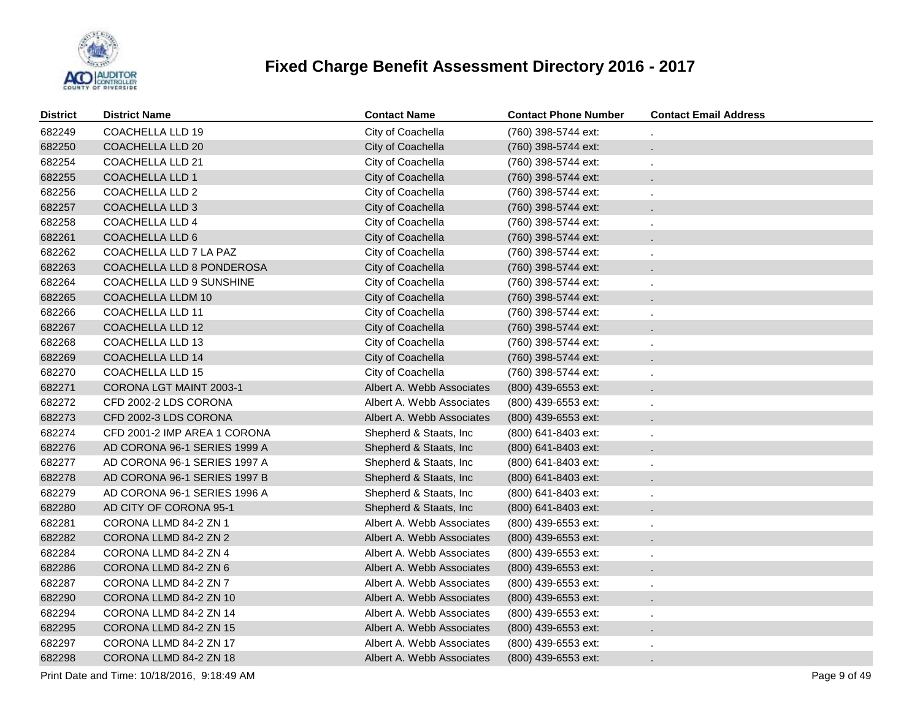

| <b>District</b> | <b>District Name</b>         | <b>Contact Name</b>       | <b>Contact Phone Number</b> | <b>Contact Email Address</b> |
|-----------------|------------------------------|---------------------------|-----------------------------|------------------------------|
| 682249          | <b>COACHELLA LLD 19</b>      | City of Coachella         | (760) 398-5744 ext:         |                              |
| 682250          | COACHELLA LLD 20             | City of Coachella         | (760) 398-5744 ext:         | ä.                           |
| 682254          | COACHELLA LLD 21             | City of Coachella         | (760) 398-5744 ext:         |                              |
| 682255          | <b>COACHELLA LLD 1</b>       | City of Coachella         | (760) 398-5744 ext:         |                              |
| 682256          | COACHELLA LLD 2              | City of Coachella         | (760) 398-5744 ext:         |                              |
| 682257          | <b>COACHELLA LLD 3</b>       | City of Coachella         | (760) 398-5744 ext:         |                              |
| 682258          | COACHELLA LLD 4              | City of Coachella         | (760) 398-5744 ext:         |                              |
| 682261          | COACHELLA LLD 6              | City of Coachella         | (760) 398-5744 ext:         |                              |
| 682262          | COACHELLA LLD 7 LA PAZ       | City of Coachella         | (760) 398-5744 ext:         |                              |
| 682263          | COACHELLA LLD 8 PONDEROSA    | City of Coachella         | (760) 398-5744 ext:         |                              |
| 682264          | COACHELLA LLD 9 SUNSHINE     | City of Coachella         | (760) 398-5744 ext:         |                              |
| 682265          | COACHELLA LLDM 10            | City of Coachella         | (760) 398-5744 ext:         |                              |
| 682266          | <b>COACHELLA LLD 11</b>      | City of Coachella         | (760) 398-5744 ext:         |                              |
| 682267          | <b>COACHELLA LLD 12</b>      | City of Coachella         | (760) 398-5744 ext:         | $\ddot{\phantom{a}}$         |
| 682268          | <b>COACHELLA LLD 13</b>      | City of Coachella         | (760) 398-5744 ext:         |                              |
| 682269          | <b>COACHELLA LLD 14</b>      | City of Coachella         | (760) 398-5744 ext:         | $\ddot{\phantom{a}}$         |
| 682270          | <b>COACHELLA LLD 15</b>      | City of Coachella         | (760) 398-5744 ext:         |                              |
| 682271          | CORONA LGT MAINT 2003-1      | Albert A. Webb Associates | (800) 439-6553 ext:         | ÷.                           |
| 682272          | CFD 2002-2 LDS CORONA        | Albert A. Webb Associates | (800) 439-6553 ext:         |                              |
| 682273          | CFD 2002-3 LDS CORONA        | Albert A. Webb Associates | $(800)$ 439-6553 ext:       | ÷.                           |
| 682274          | CFD 2001-2 IMP AREA 1 CORONA | Shepherd & Staats, Inc    | (800) 641-8403 ext:         |                              |
| 682276          | AD CORONA 96-1 SERIES 1999 A | Shepherd & Staats, Inc.   | $(800)$ 641-8403 ext:       | ÷.                           |
| 682277          | AD CORONA 96-1 SERIES 1997 A | Shepherd & Staats, Inc    | (800) 641-8403 ext:         |                              |
| 682278          | AD CORONA 96-1 SERIES 1997 B | Shepherd & Staats, Inc.   | (800) 641-8403 ext:         |                              |
| 682279          | AD CORONA 96-1 SERIES 1996 A | Shepherd & Staats, Inc    | (800) 641-8403 ext:         |                              |
| 682280          | AD CITY OF CORONA 95-1       | Shepherd & Staats, Inc.   | $(800)$ 641-8403 ext:       | ÷.                           |
| 682281          | CORONA LLMD 84-2 ZN 1        | Albert A. Webb Associates | (800) 439-6553 ext:         |                              |
| 682282          | CORONA LLMD 84-2 ZN 2        | Albert A. Webb Associates | (800) 439-6553 ext:         |                              |
| 682284          | CORONA LLMD 84-2 ZN 4        | Albert A. Webb Associates | (800) 439-6553 ext:         |                              |
| 682286          | CORONA LLMD 84-2 ZN 6        | Albert A. Webb Associates | (800) 439-6553 ext:         |                              |
| 682287          | CORONA LLMD 84-2 ZN 7        | Albert A. Webb Associates | (800) 439-6553 ext:         |                              |
| 682290          | CORONA LLMD 84-2 ZN 10       | Albert A. Webb Associates | (800) 439-6553 ext:         |                              |
| 682294          | CORONA LLMD 84-2 ZN 14       | Albert A. Webb Associates | (800) 439-6553 ext:         |                              |
| 682295          | CORONA LLMD 84-2 ZN 15       | Albert A. Webb Associates | (800) 439-6553 ext:         |                              |
| 682297          | CORONA LLMD 84-2 ZN 17       | Albert A. Webb Associates | (800) 439-6553 ext:         |                              |
| 682298          | CORONA LLMD 84-2 ZN 18       | Albert A. Webb Associates | (800) 439-6553 ext:         |                              |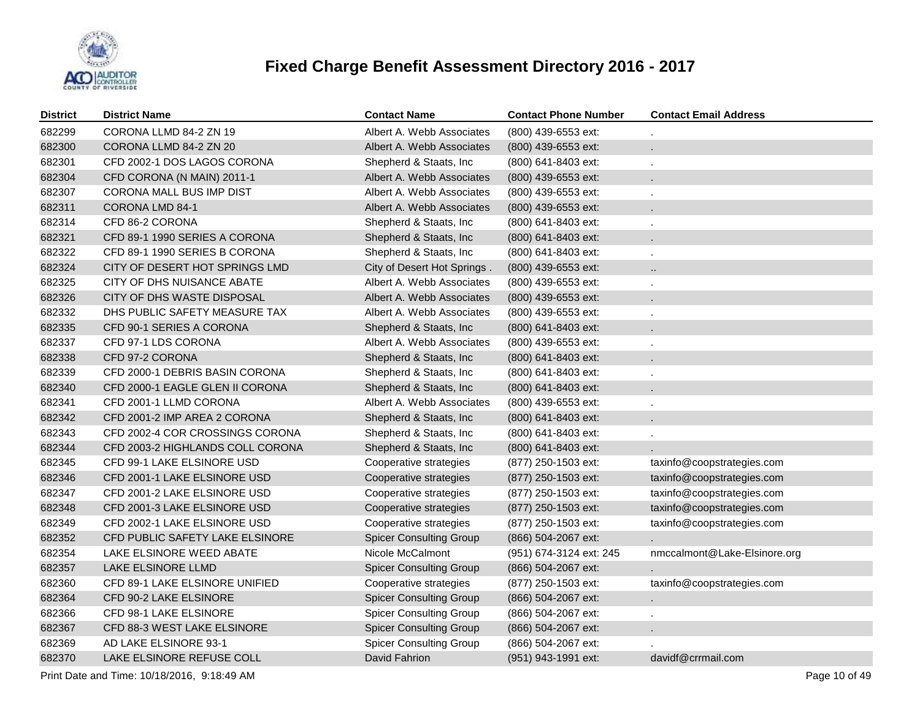

| <b>District</b> | <b>District Name</b>             | <b>Contact Name</b>            | <b>Contact Phone Number</b> | <b>Contact Email Address</b> |
|-----------------|----------------------------------|--------------------------------|-----------------------------|------------------------------|
| 682299          | CORONA LLMD 84-2 ZN 19           | Albert A. Webb Associates      | (800) 439-6553 ext:         |                              |
| 682300          | CORONA LLMD 84-2 ZN 20           | Albert A. Webb Associates      | (800) 439-6553 ext:         |                              |
| 682301          | CFD 2002-1 DOS LAGOS CORONA      | Shepherd & Staats, Inc.        | (800) 641-8403 ext:         |                              |
| 682304          | CFD CORONA (N MAIN) 2011-1       | Albert A. Webb Associates      | (800) 439-6553 ext:         | $\mathbf{r}$                 |
| 682307          | CORONA MALL BUS IMP DIST         | Albert A. Webb Associates      | (800) 439-6553 ext:         | $\epsilon$                   |
| 682311          | CORONA LMD 84-1                  | Albert A. Webb Associates      | (800) 439-6553 ext:         | $\mathbf{r}$                 |
| 682314          | CFD 86-2 CORONA                  | Shepherd & Staats, Inc         | (800) 641-8403 ext:         |                              |
| 682321          | CFD 89-1 1990 SERIES A CORONA    | Shepherd & Staats, Inc.        | (800) 641-8403 ext:         |                              |
| 682322          | CFD 89-1 1990 SERIES B CORONA    | Shepherd & Staats, Inc         | (800) 641-8403 ext:         |                              |
| 682324          | CITY OF DESERT HOT SPRINGS LMD   | City of Desert Hot Springs.    | (800) 439-6553 ext:         | $\ddotsc$                    |
| 682325          | CITY OF DHS NUISANCE ABATE       | Albert A. Webb Associates      | (800) 439-6553 ext:         |                              |
| 682326          | CITY OF DHS WASTE DISPOSAL       | Albert A. Webb Associates      | (800) 439-6553 ext:         |                              |
| 682332          | DHS PUBLIC SAFETY MEASURE TAX    | Albert A. Webb Associates      | (800) 439-6553 ext:         |                              |
| 682335          | CFD 90-1 SERIES A CORONA         | Shepherd & Staats, Inc         | (800) 641-8403 ext:         |                              |
| 682337          | CFD 97-1 LDS CORONA              | Albert A. Webb Associates      | (800) 439-6553 ext:         |                              |
| 682338          | CFD 97-2 CORONA                  | Shepherd & Staats, Inc.        | (800) 641-8403 ext:         |                              |
| 682339          | CFD 2000-1 DEBRIS BASIN CORONA   | Shepherd & Staats, Inc         | (800) 641-8403 ext:         |                              |
| 682340          | CFD 2000-1 EAGLE GLEN II CORONA  | Shepherd & Staats, Inc.        | (800) 641-8403 ext:         |                              |
| 682341          | CFD 2001-1 LLMD CORONA           | Albert A. Webb Associates      | (800) 439-6553 ext:         |                              |
| 682342          | CFD 2001-2 IMP AREA 2 CORONA     | Shepherd & Staats, Inc         | (800) 641-8403 ext:         |                              |
| 682343          | CFD 2002-4 COR CROSSINGS CORONA  | Shepherd & Staats, Inc.        | (800) 641-8403 ext:         |                              |
| 682344          | CFD 2003-2 HIGHLANDS COLL CORONA | Shepherd & Staats, Inc         | (800) 641-8403 ext:         |                              |
| 682345          | CFD 99-1 LAKE ELSINORE USD       | Cooperative strategies         | (877) 250-1503 ext:         | taxinfo@coopstrategies.com   |
| 682346          | CFD 2001-1 LAKE ELSINORE USD     | Cooperative strategies         | (877) 250-1503 ext:         | taxinfo@coopstrategies.com   |
| 682347          | CFD 2001-2 LAKE ELSINORE USD     | Cooperative strategies         | (877) 250-1503 ext:         | taxinfo@coopstrategies.com   |
| 682348          | CFD 2001-3 LAKE ELSINORE USD     | Cooperative strategies         | (877) 250-1503 ext:         | taxinfo@coopstrategies.com   |
| 682349          | CFD 2002-1 LAKE ELSINORE USD     | Cooperative strategies         | (877) 250-1503 ext:         | taxinfo@coopstrategies.com   |
| 682352          | CFD PUBLIC SAFETY LAKE ELSINORE  | <b>Spicer Consulting Group</b> | (866) 504-2067 ext:         |                              |
| 682354          | LAKE ELSINORE WEED ABATE         | Nicole McCalmont               | (951) 674-3124 ext: 245     | nmccalmont@Lake-Elsinore.org |
| 682357          | LAKE ELSINORE LLMD               | <b>Spicer Consulting Group</b> | (866) 504-2067 ext:         |                              |
| 682360          | CFD 89-1 LAKE ELSINORE UNIFIED   | Cooperative strategies         | (877) 250-1503 ext:         | taxinfo@coopstrategies.com   |
| 682364          | CFD 90-2 LAKE ELSINORE           | <b>Spicer Consulting Group</b> | (866) 504-2067 ext:         |                              |
| 682366          | <b>CFD 98-1 LAKE ELSINORE</b>    | <b>Spicer Consulting Group</b> | (866) 504-2067 ext:         | ÷                            |
| 682367          | CFD 88-3 WEST LAKE ELSINORE      | <b>Spicer Consulting Group</b> | (866) 504-2067 ext:         |                              |
| 682369          | AD LAKE ELSINORE 93-1            | <b>Spicer Consulting Group</b> | (866) 504-2067 ext:         |                              |
| 682370          | LAKE ELSINORE REFUSE COLL        | David Fahrion                  | (951) 943-1991 ext:         | davidf@crrmail.com           |
|                 |                                  |                                |                             |                              |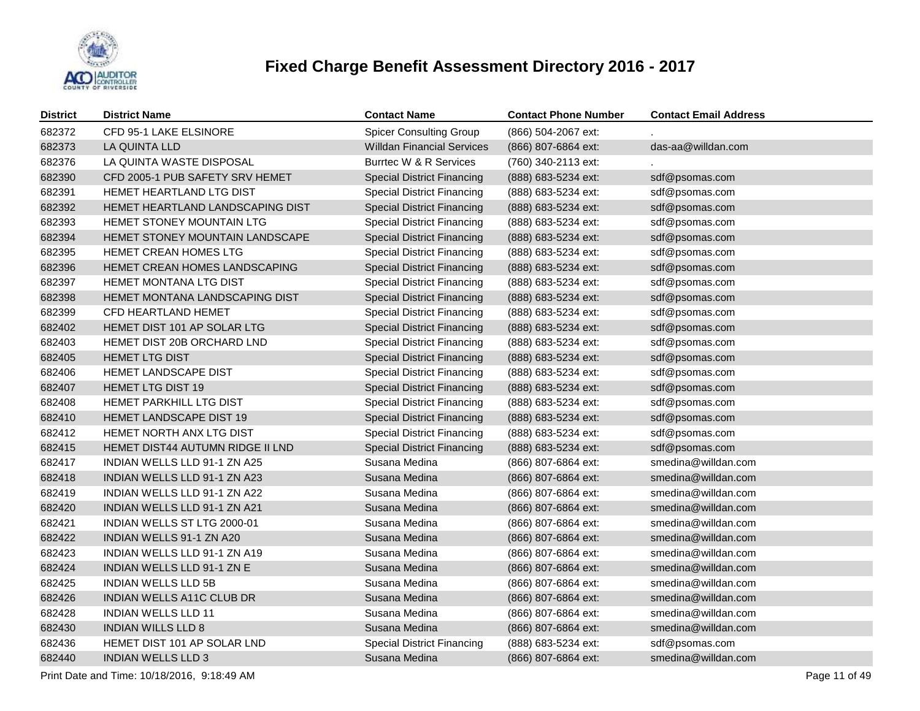

| <b>District</b> | <b>District Name</b>             | <b>Contact Name</b>               | <b>Contact Phone Number</b> | <b>Contact Email Address</b> |
|-----------------|----------------------------------|-----------------------------------|-----------------------------|------------------------------|
| 682372          | CFD 95-1 LAKE ELSINORE           | <b>Spicer Consulting Group</b>    | (866) 504-2067 ext:         |                              |
| 682373          | LA QUINTA LLD                    | <b>Willdan Financial Services</b> | (866) 807-6864 ext:         | das-aa@willdan.com           |
| 682376          | LA QUINTA WASTE DISPOSAL         | Burrtec W & R Services            | (760) 340-2113 ext:         |                              |
| 682390          | CFD 2005-1 PUB SAFETY SRV HEMET  | <b>Special District Financing</b> | (888) 683-5234 ext:         | sdf@psomas.com               |
| 682391          | HEMET HEARTLAND LTG DIST         | <b>Special District Financing</b> | (888) 683-5234 ext:         | sdf@psomas.com               |
| 682392          | HEMET HEARTLAND LANDSCAPING DIST | <b>Special District Financing</b> | (888) 683-5234 ext:         | sdf@psomas.com               |
| 682393          | HEMET STONEY MOUNTAIN LTG        | <b>Special District Financing</b> | (888) 683-5234 ext:         | sdf@psomas.com               |
| 682394          | HEMET STONEY MOUNTAIN LANDSCAPE  | <b>Special District Financing</b> | (888) 683-5234 ext:         | sdf@psomas.com               |
| 682395          | HEMET CREAN HOMES LTG            | <b>Special District Financing</b> | (888) 683-5234 ext:         | sdf@psomas.com               |
| 682396          | HEMET CREAN HOMES LANDSCAPING    | <b>Special District Financing</b> | (888) 683-5234 ext:         | sdf@psomas.com               |
| 682397          | HEMET MONTANA LTG DIST           | <b>Special District Financing</b> | (888) 683-5234 ext:         | sdf@psomas.com               |
| 682398          | HEMET MONTANA LANDSCAPING DIST   | <b>Special District Financing</b> | (888) 683-5234 ext:         | sdf@psomas.com               |
| 682399          | <b>CFD HEARTLAND HEMET</b>       | <b>Special District Financing</b> | (888) 683-5234 ext:         | sdf@psomas.com               |
| 682402          | HEMET DIST 101 AP SOLAR LTG      | <b>Special District Financing</b> | (888) 683-5234 ext:         | sdf@psomas.com               |
| 682403          | HEMET DIST 20B ORCHARD LND       | <b>Special District Financing</b> | (888) 683-5234 ext:         | sdf@psomas.com               |
| 682405          | <b>HEMET LTG DIST</b>            | <b>Special District Financing</b> | (888) 683-5234 ext:         | sdf@psomas.com               |
| 682406          | HEMET LANDSCAPE DIST             | <b>Special District Financing</b> | (888) 683-5234 ext:         | sdf@psomas.com               |
| 682407          | <b>HEMET LTG DIST 19</b>         | <b>Special District Financing</b> | (888) 683-5234 ext:         | sdf@psomas.com               |
| 682408          | HEMET PARKHILL LTG DIST          | <b>Special District Financing</b> | (888) 683-5234 ext:         | sdf@psomas.com               |
| 682410          | HEMET LANDSCAPE DIST 19          | <b>Special District Financing</b> | (888) 683-5234 ext:         | sdf@psomas.com               |
| 682412          | HEMET NORTH ANX LTG DIST         | <b>Special District Financing</b> | (888) 683-5234 ext:         | sdf@psomas.com               |
| 682415          | HEMET DIST44 AUTUMN RIDGE II LND | <b>Special District Financing</b> | (888) 683-5234 ext:         | sdf@psomas.com               |
| 682417          | INDIAN WELLS LLD 91-1 ZN A25     | Susana Medina                     | (866) 807-6864 ext:         | smedina@willdan.com          |
| 682418          | INDIAN WELLS LLD 91-1 ZN A23     | Susana Medina                     | (866) 807-6864 ext:         | smedina@willdan.com          |
| 682419          | INDIAN WELLS LLD 91-1 ZN A22     | Susana Medina                     | (866) 807-6864 ext:         | smedina@willdan.com          |
| 682420          | INDIAN WELLS LLD 91-1 ZN A21     | Susana Medina                     | (866) 807-6864 ext:         | smedina@willdan.com          |
| 682421          | INDIAN WELLS ST LTG 2000-01      | Susana Medina                     | (866) 807-6864 ext:         | smedina@willdan.com          |
| 682422          | INDIAN WELLS 91-1 ZN A20         | Susana Medina                     | (866) 807-6864 ext:         | smedina@willdan.com          |
| 682423          | INDIAN WELLS LLD 91-1 ZN A19     | Susana Medina                     | (866) 807-6864 ext:         | smedina@willdan.com          |
| 682424          | INDIAN WELLS LLD 91-1 ZN E       | Susana Medina                     | (866) 807-6864 ext:         | smedina@willdan.com          |
| 682425          | <b>INDIAN WELLS LLD 5B</b>       | Susana Medina                     | (866) 807-6864 ext:         | smedina@willdan.com          |
| 682426          | INDIAN WELLS A11C CLUB DR        | Susana Medina                     | (866) 807-6864 ext:         | smedina@willdan.com          |
| 682428          | <b>INDIAN WELLS LLD 11</b>       | Susana Medina                     | (866) 807-6864 ext:         | smedina@willdan.com          |
| 682430          | <b>INDIAN WILLS LLD 8</b>        | Susana Medina                     | (866) 807-6864 ext:         | smedina@willdan.com          |
| 682436          | HEMET DIST 101 AP SOLAR LND      | <b>Special District Financing</b> | (888) 683-5234 ext:         | sdf@psomas.com               |
| 682440          | <b>INDIAN WELLS LLD 3</b>        | Susana Medina                     | (866) 807-6864 ext:         | smedina@willdan.com          |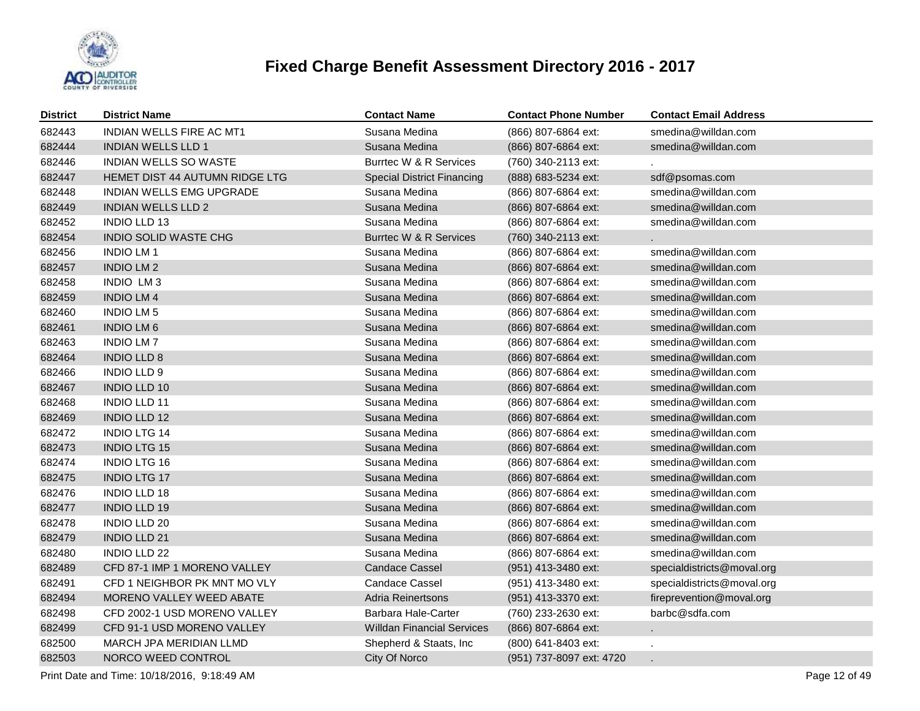

| <b>District</b> | <b>District Name</b>           | <b>Contact Name</b>               | <b>Contact Phone Number</b> | <b>Contact Email Address</b> |
|-----------------|--------------------------------|-----------------------------------|-----------------------------|------------------------------|
| 682443          | INDIAN WELLS FIRE AC MT1       | Susana Medina                     | (866) 807-6864 ext:         | smedina@willdan.com          |
| 682444          | <b>INDIAN WELLS LLD 1</b>      | Susana Medina                     | (866) 807-6864 ext:         | smedina@willdan.com          |
| 682446          | <b>INDIAN WELLS SO WASTE</b>   | Burrtec W & R Services            | (760) 340-2113 ext:         |                              |
| 682447          | HEMET DIST 44 AUTUMN RIDGE LTG | <b>Special District Financing</b> | (888) 683-5234 ext:         | sdf@psomas.com               |
| 682448          | INDIAN WELLS EMG UPGRADE       | Susana Medina                     | (866) 807-6864 ext:         | smedina@willdan.com          |
| 682449          | <b>INDIAN WELLS LLD 2</b>      | Susana Medina                     | (866) 807-6864 ext:         | smedina@willdan.com          |
| 682452          | <b>INDIO LLD 13</b>            | Susana Medina                     | (866) 807-6864 ext:         | smedina@willdan.com          |
| 682454          | INDIO SOLID WASTE CHG          | Burrtec W & R Services            | (760) 340-2113 ext:         |                              |
| 682456          | <b>INDIO LM1</b>               | Susana Medina                     | (866) 807-6864 ext:         | smedina@willdan.com          |
| 682457          | <b>INDIO LM 2</b>              | Susana Medina                     | (866) 807-6864 ext:         | smedina@willdan.com          |
| 682458          | INDIO LM3                      | Susana Medina                     | (866) 807-6864 ext:         | smedina@willdan.com          |
| 682459          | <b>INDIO LM4</b>               | Susana Medina                     | (866) 807-6864 ext:         | smedina@willdan.com          |
| 682460          | <b>INDIO LM 5</b>              | Susana Medina                     | (866) 807-6864 ext:         | smedina@willdan.com          |
| 682461          | <b>INDIO LM6</b>               | Susana Medina                     | (866) 807-6864 ext:         | smedina@willdan.com          |
| 682463          | <b>INDIO LM7</b>               | Susana Medina                     | (866) 807-6864 ext:         | smedina@willdan.com          |
| 682464          | <b>INDIO LLD 8</b>             | Susana Medina                     | (866) 807-6864 ext:         | smedina@willdan.com          |
| 682466          | <b>INDIO LLD 9</b>             | Susana Medina                     | (866) 807-6864 ext:         | smedina@willdan.com          |
| 682467          | <b>INDIO LLD 10</b>            | Susana Medina                     | (866) 807-6864 ext:         | smedina@willdan.com          |
| 682468          | <b>INDIO LLD 11</b>            | Susana Medina                     | (866) 807-6864 ext:         | smedina@willdan.com          |
| 682469          | <b>INDIO LLD 12</b>            | Susana Medina                     | (866) 807-6864 ext:         | smedina@willdan.com          |
| 682472          | <b>INDIO LTG 14</b>            | Susana Medina                     | (866) 807-6864 ext:         | smedina@willdan.com          |
| 682473          | <b>INDIO LTG 15</b>            | Susana Medina                     | (866) 807-6864 ext:         | smedina@willdan.com          |
| 682474          | <b>INDIO LTG 16</b>            | Susana Medina                     | (866) 807-6864 ext:         | smedina@willdan.com          |
| 682475          | <b>INDIO LTG 17</b>            | Susana Medina                     | (866) 807-6864 ext:         | smedina@willdan.com          |
| 682476          | <b>INDIO LLD 18</b>            | Susana Medina                     | (866) 807-6864 ext:         | smedina@willdan.com          |
| 682477          | <b>INDIO LLD 19</b>            | Susana Medina                     | (866) 807-6864 ext:         | smedina@willdan.com          |
| 682478          | <b>INDIO LLD 20</b>            | Susana Medina                     | (866) 807-6864 ext:         | smedina@willdan.com          |
| 682479          | <b>INDIO LLD 21</b>            | Susana Medina                     | (866) 807-6864 ext:         | smedina@willdan.com          |
| 682480          | <b>INDIO LLD 22</b>            | Susana Medina                     | (866) 807-6864 ext:         | smedina@willdan.com          |
| 682489          | CFD 87-1 IMP 1 MORENO VALLEY   | <b>Candace Cassel</b>             | (951) 413-3480 ext:         | specialdistricts@moval.org   |
| 682491          | CFD 1 NEIGHBOR PK MNT MO VLY   | <b>Candace Cassel</b>             | (951) 413-3480 ext:         | specialdistricts@moval.org   |
| 682494          | MORENO VALLEY WEED ABATE       | Adria Reinertsons                 | (951) 413-3370 ext:         | fireprevention@moval.org     |
| 682498          | CFD 2002-1 USD MORENO VALLEY   | Barbara Hale-Carter               | (760) 233-2630 ext:         | barbc@sdfa.com               |
| 682499          | CFD 91-1 USD MORENO VALLEY     | <b>Willdan Financial Services</b> | (866) 807-6864 ext:         |                              |
| 682500          | MARCH JPA MERIDIAN LLMD        | Shepherd & Staats, Inc            | (800) 641-8403 ext:         |                              |
| 682503          | NORCO WEED CONTROL             | City Of Norco                     | (951) 737-8097 ext: 4720    |                              |

Print Date and Time: 10/18/2016, 9:18:49 AM Page 12 of 49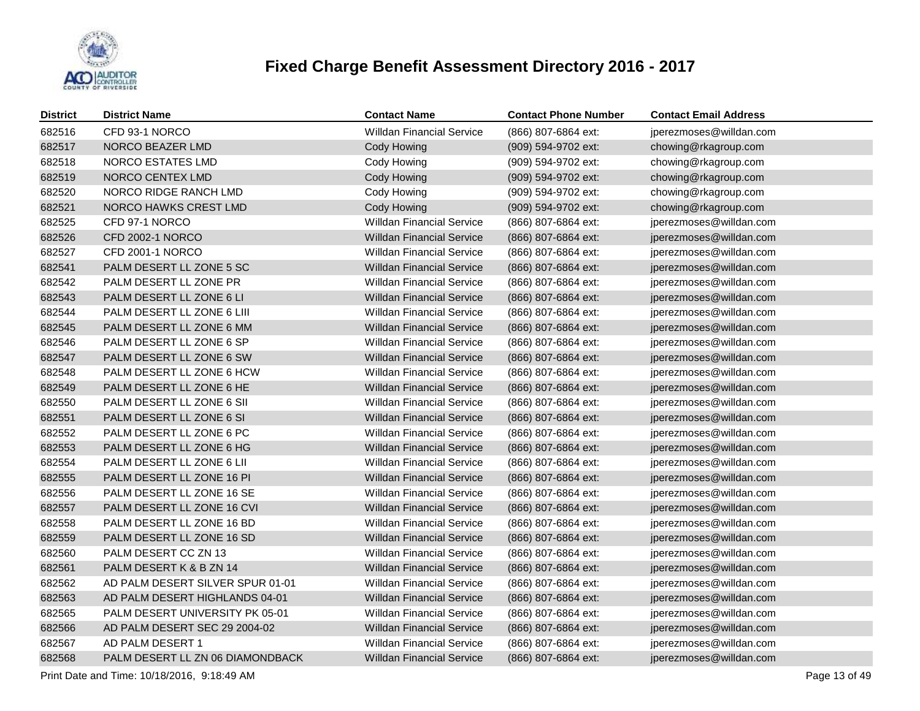

| <b>District</b> | <b>District Name</b>             | <b>Contact Name</b>              | <b>Contact Phone Number</b> | <b>Contact Email Address</b> |
|-----------------|----------------------------------|----------------------------------|-----------------------------|------------------------------|
| 682516          | CFD 93-1 NORCO                   | <b>Willdan Financial Service</b> | (866) 807-6864 ext:         | jperezmoses@willdan.com      |
| 682517          | NORCO BEAZER LMD                 | Cody Howing                      | (909) 594-9702 ext:         | chowing@rkagroup.com         |
| 682518          | NORCO ESTATES LMD                | Cody Howing                      | (909) 594-9702 ext:         | chowing@rkagroup.com         |
| 682519          | NORCO CENTEX LMD                 | Cody Howing                      | (909) 594-9702 ext:         | chowing@rkagroup.com         |
| 682520          | NORCO RIDGE RANCH LMD            | Cody Howing                      | (909) 594-9702 ext:         | chowing@rkagroup.com         |
| 682521          | NORCO HAWKS CREST LMD            | Cody Howing                      | (909) 594-9702 ext:         | chowing@rkagroup.com         |
| 682525          | CFD 97-1 NORCO                   | Willdan Financial Service        | (866) 807-6864 ext:         | jperezmoses@willdan.com      |
| 682526          | <b>CFD 2002-1 NORCO</b>          | <b>Willdan Financial Service</b> | (866) 807-6864 ext:         | jperezmoses@willdan.com      |
| 682527          | CFD 2001-1 NORCO                 | <b>Willdan Financial Service</b> | (866) 807-6864 ext:         | jperezmoses@willdan.com      |
| 682541          | PALM DESERT LL ZONE 5 SC         | <b>Willdan Financial Service</b> | (866) 807-6864 ext:         | jperezmoses@willdan.com      |
| 682542          | PALM DESERT LL ZONE PR           | <b>Willdan Financial Service</b> | (866) 807-6864 ext:         | jperezmoses@willdan.com      |
| 682543          | PALM DESERT LL ZONE 6 LI         | <b>Willdan Financial Service</b> | (866) 807-6864 ext:         | jperezmoses@willdan.com      |
| 682544          | PALM DESERT LL ZONE 6 LIII       | <b>Willdan Financial Service</b> | (866) 807-6864 ext:         | jperezmoses@willdan.com      |
| 682545          | PALM DESERT LL ZONE 6 MM         | <b>Willdan Financial Service</b> | (866) 807-6864 ext:         | jperezmoses@willdan.com      |
| 682546          | PALM DESERT LL ZONE 6 SP         | <b>Willdan Financial Service</b> | (866) 807-6864 ext:         | jperezmoses@willdan.com      |
| 682547          | PALM DESERT LL ZONE 6 SW         | <b>Willdan Financial Service</b> | (866) 807-6864 ext:         | jperezmoses@willdan.com      |
| 682548          | PALM DESERT LL ZONE 6 HCW        | <b>Willdan Financial Service</b> | (866) 807-6864 ext:         | jperezmoses@willdan.com      |
| 682549          | PALM DESERT LL ZONE 6 HE         | <b>Willdan Financial Service</b> | (866) 807-6864 ext:         | jperezmoses@willdan.com      |
| 682550          | PALM DESERT LL ZONE 6 SII        | <b>Willdan Financial Service</b> | (866) 807-6864 ext:         | jperezmoses@willdan.com      |
| 682551          | PALM DESERT LL ZONE 6 SI         | <b>Willdan Financial Service</b> | (866) 807-6864 ext:         | jperezmoses@willdan.com      |
| 682552          | PALM DESERT LL ZONE 6 PC         | <b>Willdan Financial Service</b> | (866) 807-6864 ext:         | jperezmoses@willdan.com      |
| 682553          | PALM DESERT LL ZONE 6 HG         | <b>Willdan Financial Service</b> | (866) 807-6864 ext:         | jperezmoses@willdan.com      |
| 682554          | PALM DESERT LL ZONE 6 LII        | <b>Willdan Financial Service</b> | (866) 807-6864 ext:         | jperezmoses@willdan.com      |
| 682555          | PALM DESERT LL ZONE 16 PI        | <b>Willdan Financial Service</b> | (866) 807-6864 ext:         | jperezmoses@willdan.com      |
| 682556          | PALM DESERT LL ZONE 16 SE        | <b>Willdan Financial Service</b> | (866) 807-6864 ext:         | jperezmoses@willdan.com      |
| 682557          | PALM DESERT LL ZONE 16 CVI       | <b>Willdan Financial Service</b> | (866) 807-6864 ext:         | jperezmoses@willdan.com      |
| 682558          | PALM DESERT LL ZONE 16 BD        | <b>Willdan Financial Service</b> | (866) 807-6864 ext:         | jperezmoses@willdan.com      |
| 682559          | PALM DESERT LL ZONE 16 SD        | <b>Willdan Financial Service</b> | (866) 807-6864 ext:         | jperezmoses@willdan.com      |
| 682560          | PALM DESERT CC ZN 13             | <b>Willdan Financial Service</b> | (866) 807-6864 ext:         | jperezmoses@willdan.com      |
| 682561          | PALM DESERT K & B ZN 14          | <b>Willdan Financial Service</b> | (866) 807-6864 ext:         | jperezmoses@willdan.com      |
| 682562          | AD PALM DESERT SILVER SPUR 01-01 | <b>Willdan Financial Service</b> | (866) 807-6864 ext:         | jperezmoses@willdan.com      |
| 682563          | AD PALM DESERT HIGHLANDS 04-01   | <b>Willdan Financial Service</b> | (866) 807-6864 ext:         | jperezmoses@willdan.com      |
| 682565          | PALM DESERT UNIVERSITY PK 05-01  | <b>Willdan Financial Service</b> | (866) 807-6864 ext:         | jperezmoses@willdan.com      |
| 682566          | AD PALM DESERT SEC 29 2004-02    | <b>Willdan Financial Service</b> | (866) 807-6864 ext:         | jperezmoses@willdan.com      |
| 682567          | AD PALM DESERT 1                 | <b>Willdan Financial Service</b> | (866) 807-6864 ext:         | jperezmoses@willdan.com      |
| 682568          | PALM DESERT LL ZN 06 DIAMONDBACK | <b>Willdan Financial Service</b> | (866) 807-6864 ext:         | jperezmoses@willdan.com      |

Print Date and Time: 10/18/2016, 9:18:49 AM Page 13 of 49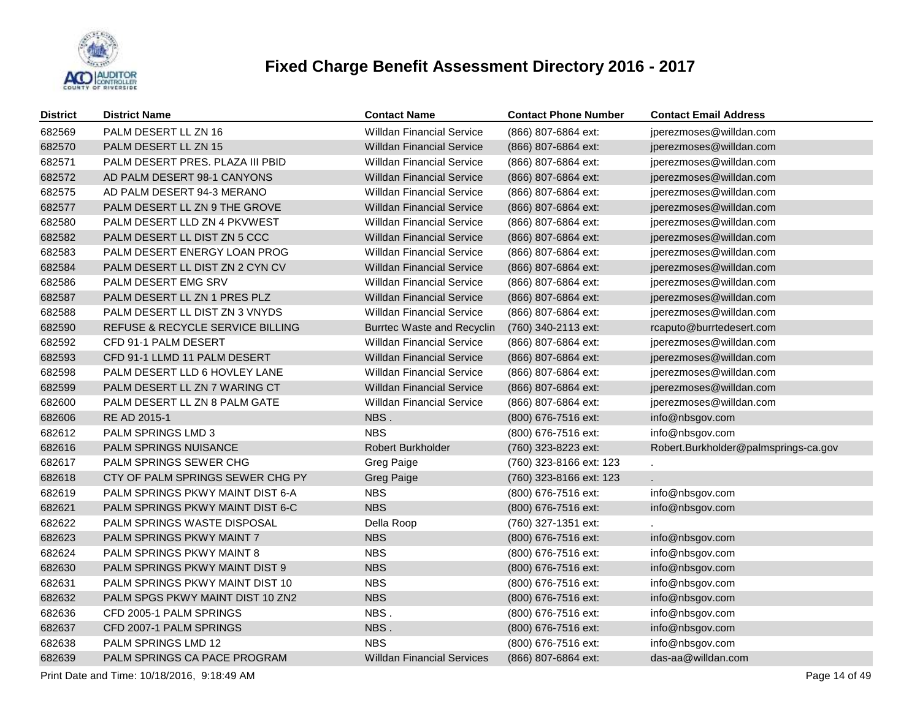

| <b>District</b> | <b>District Name</b>             | <b>Contact Name</b>               | <b>Contact Phone Number</b> | <b>Contact Email Address</b>         |
|-----------------|----------------------------------|-----------------------------------|-----------------------------|--------------------------------------|
| 682569          | PALM DESERT LL ZN 16             | <b>Willdan Financial Service</b>  | (866) 807-6864 ext:         | jperezmoses@willdan.com              |
| 682570          | PALM DESERT LL ZN 15             | <b>Willdan Financial Service</b>  | (866) 807-6864 ext:         | jperezmoses@willdan.com              |
| 682571          | PALM DESERT PRES. PLAZA III PBID | <b>Willdan Financial Service</b>  | (866) 807-6864 ext:         | jperezmoses@willdan.com              |
| 682572          | AD PALM DESERT 98-1 CANYONS      | <b>Willdan Financial Service</b>  | (866) 807-6864 ext:         | jperezmoses@willdan.com              |
| 682575          | AD PALM DESERT 94-3 MERANO       | <b>Willdan Financial Service</b>  | (866) 807-6864 ext:         | jperezmoses@willdan.com              |
| 682577          | PALM DESERT LL ZN 9 THE GROVE    | <b>Willdan Financial Service</b>  | (866) 807-6864 ext:         | jperezmoses@willdan.com              |
| 682580          | PALM DESERT LLD ZN 4 PKVWEST     | <b>Willdan Financial Service</b>  | (866) 807-6864 ext:         | jperezmoses@willdan.com              |
| 682582          | PALM DESERT LL DIST ZN 5 CCC     | <b>Willdan Financial Service</b>  | (866) 807-6864 ext:         | jperezmoses@willdan.com              |
| 682583          | PALM DESERT ENERGY LOAN PROG     | Willdan Financial Service         | (866) 807-6864 ext:         | jperezmoses@willdan.com              |
| 682584          | PALM DESERT LL DIST ZN 2 CYN CV  | <b>Willdan Financial Service</b>  | (866) 807-6864 ext:         | jperezmoses@willdan.com              |
| 682586          | PALM DESERT EMG SRV              | <b>Willdan Financial Service</b>  | (866) 807-6864 ext:         | jperezmoses@willdan.com              |
| 682587          | PALM DESERT LL ZN 1 PRES PLZ     | <b>Willdan Financial Service</b>  | (866) 807-6864 ext:         | jperezmoses@willdan.com              |
| 682588          | PALM DESERT LL DIST ZN 3 VNYDS   | <b>Willdan Financial Service</b>  | (866) 807-6864 ext:         | jperezmoses@willdan.com              |
| 682590          | REFUSE & RECYCLE SERVICE BILLING | Burrtec Waste and Recyclin        | (760) 340-2113 ext:         | rcaputo@burrtedesert.com             |
| 682592          | CFD 91-1 PALM DESERT             | <b>Willdan Financial Service</b>  | (866) 807-6864 ext:         | jperezmoses@willdan.com              |
| 682593          | CFD 91-1 LLMD 11 PALM DESERT     | <b>Willdan Financial Service</b>  | (866) 807-6864 ext:         | jperezmoses@willdan.com              |
| 682598          | PALM DESERT LLD 6 HOVLEY LANE    | <b>Willdan Financial Service</b>  | (866) 807-6864 ext:         | jperezmoses@willdan.com              |
| 682599          | PALM DESERT LL ZN 7 WARING CT    | <b>Willdan Financial Service</b>  | (866) 807-6864 ext:         | jperezmoses@willdan.com              |
| 682600          | PALM DESERT LL ZN 8 PALM GATE    | <b>Willdan Financial Service</b>  | (866) 807-6864 ext:         | jperezmoses@willdan.com              |
| 682606          | RE AD 2015-1                     | NBS.                              | (800) 676-7516 ext:         | info@nbsgov.com                      |
| 682612          | PALM SPRINGS LMD 3               | <b>NBS</b>                        | (800) 676-7516 ext:         | info@nbsgov.com                      |
| 682616          | PALM SPRINGS NUISANCE            | Robert Burkholder                 | (760) 323-8223 ext:         | Robert.Burkholder@palmsprings-ca.gov |
| 682617          | <b>PALM SPRINGS SEWER CHG</b>    | Greg Paige                        | (760) 323-8166 ext: 123     |                                      |
| 682618          | CTY OF PALM SPRINGS SEWER CHG PY | <b>Greg Paige</b>                 | (760) 323-8166 ext: 123     |                                      |
| 682619          | PALM SPRINGS PKWY MAINT DIST 6-A | <b>NBS</b>                        | (800) 676-7516 ext:         | info@nbsgov.com                      |
| 682621          | PALM SPRINGS PKWY MAINT DIST 6-C | <b>NBS</b>                        | (800) 676-7516 ext:         | info@nbsgov.com                      |
| 682622          | PALM SPRINGS WASTE DISPOSAL      | Della Roop                        | (760) 327-1351 ext:         |                                      |
| 682623          | PALM SPRINGS PKWY MAINT 7        | <b>NBS</b>                        | (800) 676-7516 ext:         | info@nbsgov.com                      |
| 682624          | PALM SPRINGS PKWY MAINT 8        | <b>NBS</b>                        | (800) 676-7516 ext:         | info@nbsgov.com                      |
| 682630          | PALM SPRINGS PKWY MAINT DIST 9   | <b>NBS</b>                        | (800) 676-7516 ext:         | info@nbsgov.com                      |
| 682631          | PALM SPRINGS PKWY MAINT DIST 10  | <b>NBS</b>                        | (800) 676-7516 ext:         | info@nbsgov.com                      |
| 682632          | PALM SPGS PKWY MAINT DIST 10 ZN2 | <b>NBS</b>                        | (800) 676-7516 ext:         | info@nbsgov.com                      |
| 682636          | CFD 2005-1 PALM SPRINGS          | NBS.                              | (800) 676-7516 ext:         | info@nbsgov.com                      |
| 682637          | CFD 2007-1 PALM SPRINGS          | NBS.                              | (800) 676-7516 ext:         | info@nbsgov.com                      |
| 682638          | PALM SPRINGS LMD 12              | <b>NBS</b>                        | (800) 676-7516 ext:         | info@nbsgov.com                      |
| 682639          | PALM SPRINGS CA PACE PROGRAM     | <b>Willdan Financial Services</b> | (866) 807-6864 ext:         | das-aa@willdan.com                   |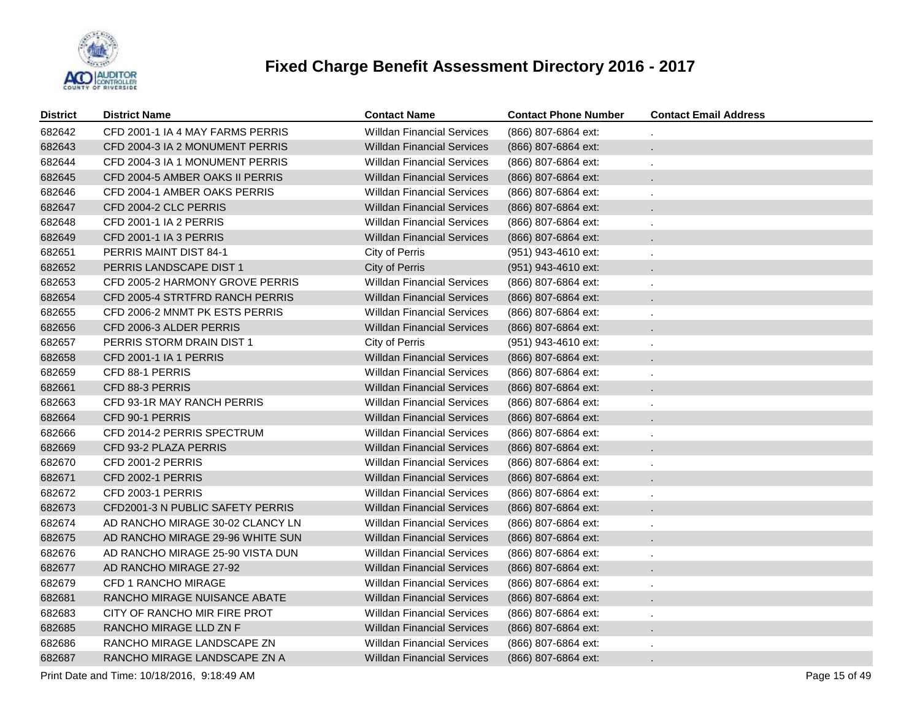

| <b>District</b> | <b>District Name</b>             | <b>Contact Name</b>               | <b>Contact Phone Number</b> | <b>Contact Email Address</b> |
|-----------------|----------------------------------|-----------------------------------|-----------------------------|------------------------------|
| 682642          | CFD 2001-1 IA 4 MAY FARMS PERRIS | <b>Willdan Financial Services</b> | (866) 807-6864 ext:         |                              |
| 682643          | CFD 2004-3 IA 2 MONUMENT PERRIS  | <b>Willdan Financial Services</b> | (866) 807-6864 ext:         | ÷.                           |
| 682644          | CFD 2004-3 IA 1 MONUMENT PERRIS  | <b>Willdan Financial Services</b> | (866) 807-6864 ext:         | ×,                           |
| 682645          | CFD 2004-5 AMBER OAKS II PERRIS  | <b>Willdan Financial Services</b> | (866) 807-6864 ext:         | $\mathbf{r}$                 |
| 682646          | CFD 2004-1 AMBER OAKS PERRIS     | <b>Willdan Financial Services</b> | (866) 807-6864 ext:         | ×,                           |
| 682647          | CFD 2004-2 CLC PERRIS            | <b>Willdan Financial Services</b> | (866) 807-6864 ext:         | $\ddot{\phantom{0}}$         |
| 682648          | CFD 2001-1 IA 2 PERRIS           | <b>Willdan Financial Services</b> | (866) 807-6864 ext:         | ×,                           |
| 682649          | CFD 2001-1 IA 3 PERRIS           | <b>Willdan Financial Services</b> | (866) 807-6864 ext:         | $\ddot{\phantom{0}}$         |
| 682651          | PERRIS MAINT DIST 84-1           | City of Perris                    | (951) 943-4610 ext:         | ×,                           |
| 682652          | PERRIS LANDSCAPE DIST 1          | City of Perris                    | (951) 943-4610 ext:         | $\ddot{\phantom{0}}$         |
| 682653          | CFD 2005-2 HARMONY GROVE PERRIS  | <b>Willdan Financial Services</b> | (866) 807-6864 ext:         | $\epsilon$                   |
| 682654          | CFD 2005-4 STRTFRD RANCH PERRIS  | <b>Willdan Financial Services</b> | (866) 807-6864 ext:         | $\ddot{\phantom{0}}$         |
| 682655          | CFD 2006-2 MNMT PK ESTS PERRIS   | <b>Willdan Financial Services</b> | (866) 807-6864 ext:         | $\epsilon$                   |
| 682656          | CFD 2006-3 ALDER PERRIS          | <b>Willdan Financial Services</b> | (866) 807-6864 ext:         | $\ddot{\phantom{0}}$         |
| 682657          | PERRIS STORM DRAIN DIST 1        | City of Perris                    | (951) 943-4610 ext:         |                              |
| 682658          | CFD 2001-1 IA 1 PERRIS           | <b>Willdan Financial Services</b> | (866) 807-6864 ext:         | $\ddot{\phantom{0}}$         |
| 682659          | CFD 88-1 PERRIS                  | <b>Willdan Financial Services</b> | (866) 807-6864 ext:         |                              |
| 682661          | CFD 88-3 PERRIS                  | <b>Willdan Financial Services</b> | (866) 807-6864 ext:         | $\epsilon$                   |
| 682663          | CFD 93-1R MAY RANCH PERRIS       | <b>Willdan Financial Services</b> | (866) 807-6864 ext:         |                              |
| 682664          | CFD 90-1 PERRIS                  | <b>Willdan Financial Services</b> | (866) 807-6864 ext:         | $\epsilon$                   |
| 682666          | CFD 2014-2 PERRIS SPECTRUM       | <b>Willdan Financial Services</b> | (866) 807-6864 ext:         |                              |
| 682669          | CFD 93-2 PLAZA PERRIS            | <b>Willdan Financial Services</b> | (866) 807-6864 ext:         |                              |
| 682670          | CFD 2001-2 PERRIS                | <b>Willdan Financial Services</b> | (866) 807-6864 ext:         |                              |
| 682671          | CFD 2002-1 PERRIS                | <b>Willdan Financial Services</b> | (866) 807-6864 ext:         |                              |
| 682672          | <b>CFD 2003-1 PERRIS</b>         | <b>Willdan Financial Services</b> | (866) 807-6864 ext:         |                              |
| 682673          | CFD2001-3 N PUBLIC SAFETY PERRIS | <b>Willdan Financial Services</b> | (866) 807-6864 ext:         |                              |
| 682674          | AD RANCHO MIRAGE 30-02 CLANCY LN | <b>Willdan Financial Services</b> | (866) 807-6864 ext:         |                              |
| 682675          | AD RANCHO MIRAGE 29-96 WHITE SUN | <b>Willdan Financial Services</b> | (866) 807-6864 ext:         |                              |
| 682676          | AD RANCHO MIRAGE 25-90 VISTA DUN | <b>Willdan Financial Services</b> | (866) 807-6864 ext:         |                              |
| 682677          | AD RANCHO MIRAGE 27-92           | <b>Willdan Financial Services</b> | (866) 807-6864 ext:         |                              |
| 682679          | CFD 1 RANCHO MIRAGE              | <b>Willdan Financial Services</b> | (866) 807-6864 ext:         |                              |
| 682681          | RANCHO MIRAGE NUISANCE ABATE     | <b>Willdan Financial Services</b> | (866) 807-6864 ext:         |                              |
| 682683          | CITY OF RANCHO MIR FIRE PROT     | <b>Willdan Financial Services</b> | (866) 807-6864 ext:         |                              |
| 682685          | RANCHO MIRAGE LLD ZN F           | <b>Willdan Financial Services</b> | (866) 807-6864 ext:         |                              |
| 682686          | RANCHO MIRAGE LANDSCAPE ZN       | <b>Willdan Financial Services</b> | (866) 807-6864 ext:         |                              |
| 682687          | RANCHO MIRAGE LANDSCAPE ZN A     | <b>Willdan Financial Services</b> | (866) 807-6864 ext:         |                              |

Print Date and Time: 10/18/2016, 9:18:49 AM Page 15 of 49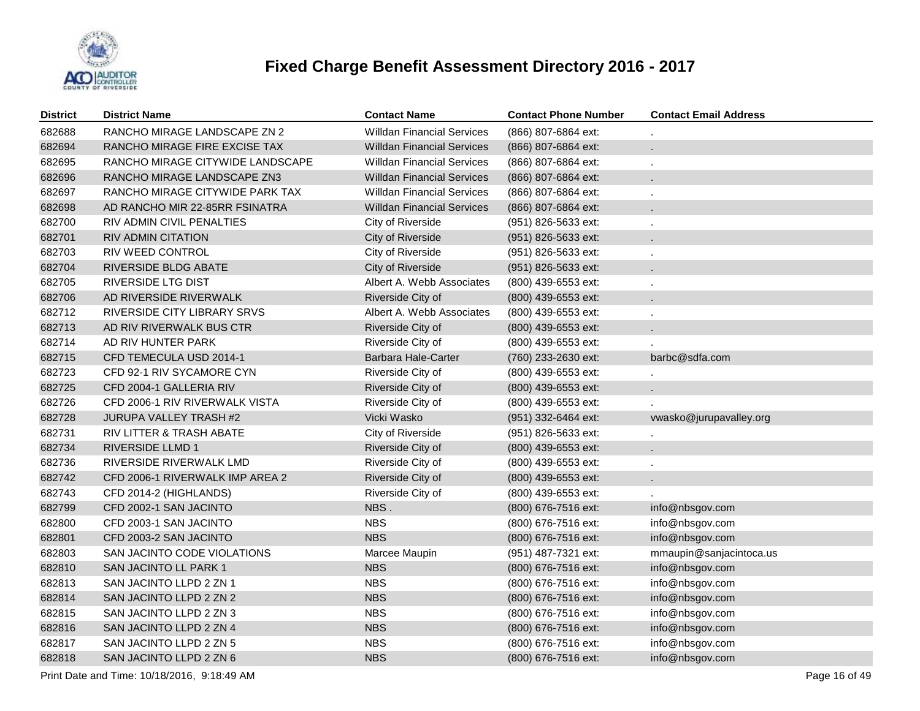

| <b>District</b> | <b>District Name</b>                                         | <b>Contact Name</b>               | <b>Contact Phone Number</b> | <b>Contact Email Address</b> |  |  |  |
|-----------------|--------------------------------------------------------------|-----------------------------------|-----------------------------|------------------------------|--|--|--|
| 682688          | RANCHO MIRAGE LANDSCAPE ZN 2                                 | <b>Willdan Financial Services</b> | (866) 807-6864 ext:         |                              |  |  |  |
| 682694          | RANCHO MIRAGE FIRE EXCISE TAX                                | <b>Willdan Financial Services</b> | (866) 807-6864 ext:         |                              |  |  |  |
| 682695          | RANCHO MIRAGE CITYWIDE LANDSCAPE                             | <b>Willdan Financial Services</b> | (866) 807-6864 ext:         | ä,                           |  |  |  |
| 682696          | RANCHO MIRAGE LANDSCAPE ZN3                                  | <b>Willdan Financial Services</b> | (866) 807-6864 ext:         |                              |  |  |  |
| 682697          | RANCHO MIRAGE CITYWIDE PARK TAX                              | <b>Willdan Financial Services</b> | (866) 807-6864 ext:         |                              |  |  |  |
| 682698          | AD RANCHO MIR 22-85RR FSINATRA                               | <b>Willdan Financial Services</b> | (866) 807-6864 ext:         |                              |  |  |  |
| 682700          | RIV ADMIN CIVIL PENALTIES                                    | City of Riverside                 | (951) 826-5633 ext:         |                              |  |  |  |
| 682701          | RIV ADMIN CITATION                                           | City of Riverside                 | (951) 826-5633 ext:         |                              |  |  |  |
| 682703          | RIV WEED CONTROL                                             | City of Riverside                 | (951) 826-5633 ext:         |                              |  |  |  |
| 682704          | RIVERSIDE BLDG ABATE                                         | City of Riverside                 | (951) 826-5633 ext:         |                              |  |  |  |
| 682705          | RIVERSIDE LTG DIST                                           | Albert A. Webb Associates         | (800) 439-6553 ext:         |                              |  |  |  |
| 682706          | AD RIVERSIDE RIVERWALK                                       | Riverside City of                 | (800) 439-6553 ext:         |                              |  |  |  |
| 682712          | RIVERSIDE CITY LIBRARY SRVS                                  | Albert A. Webb Associates         | (800) 439-6553 ext:         |                              |  |  |  |
| 682713          | AD RIV RIVERWALK BUS CTR                                     | Riverside City of                 | (800) 439-6553 ext:         |                              |  |  |  |
| 682714          | AD RIV HUNTER PARK                                           | Riverside City of                 | (800) 439-6553 ext:         |                              |  |  |  |
| 682715          | CFD TEMECULA USD 2014-1                                      | Barbara Hale-Carter               | (760) 233-2630 ext:         | barbc@sdfa.com               |  |  |  |
| 682723          | CFD 92-1 RIV SYCAMORE CYN                                    | Riverside City of                 | (800) 439-6553 ext:         |                              |  |  |  |
| 682725          | CFD 2004-1 GALLERIA RIV                                      | Riverside City of                 | (800) 439-6553 ext:         |                              |  |  |  |
| 682726          | CFD 2006-1 RIV RIVERWALK VISTA                               | Riverside City of                 | (800) 439-6553 ext:         |                              |  |  |  |
| 682728          | JURUPA VALLEY TRASH #2                                       | Vicki Wasko                       | (951) 332-6464 ext:         | vwasko@jurupavalley.org      |  |  |  |
| 682731          | RIV LITTER & TRASH ABATE                                     | City of Riverside                 | (951) 826-5633 ext:         |                              |  |  |  |
| 682734          | <b>RIVERSIDE LLMD 1</b>                                      | Riverside City of                 | (800) 439-6553 ext:         |                              |  |  |  |
| 682736          | RIVERSIDE RIVERWALK LMD                                      | Riverside City of                 | (800) 439-6553 ext:         |                              |  |  |  |
| 682742          | CFD 2006-1 RIVERWALK IMP AREA 2                              | Riverside City of                 | (800) 439-6553 ext:         |                              |  |  |  |
| 682743          | CFD 2014-2 (HIGHLANDS)                                       | Riverside City of                 | (800) 439-6553 ext:         |                              |  |  |  |
| 682799          | CFD 2002-1 SAN JACINTO                                       | NBS.                              | (800) 676-7516 ext:         | info@nbsgov.com              |  |  |  |
| 682800          | CFD 2003-1 SAN JACINTO                                       | <b>NBS</b>                        | (800) 676-7516 ext:         | info@nbsgov.com              |  |  |  |
| 682801          | CFD 2003-2 SAN JACINTO                                       | <b>NBS</b>                        | (800) 676-7516 ext:         | info@nbsgov.com              |  |  |  |
| 682803          | SAN JACINTO CODE VIOLATIONS                                  | Marcee Maupin                     | (951) 487-7321 ext:         | mmaupin@sanjacintoca.us      |  |  |  |
| 682810          | SAN JACINTO LL PARK 1                                        | <b>NBS</b>                        | (800) 676-7516 ext:         | info@nbsgov.com              |  |  |  |
| 682813          | SAN JACINTO LLPD 2 ZN 1                                      | <b>NBS</b>                        | (800) 676-7516 ext:         | info@nbsgov.com              |  |  |  |
| 682814          | SAN JACINTO LLPD 2 ZN 2                                      | <b>NBS</b>                        | (800) 676-7516 ext:         | info@nbsgov.com              |  |  |  |
| 682815          | SAN JACINTO LLPD 2 ZN 3                                      | <b>NBS</b>                        | (800) 676-7516 ext:         | info@nbsgov.com              |  |  |  |
| 682816          | SAN JACINTO LLPD 2 ZN 4                                      | <b>NBS</b>                        | (800) 676-7516 ext:         | info@nbsgov.com              |  |  |  |
| 682817          | SAN JACINTO LLPD 2 ZN 5                                      | <b>NBS</b>                        | (800) 676-7516 ext:         | info@nbsgov.com              |  |  |  |
| 682818          | SAN JACINTO LLPD 2 ZN 6                                      | <b>NBS</b>                        | (800) 676-7516 ext:         | info@nbsgov.com              |  |  |  |
|                 | Print Date and Time: 10/18/2016, 9:18:49 AM<br>Page 16 of 49 |                                   |                             |                              |  |  |  |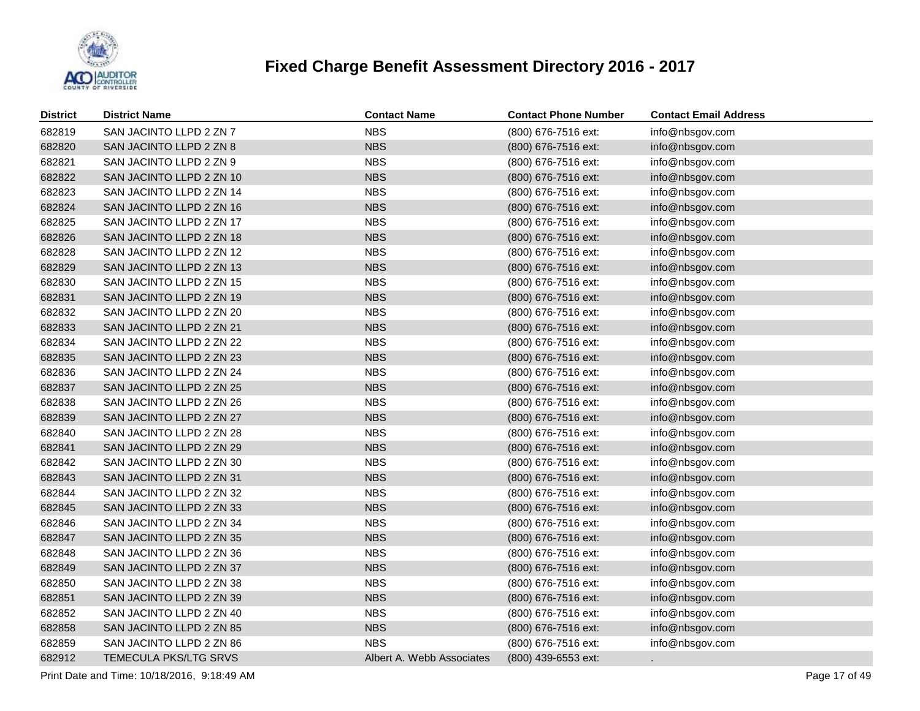

| <b>District</b> | <b>District Name</b>     | <b>Contact Name</b>       | <b>Contact Phone Number</b> | <b>Contact Email Address</b> |
|-----------------|--------------------------|---------------------------|-----------------------------|------------------------------|
| 682819          | SAN JACINTO LLPD 2 ZN 7  | <b>NBS</b>                | (800) 676-7516 ext:         | info@nbsgov.com              |
| 682820          | SAN JACINTO LLPD 2 ZN 8  | <b>NBS</b>                | (800) 676-7516 ext:         | info@nbsgov.com              |
| 682821          | SAN JACINTO LLPD 2 ZN 9  | <b>NBS</b>                | (800) 676-7516 ext:         | info@nbsgov.com              |
| 682822          | SAN JACINTO LLPD 2 ZN 10 | <b>NBS</b>                | (800) 676-7516 ext:         | info@nbsgov.com              |
| 682823          | SAN JACINTO LLPD 2 ZN 14 | <b>NBS</b>                | (800) 676-7516 ext:         | info@nbsgov.com              |
| 682824          | SAN JACINTO LLPD 2 ZN 16 | <b>NBS</b>                | (800) 676-7516 ext:         | info@nbsgov.com              |
| 682825          | SAN JACINTO LLPD 2 ZN 17 | <b>NBS</b>                | (800) 676-7516 ext:         | info@nbsgov.com              |
| 682826          | SAN JACINTO LLPD 2 ZN 18 | <b>NBS</b>                | (800) 676-7516 ext:         | info@nbsgov.com              |
| 682828          | SAN JACINTO LLPD 2 ZN 12 | <b>NBS</b>                | (800) 676-7516 ext:         | info@nbsgov.com              |
| 682829          | SAN JACINTO LLPD 2 ZN 13 | <b>NBS</b>                | (800) 676-7516 ext:         | info@nbsgov.com              |
| 682830          | SAN JACINTO LLPD 2 ZN 15 | <b>NBS</b>                | (800) 676-7516 ext:         | info@nbsgov.com              |
| 682831          | SAN JACINTO LLPD 2 ZN 19 | <b>NBS</b>                | (800) 676-7516 ext:         | info@nbsgov.com              |
| 682832          | SAN JACINTO LLPD 2 ZN 20 | <b>NBS</b>                | (800) 676-7516 ext:         | info@nbsgov.com              |
| 682833          | SAN JACINTO LLPD 2 ZN 21 | <b>NBS</b>                | (800) 676-7516 ext:         | info@nbsgov.com              |
| 682834          | SAN JACINTO LLPD 2 ZN 22 | <b>NBS</b>                | (800) 676-7516 ext:         | info@nbsgov.com              |
| 682835          | SAN JACINTO LLPD 2 ZN 23 | <b>NBS</b>                | (800) 676-7516 ext:         | info@nbsgov.com              |
| 682836          | SAN JACINTO LLPD 2 ZN 24 | <b>NBS</b>                | (800) 676-7516 ext:         | info@nbsgov.com              |
| 682837          | SAN JACINTO LLPD 2 ZN 25 | <b>NBS</b>                | (800) 676-7516 ext:         | info@nbsgov.com              |
| 682838          | SAN JACINTO LLPD 2 ZN 26 | <b>NBS</b>                | (800) 676-7516 ext:         | info@nbsgov.com              |
| 682839          | SAN JACINTO LLPD 2 ZN 27 | <b>NBS</b>                | (800) 676-7516 ext:         | info@nbsgov.com              |
| 682840          | SAN JACINTO LLPD 2 ZN 28 | <b>NBS</b>                | (800) 676-7516 ext:         | info@nbsgov.com              |
| 682841          | SAN JACINTO LLPD 2 ZN 29 | <b>NBS</b>                | (800) 676-7516 ext:         | info@nbsgov.com              |
| 682842          | SAN JACINTO LLPD 2 ZN 30 | <b>NBS</b>                | (800) 676-7516 ext:         | info@nbsgov.com              |
| 682843          | SAN JACINTO LLPD 2 ZN 31 | <b>NBS</b>                | (800) 676-7516 ext:         | info@nbsgov.com              |
| 682844          | SAN JACINTO LLPD 2 ZN 32 | <b>NBS</b>                | (800) 676-7516 ext:         | info@nbsgov.com              |
| 682845          | SAN JACINTO LLPD 2 ZN 33 | <b>NBS</b>                | (800) 676-7516 ext:         | info@nbsgov.com              |
| 682846          | SAN JACINTO LLPD 2 ZN 34 | <b>NBS</b>                | (800) 676-7516 ext:         | info@nbsgov.com              |
| 682847          | SAN JACINTO LLPD 2 ZN 35 | <b>NBS</b>                | (800) 676-7516 ext:         | info@nbsgov.com              |
| 682848          | SAN JACINTO LLPD 2 ZN 36 | <b>NBS</b>                | (800) 676-7516 ext:         | info@nbsgov.com              |
| 682849          | SAN JACINTO LLPD 2 ZN 37 | <b>NBS</b>                | (800) 676-7516 ext:         | info@nbsgov.com              |
| 682850          | SAN JACINTO LLPD 2 ZN 38 | <b>NBS</b>                | (800) 676-7516 ext:         | info@nbsgov.com              |
| 682851          | SAN JACINTO LLPD 2 ZN 39 | <b>NBS</b>                | (800) 676-7516 ext:         | info@nbsgov.com              |
| 682852          | SAN JACINTO LLPD 2 ZN 40 | <b>NBS</b>                | (800) 676-7516 ext:         | info@nbsgov.com              |
| 682858          | SAN JACINTO LLPD 2 ZN 85 | <b>NBS</b>                | (800) 676-7516 ext:         | info@nbsgov.com              |
| 682859          | SAN JACINTO LLPD 2 ZN 86 | <b>NBS</b>                | (800) 676-7516 ext:         | info@nbsgov.com              |
| 682912          | TEMECULA PKS/LTG SRVS    | Albert A. Webb Associates | (800) 439-6553 ext:         |                              |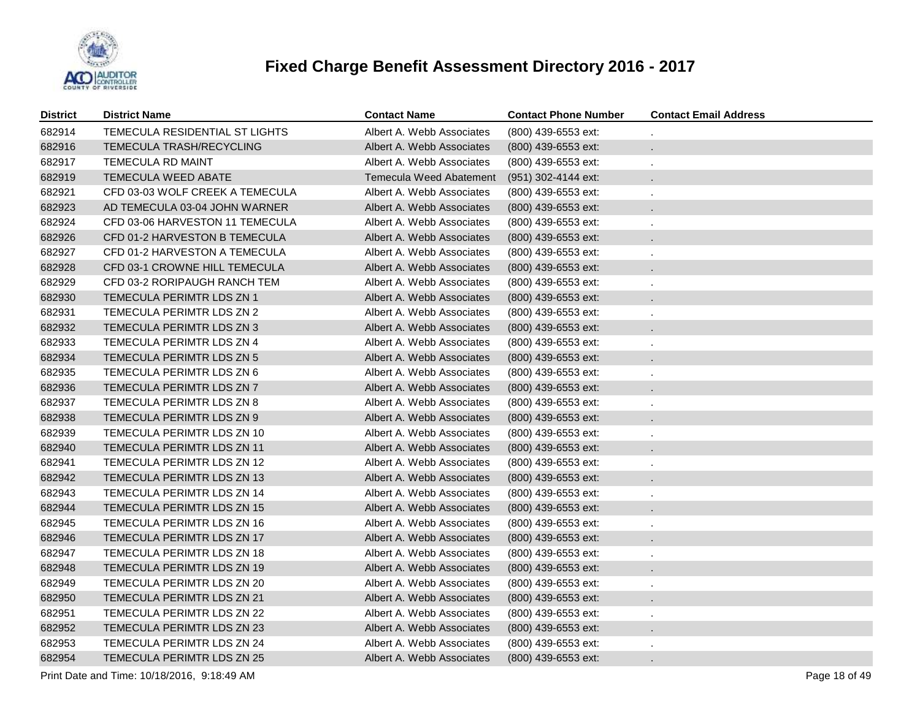

| District | <b>District Name</b>             | <b>Contact Name</b>            | <b>Contact Phone Number</b> | <b>Contact Email Address</b> |
|----------|----------------------------------|--------------------------------|-----------------------------|------------------------------|
| 682914   | TEMECULA RESIDENTIAL ST LIGHTS   | Albert A. Webb Associates      | (800) 439-6553 ext:         |                              |
| 682916   | TEMECULA TRASH/RECYCLING         | Albert A. Webb Associates      | $(800)$ 439-6553 ext:       | ¥.                           |
| 682917   | TEMECULA RD MAINT                | Albert A. Webb Associates      | (800) 439-6553 ext:         | ä,                           |
| 682919   | <b>TEMECULA WEED ABATE</b>       | <b>Temecula Weed Abatement</b> | (951) 302-4144 ext:         |                              |
| 682921   | CFD 03-03 WOLF CREEK A TEMECULA  | Albert A. Webb Associates      | $(800)$ 439-6553 ext:       | ä,                           |
| 682923   | AD TEMECULA 03-04 JOHN WARNER    | Albert A. Webb Associates      | (800) 439-6553 ext:         |                              |
| 682924   | CFD 03-06 HARVESTON 11 TEMECULA  | Albert A. Webb Associates      | (800) 439-6553 ext:         | ä,                           |
| 682926   | CFD 01-2 HARVESTON B TEMECULA    | Albert A. Webb Associates      | (800) 439-6553 ext:         |                              |
| 682927   | CFD 01-2 HARVESTON A TEMECULA    | Albert A. Webb Associates      | (800) 439-6553 ext:         | ä,                           |
| 682928   | CFD 03-1 CROWNE HILL TEMECULA    | Albert A. Webb Associates      | (800) 439-6553 ext:         |                              |
| 682929   | CFD 03-2 RORIPAUGH RANCH TEM     | Albert A. Webb Associates      | (800) 439-6553 ext:         | ä,                           |
| 682930   | <b>TEMECULA PERIMTR LDS ZN 1</b> | Albert A. Webb Associates      | (800) 439-6553 ext:         |                              |
| 682931   | TEMECULA PERIMTR LDS ZN 2        | Albert A. Webb Associates      | (800) 439-6553 ext:         | ä,                           |
| 682932   | TEMECULA PERIMTR LDS ZN 3        | Albert A. Webb Associates      | (800) 439-6553 ext:         |                              |
| 682933   | TEMECULA PERIMTR LDS ZN 4        | Albert A. Webb Associates      | (800) 439-6553 ext:         |                              |
| 682934   | TEMECULA PERIMTR LDS ZN 5        | Albert A. Webb Associates      | (800) 439-6553 ext:         | $\blacksquare$               |
| 682935   | TEMECULA PERIMTR LDS ZN 6        | Albert A. Webb Associates      | (800) 439-6553 ext:         |                              |
| 682936   | TEMECULA PERIMTR LDS ZN 7        | Albert A. Webb Associates      | (800) 439-6553 ext:         | $\blacksquare$               |
| 682937   | TEMECULA PERIMTR LDS ZN 8        | Albert A. Webb Associates      | (800) 439-6553 ext:         |                              |
| 682938   | TEMECULA PERIMTR LDS ZN 9        | Albert A. Webb Associates      | (800) 439-6553 ext:         | ä,                           |
| 682939   | TEMECULA PERIMTR LDS ZN 10       | Albert A. Webb Associates      | (800) 439-6553 ext:         |                              |
| 682940   | TEMECULA PERIMTR LDS ZN 11       | Albert A. Webb Associates      | (800) 439-6553 ext:         | ä,                           |
| 682941   | TEMECULA PERIMTR LDS ZN 12       | Albert A. Webb Associates      | (800) 439-6553 ext:         |                              |
| 682942   | TEMECULA PERIMTR LDS ZN 13       | Albert A. Webb Associates      | (800) 439-6553 ext:         |                              |
| 682943   | TEMECULA PERIMTR LDS ZN 14       | Albert A. Webb Associates      | (800) 439-6553 ext:         |                              |
| 682944   | TEMECULA PERIMTR LDS ZN 15       | Albert A. Webb Associates      | (800) 439-6553 ext:         | ä,                           |
| 682945   | TEMECULA PERIMTR LDS ZN 16       | Albert A. Webb Associates      | (800) 439-6553 ext:         |                              |
| 682946   | TEMECULA PERIMTR LDS ZN 17       | Albert A. Webb Associates      | (800) 439-6553 ext:         |                              |
| 682947   | TEMECULA PERIMTR LDS ZN 18       | Albert A. Webb Associates      | (800) 439-6553 ext:         |                              |
| 682948   | TEMECULA PERIMTR LDS ZN 19       | Albert A. Webb Associates      | (800) 439-6553 ext:         |                              |
| 682949   | TEMECULA PERIMTR LDS ZN 20       | Albert A. Webb Associates      | (800) 439-6553 ext:         |                              |
| 682950   | TEMECULA PERIMTR LDS ZN 21       | Albert A. Webb Associates      | (800) 439-6553 ext:         |                              |
| 682951   | TEMECULA PERIMTR LDS ZN 22       | Albert A. Webb Associates      | (800) 439-6553 ext:         |                              |
| 682952   | TEMECULA PERIMTR LDS ZN 23       | Albert A. Webb Associates      | (800) 439-6553 ext:         |                              |
| 682953   | TEMECULA PERIMTR LDS ZN 24       | Albert A. Webb Associates      | (800) 439-6553 ext:         |                              |
| 682954   | TEMECULA PERIMTR LDS ZN 25       | Albert A. Webb Associates      | (800) 439-6553 ext:         |                              |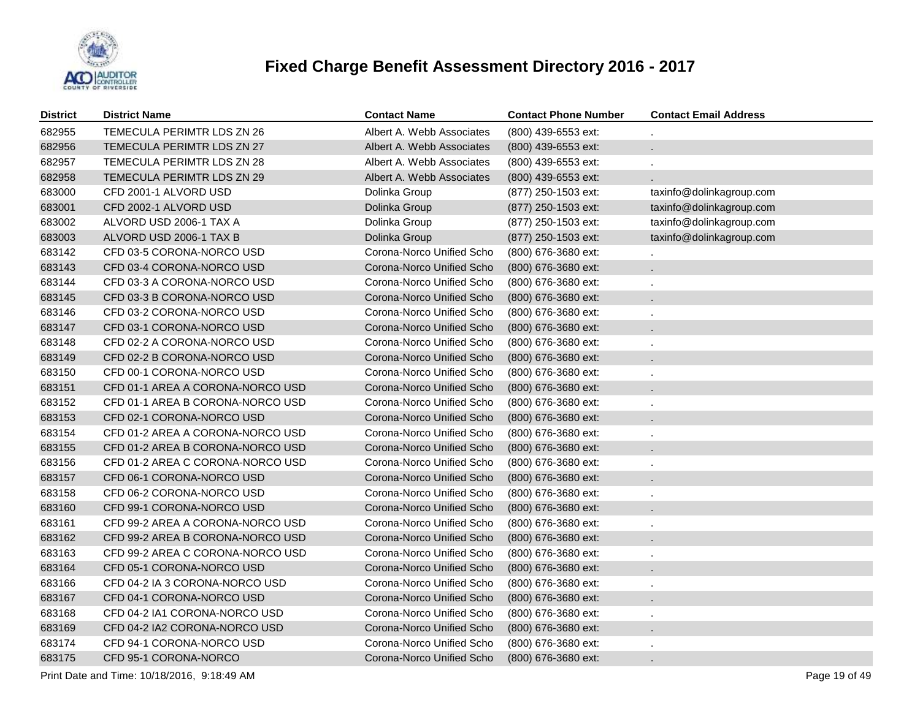

| <b>District</b> | <b>District Name</b>             | <b>Contact Name</b>       | <b>Contact Phone Number</b> | <b>Contact Email Address</b> |
|-----------------|----------------------------------|---------------------------|-----------------------------|------------------------------|
| 682955          | TEMECULA PERIMTR LDS ZN 26       | Albert A. Webb Associates | (800) 439-6553 ext:         |                              |
| 682956          | TEMECULA PERIMTR LDS ZN 27       | Albert A. Webb Associates | (800) 439-6553 ext:         |                              |
| 682957          | TEMECULA PERIMTR LDS ZN 28       | Albert A. Webb Associates | (800) 439-6553 ext:         |                              |
| 682958          | TEMECULA PERIMTR LDS ZN 29       | Albert A. Webb Associates | (800) 439-6553 ext:         |                              |
| 683000          | CFD 2001-1 ALVORD USD            | Dolinka Group             | (877) 250-1503 ext:         | taxinfo@dolinkagroup.com     |
| 683001          | CFD 2002-1 ALVORD USD            | Dolinka Group             | (877) 250-1503 ext:         | taxinfo@dolinkagroup.com     |
| 683002          | ALVORD USD 2006-1 TAX A          | Dolinka Group             | (877) 250-1503 ext:         | taxinfo@dolinkagroup.com     |
| 683003          | ALVORD USD 2006-1 TAX B          | Dolinka Group             | (877) 250-1503 ext:         | taxinfo@dolinkagroup.com     |
| 683142          | CFD 03-5 CORONA-NORCO USD        | Corona-Norco Unified Scho | (800) 676-3680 ext:         |                              |
| 683143          | CFD 03-4 CORONA-NORCO USD        | Corona-Norco Unified Scho | (800) 676-3680 ext:         |                              |
| 683144          | CFD 03-3 A CORONA-NORCO USD      | Corona-Norco Unified Scho | (800) 676-3680 ext:         |                              |
| 683145          | CFD 03-3 B CORONA-NORCO USD      | Corona-Norco Unified Scho | (800) 676-3680 ext:         |                              |
| 683146          | CFD 03-2 CORONA-NORCO USD        | Corona-Norco Unified Scho | $(800)$ 676-3680 ext:       |                              |
| 683147          | CFD 03-1 CORONA-NORCO USD        | Corona-Norco Unified Scho | (800) 676-3680 ext:         |                              |
| 683148          | CFD 02-2 A CORONA-NORCO USD      | Corona-Norco Unified Scho | (800) 676-3680 ext:         |                              |
| 683149          | CFD 02-2 B CORONA-NORCO USD      | Corona-Norco Unified Scho | $(800)$ 676-3680 ext:       |                              |
| 683150          | CFD 00-1 CORONA-NORCO USD        | Corona-Norco Unified Scho | (800) 676-3680 ext:         |                              |
| 683151          | CFD 01-1 AREA A CORONA-NORCO USD | Corona-Norco Unified Scho | (800) 676-3680 ext:         |                              |
| 683152          | CFD 01-1 AREA B CORONA-NORCO USD | Corona-Norco Unified Scho | (800) 676-3680 ext:         |                              |
| 683153          | CFD 02-1 CORONA-NORCO USD        | Corona-Norco Unified Scho | (800) 676-3680 ext:         |                              |
| 683154          | CFD 01-2 AREA A CORONA-NORCO USD | Corona-Norco Unified Scho | (800) 676-3680 ext:         |                              |
| 683155          | CFD 01-2 AREA B CORONA-NORCO USD | Corona-Norco Unified Scho | (800) 676-3680 ext:         |                              |
| 683156          | CFD 01-2 AREA C CORONA-NORCO USD | Corona-Norco Unified Scho | (800) 676-3680 ext:         |                              |
| 683157          | CFD 06-1 CORONA-NORCO USD        | Corona-Norco Unified Scho | (800) 676-3680 ext:         |                              |
| 683158          | CFD 06-2 CORONA-NORCO USD        | Corona-Norco Unified Scho | (800) 676-3680 ext:         |                              |
| 683160          | CFD 99-1 CORONA-NORCO USD        | Corona-Norco Unified Scho | (800) 676-3680 ext:         |                              |
| 683161          | CFD 99-2 AREA A CORONA-NORCO USD | Corona-Norco Unified Scho | (800) 676-3680 ext:         |                              |
| 683162          | CFD 99-2 AREA B CORONA-NORCO USD | Corona-Norco Unified Scho | (800) 676-3680 ext:         |                              |
| 683163          | CFD 99-2 AREA C CORONA-NORCO USD | Corona-Norco Unified Scho | (800) 676-3680 ext:         |                              |
| 683164          | CFD 05-1 CORONA-NORCO USD        | Corona-Norco Unified Scho | (800) 676-3680 ext:         |                              |
| 683166          | CFD 04-2 IA 3 CORONA-NORCO USD   | Corona-Norco Unified Scho | (800) 676-3680 ext:         |                              |
| 683167          | CFD 04-1 CORONA-NORCO USD        | Corona-Norco Unified Scho | (800) 676-3680 ext:         |                              |
| 683168          | CFD 04-2 IA1 CORONA-NORCO USD    | Corona-Norco Unified Scho | (800) 676-3680 ext:         |                              |
| 683169          | CFD 04-2 IA2 CORONA-NORCO USD    | Corona-Norco Unified Scho | (800) 676-3680 ext:         |                              |
| 683174          | CFD 94-1 CORONA-NORCO USD        | Corona-Norco Unified Scho | (800) 676-3680 ext:         |                              |
| 683175          | CFD 95-1 CORONA-NORCO            | Corona-Norco Unified Scho | (800) 676-3680 ext:         |                              |
|                 |                                  |                           |                             |                              |

Print Date and Time: 10/18/2016, 9:18:49 AM Page 19 of 49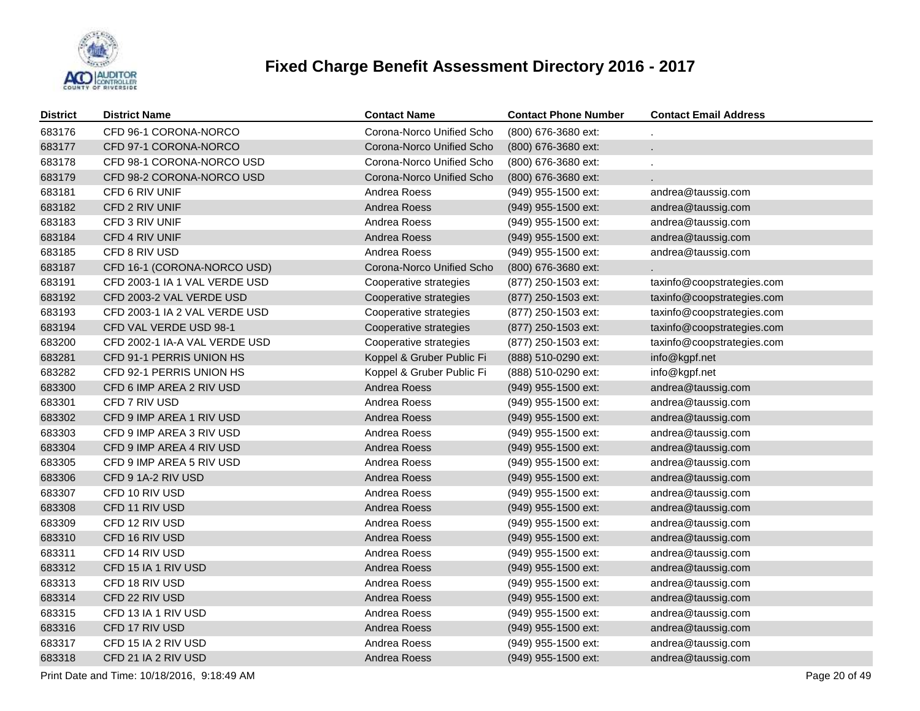

| <b>District</b> | <b>District Name</b>          | <b>Contact Name</b>       | <b>Contact Phone Number</b> | <b>Contact Email Address</b> |
|-----------------|-------------------------------|---------------------------|-----------------------------|------------------------------|
| 683176          | CFD 96-1 CORONA-NORCO         | Corona-Norco Unified Scho | (800) 676-3680 ext:         |                              |
| 683177          | CFD 97-1 CORONA-NORCO         | Corona-Norco Unified Scho | (800) 676-3680 ext:         |                              |
| 683178          | CFD 98-1 CORONA-NORCO USD     | Corona-Norco Unified Scho | (800) 676-3680 ext:         |                              |
| 683179          | CFD 98-2 CORONA-NORCO USD     | Corona-Norco Unified Scho | (800) 676-3680 ext:         |                              |
| 683181          | CFD 6 RIV UNIF                | Andrea Roess              | (949) 955-1500 ext:         | andrea@taussig.com           |
| 683182          | CFD 2 RIV UNIF                | Andrea Roess              | (949) 955-1500 ext:         | andrea@taussig.com           |
| 683183          | CFD 3 RIV UNIF                | Andrea Roess              | (949) 955-1500 ext:         | andrea@taussig.com           |
| 683184          | CFD 4 RIV UNIF                | Andrea Roess              | (949) 955-1500 ext:         | andrea@taussig.com           |
| 683185          | CFD 8 RIV USD                 | Andrea Roess              | (949) 955-1500 ext:         | andrea@taussig.com           |
| 683187          | CFD 16-1 (CORONA-NORCO USD)   | Corona-Norco Unified Scho | (800) 676-3680 ext:         |                              |
| 683191          | CFD 2003-1 IA 1 VAL VERDE USD | Cooperative strategies    | (877) 250-1503 ext:         | taxinfo@coopstrategies.com   |
| 683192          | CFD 2003-2 VAL VERDE USD      | Cooperative strategies    | (877) 250-1503 ext:         | taxinfo@coopstrategies.com   |
| 683193          | CFD 2003-1 IA 2 VAL VERDE USD | Cooperative strategies    | (877) 250-1503 ext:         | taxinfo@coopstrategies.com   |
| 683194          | CFD VAL VERDE USD 98-1        | Cooperative strategies    | (877) 250-1503 ext:         | taxinfo@coopstrategies.com   |
| 683200          | CFD 2002-1 IA-A VAL VERDE USD | Cooperative strategies    | (877) 250-1503 ext:         | taxinfo@coopstrategies.com   |
| 683281          | CFD 91-1 PERRIS UNION HS      | Koppel & Gruber Public Fi | (888) 510-0290 ext:         | info@kgpf.net                |
| 683282          | CFD 92-1 PERRIS UNION HS      | Koppel & Gruber Public Fi | (888) 510-0290 ext:         | info@kgpf.net                |
| 683300          | CFD 6 IMP AREA 2 RIV USD      | Andrea Roess              | (949) 955-1500 ext:         | andrea@taussig.com           |
| 683301          | CFD 7 RIV USD                 | Andrea Roess              | (949) 955-1500 ext:         | andrea@taussig.com           |
| 683302          | CFD 9 IMP AREA 1 RIV USD      | Andrea Roess              | (949) 955-1500 ext:         | andrea@taussig.com           |
| 683303          | CFD 9 IMP AREA 3 RIV USD      | Andrea Roess              | (949) 955-1500 ext:         | andrea@taussig.com           |
| 683304          | CFD 9 IMP AREA 4 RIV USD      | Andrea Roess              | (949) 955-1500 ext:         | andrea@taussig.com           |
| 683305          | CFD 9 IMP AREA 5 RIV USD      | Andrea Roess              | (949) 955-1500 ext:         | andrea@taussig.com           |
| 683306          | CFD 9 1A-2 RIV USD            | Andrea Roess              | (949) 955-1500 ext:         | andrea@taussig.com           |
| 683307          | CFD 10 RIV USD                | Andrea Roess              | (949) 955-1500 ext:         | andrea@taussig.com           |
| 683308          | CFD 11 RIV USD                | Andrea Roess              | (949) 955-1500 ext:         | andrea@taussig.com           |
| 683309          | CFD 12 RIV USD                | Andrea Roess              | (949) 955-1500 ext:         | andrea@taussig.com           |
| 683310          | CFD 16 RIV USD                | Andrea Roess              | (949) 955-1500 ext:         | andrea@taussig.com           |
| 683311          | CFD 14 RIV USD                | Andrea Roess              | (949) 955-1500 ext:         | andrea@taussig.com           |
| 683312          | CFD 15 IA 1 RIV USD           | Andrea Roess              | (949) 955-1500 ext:         | andrea@taussig.com           |
| 683313          | CFD 18 RIV USD                | Andrea Roess              | (949) 955-1500 ext:         | andrea@taussig.com           |
| 683314          | CFD 22 RIV USD                | Andrea Roess              | (949) 955-1500 ext:         | andrea@taussig.com           |
| 683315          | CFD 13 IA 1 RIV USD           | Andrea Roess              | (949) 955-1500 ext:         | andrea@taussig.com           |
| 683316          | CFD 17 RIV USD                | Andrea Roess              | (949) 955-1500 ext:         | andrea@taussig.com           |
| 683317          | CFD 15 IA 2 RIV USD           | Andrea Roess              | (949) 955-1500 ext:         | andrea@taussig.com           |
| 683318          | CFD 21 IA 2 RIV USD           | Andrea Roess              | (949) 955-1500 ext:         | andrea@taussig.com           |
|                 |                               |                           |                             |                              |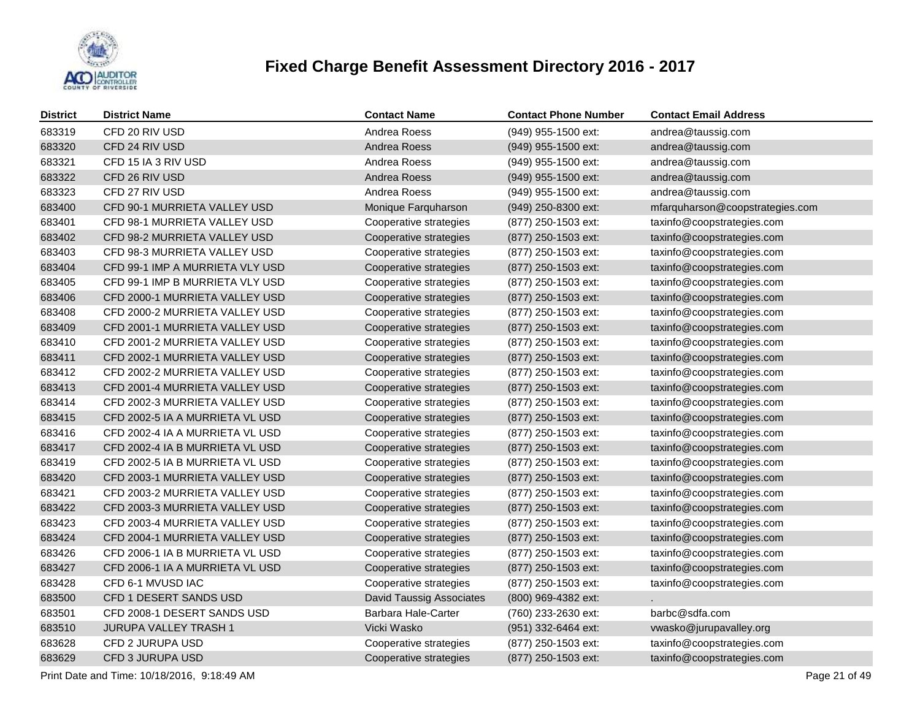

| <b>District</b> | <b>District Name</b>            | <b>Contact Name</b>             | <b>Contact Phone Number</b> | <b>Contact Email Address</b>    |
|-----------------|---------------------------------|---------------------------------|-----------------------------|---------------------------------|
| 683319          | CFD 20 RIV USD                  | Andrea Roess                    | (949) 955-1500 ext:         | andrea@taussig.com              |
| 683320          | CFD 24 RIV USD                  | Andrea Roess                    | (949) 955-1500 ext:         | andrea@taussig.com              |
| 683321          | CFD 15 IA 3 RIV USD             | Andrea Roess                    | (949) 955-1500 ext:         | andrea@taussig.com              |
| 683322          | CFD 26 RIV USD                  | Andrea Roess                    | (949) 955-1500 ext:         | andrea@taussig.com              |
| 683323          | CFD 27 RIV USD                  | Andrea Roess                    | (949) 955-1500 ext:         | andrea@taussig.com              |
| 683400          | CFD 90-1 MURRIETA VALLEY USD    | Monique Farquharson             | (949) 250-8300 ext:         | mfarquharson@coopstrategies.com |
| 683401          | CFD 98-1 MURRIETA VALLEY USD    | Cooperative strategies          | (877) 250-1503 ext:         | taxinfo@coopstrategies.com      |
| 683402          | CFD 98-2 MURRIETA VALLEY USD    | Cooperative strategies          | (877) 250-1503 ext:         | taxinfo@coopstrategies.com      |
| 683403          | CFD 98-3 MURRIETA VALLEY USD    | Cooperative strategies          | (877) 250-1503 ext:         | taxinfo@coopstrategies.com      |
| 683404          | CFD 99-1 IMP A MURRIETA VLY USD | Cooperative strategies          | (877) 250-1503 ext:         | taxinfo@coopstrategies.com      |
| 683405          | CFD 99-1 IMP B MURRIETA VLY USD | Cooperative strategies          | (877) 250-1503 ext:         | taxinfo@coopstrategies.com      |
| 683406          | CFD 2000-1 MURRIETA VALLEY USD  | Cooperative strategies          | (877) 250-1503 ext:         | taxinfo@coopstrategies.com      |
| 683408          | CFD 2000-2 MURRIETA VALLEY USD  | Cooperative strategies          | (877) 250-1503 ext:         | taxinfo@coopstrategies.com      |
| 683409          | CFD 2001-1 MURRIETA VALLEY USD  | Cooperative strategies          | (877) 250-1503 ext:         | taxinfo@coopstrategies.com      |
| 683410          | CFD 2001-2 MURRIETA VALLEY USD  | Cooperative strategies          | (877) 250-1503 ext:         | taxinfo@coopstrategies.com      |
| 683411          | CFD 2002-1 MURRIETA VALLEY USD  | Cooperative strategies          | (877) 250-1503 ext:         | taxinfo@coopstrategies.com      |
| 683412          | CFD 2002-2 MURRIETA VALLEY USD  | Cooperative strategies          | (877) 250-1503 ext:         | taxinfo@coopstrategies.com      |
| 683413          | CFD 2001-4 MURRIETA VALLEY USD  | Cooperative strategies          | (877) 250-1503 ext:         | taxinfo@coopstrategies.com      |
| 683414          | CFD 2002-3 MURRIETA VALLEY USD  | Cooperative strategies          | (877) 250-1503 ext:         | taxinfo@coopstrategies.com      |
| 683415          | CFD 2002-5 IA A MURRIETA VL USD | Cooperative strategies          | (877) 250-1503 ext:         | taxinfo@coopstrategies.com      |
| 683416          | CFD 2002-4 IA A MURRIETA VL USD | Cooperative strategies          | (877) 250-1503 ext:         | taxinfo@coopstrategies.com      |
| 683417          | CFD 2002-4 IA B MURRIETA VL USD | Cooperative strategies          | (877) 250-1503 ext:         | taxinfo@coopstrategies.com      |
| 683419          | CFD 2002-5 IA B MURRIETA VL USD | Cooperative strategies          | (877) 250-1503 ext:         | taxinfo@coopstrategies.com      |
| 683420          | CFD 2003-1 MURRIETA VALLEY USD  | Cooperative strategies          | (877) 250-1503 ext:         | taxinfo@coopstrategies.com      |
| 683421          | CFD 2003-2 MURRIETA VALLEY USD  | Cooperative strategies          | (877) 250-1503 ext:         | taxinfo@coopstrategies.com      |
| 683422          | CFD 2003-3 MURRIETA VALLEY USD  | Cooperative strategies          | (877) 250-1503 ext:         | taxinfo@coopstrategies.com      |
| 683423          | CFD 2003-4 MURRIETA VALLEY USD  | Cooperative strategies          | (877) 250-1503 ext:         | taxinfo@coopstrategies.com      |
| 683424          | CFD 2004-1 MURRIETA VALLEY USD  | Cooperative strategies          | (877) 250-1503 ext:         | taxinfo@coopstrategies.com      |
| 683426          | CFD 2006-1 IA B MURRIETA VL USD | Cooperative strategies          | (877) 250-1503 ext:         | taxinfo@coopstrategies.com      |
| 683427          | CFD 2006-1 IA A MURRIETA VL USD | Cooperative strategies          | (877) 250-1503 ext:         | taxinfo@coopstrategies.com      |
| 683428          | CFD 6-1 MVUSD IAC               | Cooperative strategies          | (877) 250-1503 ext:         | taxinfo@coopstrategies.com      |
| 683500          | CFD 1 DESERT SANDS USD          | <b>David Taussig Associates</b> | (800) 969-4382 ext:         |                                 |
| 683501          | CFD 2008-1 DESERT SANDS USD     | Barbara Hale-Carter             | (760) 233-2630 ext:         | barbc@sdfa.com                  |
| 683510          | <b>JURUPA VALLEY TRASH 1</b>    | Vicki Wasko                     | (951) 332-6464 ext:         | vwasko@jurupavalley.org         |
| 683628          | CFD 2 JURUPA USD                | Cooperative strategies          | (877) 250-1503 ext:         | taxinfo@coopstrategies.com      |
| 683629          | CFD 3 JURUPA USD                | Cooperative strategies          | (877) 250-1503 ext:         | taxinfo@coopstrategies.com      |
|                 |                                 |                                 |                             |                                 |

Print Date and Time: 10/18/2016, 9:18:49 AM Page 21 of 49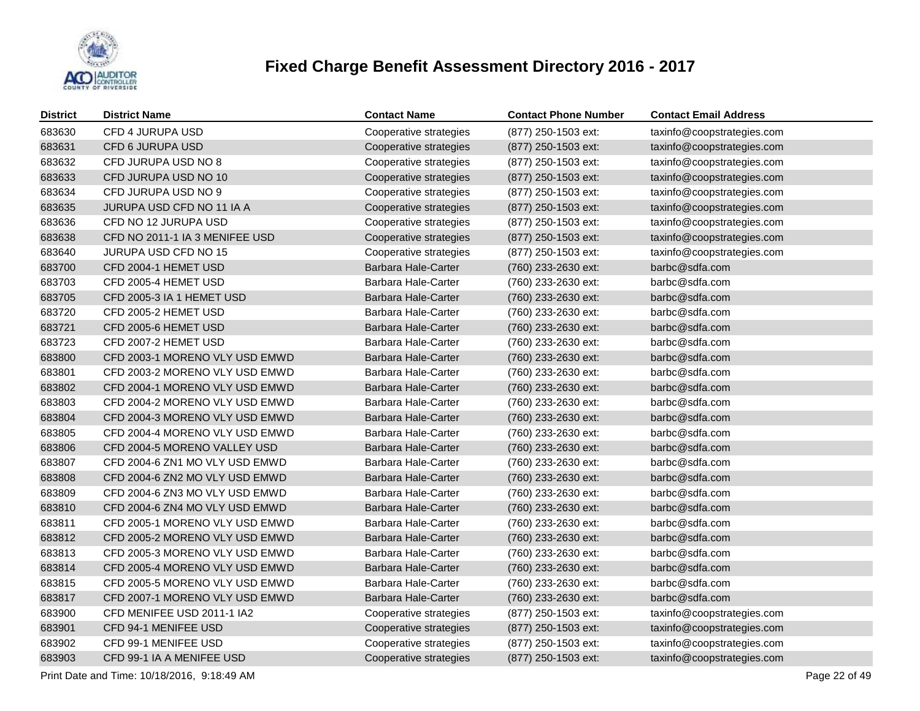

| <b>District</b> | <b>District Name</b>           | <b>Contact Name</b>    | <b>Contact Phone Number</b> | <b>Contact Email Address</b> |
|-----------------|--------------------------------|------------------------|-----------------------------|------------------------------|
| 683630          | CFD 4 JURUPA USD               | Cooperative strategies | (877) 250-1503 ext:         | taxinfo@coopstrategies.com   |
| 683631          | CFD 6 JURUPA USD               | Cooperative strategies | (877) 250-1503 ext:         | taxinfo@coopstrategies.com   |
| 683632          | CFD JURUPA USD NO 8            | Cooperative strategies | (877) 250-1503 ext:         | taxinfo@coopstrategies.com   |
| 683633          | CFD JURUPA USD NO 10           | Cooperative strategies | (877) 250-1503 ext:         | taxinfo@coopstrategies.com   |
| 683634          | CFD JURUPA USD NO 9            | Cooperative strategies | (877) 250-1503 ext:         | taxinfo@coopstrategies.com   |
| 683635          | JURUPA USD CFD NO 11 IA A      | Cooperative strategies | (877) 250-1503 ext:         | taxinfo@coopstrategies.com   |
| 683636          | CFD NO 12 JURUPA USD           | Cooperative strategies | (877) 250-1503 ext:         | taxinfo@coopstrategies.com   |
| 683638          | CFD NO 2011-1 IA 3 MENIFEE USD | Cooperative strategies | (877) 250-1503 ext:         | taxinfo@coopstrategies.com   |
| 683640          | JURUPA USD CFD NO 15           | Cooperative strategies | (877) 250-1503 ext:         | taxinfo@coopstrategies.com   |
| 683700          | CFD 2004-1 HEMET USD           | Barbara Hale-Carter    | (760) 233-2630 ext:         | barbc@sdfa.com               |
| 683703          | CFD 2005-4 HEMET USD           | Barbara Hale-Carter    | (760) 233-2630 ext:         | barbc@sdfa.com               |
| 683705          | CFD 2005-3 IA 1 HEMET USD      | Barbara Hale-Carter    | (760) 233-2630 ext:         | barbc@sdfa.com               |
| 683720          | CFD 2005-2 HEMET USD           | Barbara Hale-Carter    | (760) 233-2630 ext:         | barbc@sdfa.com               |
| 683721          | CFD 2005-6 HEMET USD           | Barbara Hale-Carter    | (760) 233-2630 ext:         | barbc@sdfa.com               |
| 683723          | CFD 2007-2 HEMET USD           | Barbara Hale-Carter    | (760) 233-2630 ext:         | barbc@sdfa.com               |
| 683800          | CFD 2003-1 MORENO VLY USD EMWD | Barbara Hale-Carter    | (760) 233-2630 ext:         | barbc@sdfa.com               |
| 683801          | CFD 2003-2 MORENO VLY USD EMWD | Barbara Hale-Carter    | (760) 233-2630 ext:         | barbc@sdfa.com               |
| 683802          | CFD 2004-1 MORENO VLY USD EMWD | Barbara Hale-Carter    | (760) 233-2630 ext:         | barbc@sdfa.com               |
| 683803          | CFD 2004-2 MORENO VLY USD EMWD | Barbara Hale-Carter    | (760) 233-2630 ext:         | barbc@sdfa.com               |
| 683804          | CFD 2004-3 MORENO VLY USD EMWD | Barbara Hale-Carter    | (760) 233-2630 ext:         | barbc@sdfa.com               |
| 683805          | CFD 2004-4 MORENO VLY USD EMWD | Barbara Hale-Carter    | (760) 233-2630 ext:         | barbc@sdfa.com               |
| 683806          | CFD 2004-5 MORENO VALLEY USD   | Barbara Hale-Carter    | (760) 233-2630 ext:         | barbc@sdfa.com               |
| 683807          | CFD 2004-6 ZN1 MO VLY USD EMWD | Barbara Hale-Carter    | (760) 233-2630 ext:         | barbc@sdfa.com               |
| 683808          | CFD 2004-6 ZN2 MO VLY USD EMWD | Barbara Hale-Carter    | (760) 233-2630 ext:         | barbc@sdfa.com               |
| 683809          | CFD 2004-6 ZN3 MO VLY USD EMWD | Barbara Hale-Carter    | (760) 233-2630 ext:         | barbc@sdfa.com               |
| 683810          | CFD 2004-6 ZN4 MO VLY USD EMWD | Barbara Hale-Carter    | (760) 233-2630 ext:         | barbc@sdfa.com               |
| 683811          | CFD 2005-1 MORENO VLY USD EMWD | Barbara Hale-Carter    | (760) 233-2630 ext:         | barbc@sdfa.com               |
| 683812          | CFD 2005-2 MORENO VLY USD EMWD | Barbara Hale-Carter    | (760) 233-2630 ext:         | barbc@sdfa.com               |
| 683813          | CFD 2005-3 MORENO VLY USD EMWD | Barbara Hale-Carter    | (760) 233-2630 ext:         | barbc@sdfa.com               |
| 683814          | CFD 2005-4 MORENO VLY USD EMWD | Barbara Hale-Carter    | (760) 233-2630 ext:         | barbc@sdfa.com               |
| 683815          | CFD 2005-5 MORENO VLY USD EMWD | Barbara Hale-Carter    | (760) 233-2630 ext:         | barbc@sdfa.com               |
| 683817          | CFD 2007-1 MORENO VLY USD EMWD | Barbara Hale-Carter    | (760) 233-2630 ext:         | barbc@sdfa.com               |
| 683900          | CFD MENIFEE USD 2011-1 IA2     | Cooperative strategies | (877) 250-1503 ext:         | taxinfo@coopstrategies.com   |
| 683901          | CFD 94-1 MENIFEE USD           | Cooperative strategies | (877) 250-1503 ext:         | taxinfo@coopstrategies.com   |
| 683902          | CFD 99-1 MENIFEE USD           | Cooperative strategies | (877) 250-1503 ext:         | taxinfo@coopstrategies.com   |
| 683903          | CFD 99-1 IA A MENIFEE USD      | Cooperative strategies | (877) 250-1503 ext:         | taxinfo@coopstrategies.com   |
|                 |                                |                        |                             |                              |

Print Date and Time: 10/18/2016, 9:18:49 AM Page 22 of 49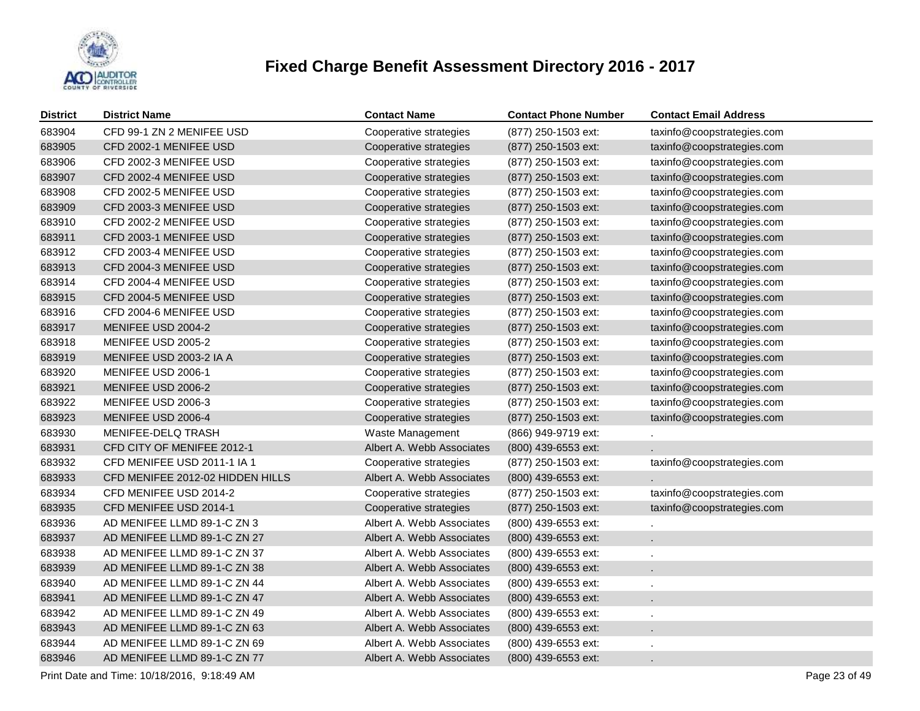

| <b>District</b> | <b>District Name</b>             | <b>Contact Name</b>       | <b>Contact Phone Number</b> | <b>Contact Email Address</b> |
|-----------------|----------------------------------|---------------------------|-----------------------------|------------------------------|
| 683904          | CFD 99-1 ZN 2 MENIFEE USD        | Cooperative strategies    | (877) 250-1503 ext:         | taxinfo@coopstrategies.com   |
| 683905          | CFD 2002-1 MENIFEE USD           | Cooperative strategies    | $(877)$ 250-1503 ext:       | taxinfo@coopstrategies.com   |
| 683906          | CFD 2002-3 MENIFEE USD           | Cooperative strategies    | (877) 250-1503 ext:         | taxinfo@coopstrategies.com   |
| 683907          | CFD 2002-4 MENIFEE USD           | Cooperative strategies    | (877) 250-1503 ext:         | taxinfo@coopstrategies.com   |
| 683908          | CFD 2002-5 MENIFEE USD           | Cooperative strategies    | (877) 250-1503 ext:         | taxinfo@coopstrategies.com   |
| 683909          | CFD 2003-3 MENIFEE USD           | Cooperative strategies    | $(877)$ 250-1503 ext:       | taxinfo@coopstrategies.com   |
| 683910          | CFD 2002-2 MENIFEE USD           | Cooperative strategies    | (877) 250-1503 ext:         | taxinfo@coopstrategies.com   |
| 683911          | CFD 2003-1 MENIFEE USD           | Cooperative strategies    | $(877)$ 250-1503 ext:       | taxinfo@coopstrategies.com   |
| 683912          | CFD 2003-4 MENIFEE USD           | Cooperative strategies    | (877) 250-1503 ext:         | taxinfo@coopstrategies.com   |
| 683913          | CFD 2004-3 MENIFEE USD           | Cooperative strategies    | $(877)$ 250-1503 ext:       | taxinfo@coopstrategies.com   |
| 683914          | CFD 2004-4 MENIFEE USD           | Cooperative strategies    | (877) 250-1503 ext:         | taxinfo@coopstrategies.com   |
| 683915          | CFD 2004-5 MENIFEE USD           | Cooperative strategies    | (877) 250-1503 ext:         | taxinfo@coopstrategies.com   |
| 683916          | CFD 2004-6 MENIFEE USD           | Cooperative strategies    | (877) 250-1503 ext:         | taxinfo@coopstrategies.com   |
| 683917          | MENIFEE USD 2004-2               | Cooperative strategies    | (877) 250-1503 ext:         | taxinfo@coopstrategies.com   |
| 683918          | MENIFEE USD 2005-2               | Cooperative strategies    | (877) 250-1503 ext:         | taxinfo@coopstrategies.com   |
| 683919          | MENIFEE USD 2003-2 IA A          | Cooperative strategies    | (877) 250-1503 ext:         | taxinfo@coopstrategies.com   |
| 683920          | MENIFEE USD 2006-1               | Cooperative strategies    | (877) 250-1503 ext:         | taxinfo@coopstrategies.com   |
| 683921          | MENIFEE USD 2006-2               | Cooperative strategies    | (877) 250-1503 ext:         | taxinfo@coopstrategies.com   |
| 683922          | MENIFEE USD 2006-3               | Cooperative strategies    | (877) 250-1503 ext:         | taxinfo@coopstrategies.com   |
| 683923          | MENIFEE USD 2006-4               | Cooperative strategies    | (877) 250-1503 ext:         | taxinfo@coopstrategies.com   |
| 683930          | MENIFEE-DELQ TRASH               | Waste Management          | (866) 949-9719 ext:         |                              |
| 683931          | CFD CITY OF MENIFEE 2012-1       | Albert A. Webb Associates | (800) 439-6553 ext:         |                              |
| 683932          | CFD MENIFEE USD 2011-1 IA 1      | Cooperative strategies    | (877) 250-1503 ext:         | taxinfo@coopstrategies.com   |
| 683933          | CFD MENIFEE 2012-02 HIDDEN HILLS | Albert A. Webb Associates | (800) 439-6553 ext:         |                              |
| 683934          | CFD MENIFEE USD 2014-2           | Cooperative strategies    | (877) 250-1503 ext:         | taxinfo@coopstrategies.com   |
| 683935          | CFD MENIFEE USD 2014-1           | Cooperative strategies    | (877) 250-1503 ext:         | taxinfo@coopstrategies.com   |
| 683936          | AD MENIFEE LLMD 89-1-C ZN 3      | Albert A. Webb Associates | (800) 439-6553 ext:         |                              |
| 683937          | AD MENIFEE LLMD 89-1-C ZN 27     | Albert A. Webb Associates | (800) 439-6553 ext:         | ä,                           |
| 683938          | AD MENIFEE LLMD 89-1-C ZN 37     | Albert A. Webb Associates | (800) 439-6553 ext:         | ä,                           |
| 683939          | AD MENIFEE LLMD 89-1-C ZN 38     | Albert A. Webb Associates | (800) 439-6553 ext:         | ä.                           |
| 683940          | AD MENIFEE LLMD 89-1-C ZN 44     | Albert A. Webb Associates | (800) 439-6553 ext:         | ä,                           |
| 683941          | AD MENIFEE LLMD 89-1-C ZN 47     | Albert A. Webb Associates | (800) 439-6553 ext:         | ÷.                           |
| 683942          | AD MENIFEE LLMD 89-1-C ZN 49     | Albert A. Webb Associates | (800) 439-6553 ext:         | ä,                           |
| 683943          | AD MENIFEE LLMD 89-1-C ZN 63     | Albert A. Webb Associates | (800) 439-6553 ext:         | ÷.                           |
| 683944          | AD MENIFEE LLMD 89-1-C ZN 69     | Albert A. Webb Associates | $(800)$ 439-6553 ext:       |                              |
| 683946          | AD MENIFEE LLMD 89-1-C ZN 77     | Albert A. Webb Associates | (800) 439-6553 ext:         | ÷.                           |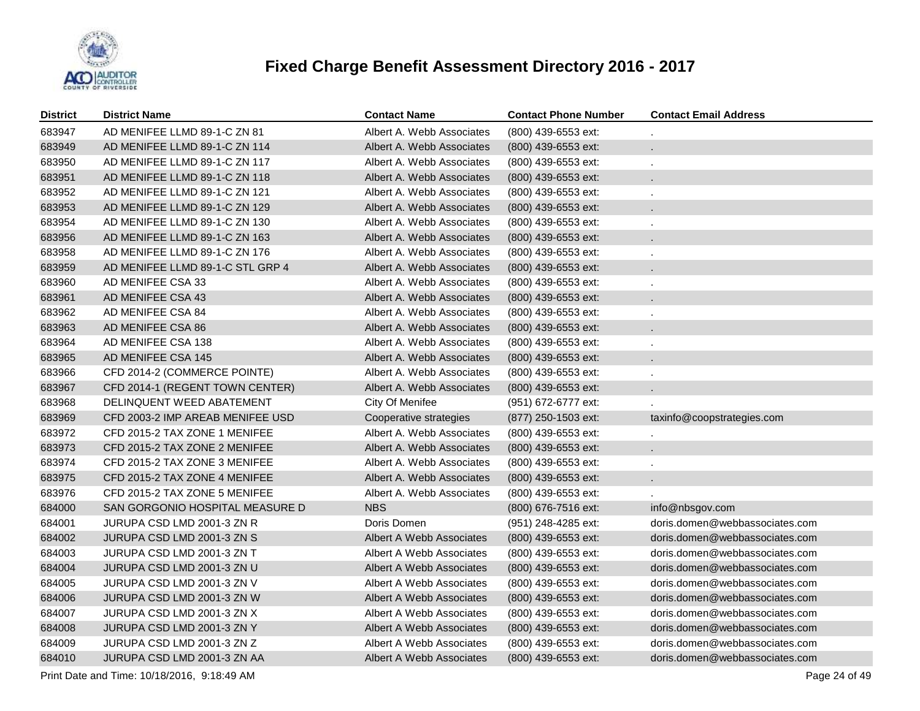

| <b>District</b> | <b>District Name</b>             | <b>Contact Name</b>       | <b>Contact Phone Number</b> | <b>Contact Email Address</b>   |
|-----------------|----------------------------------|---------------------------|-----------------------------|--------------------------------|
| 683947          | AD MENIFEE LLMD 89-1-C ZN 81     | Albert A. Webb Associates | (800) 439-6553 ext:         |                                |
| 683949          | AD MENIFEE LLMD 89-1-C ZN 114    | Albert A. Webb Associates | (800) 439-6553 ext:         |                                |
| 683950          | AD MENIFEE LLMD 89-1-C ZN 117    | Albert A. Webb Associates | (800) 439-6553 ext:         |                                |
| 683951          | AD MENIFEE LLMD 89-1-C ZN 118    | Albert A. Webb Associates | (800) 439-6553 ext:         | $\mathbf{r}$                   |
| 683952          | AD MENIFEE LLMD 89-1-C ZN 121    | Albert A. Webb Associates | (800) 439-6553 ext:         | ä,                             |
| 683953          | AD MENIFEE LLMD 89-1-C ZN 129    | Albert A. Webb Associates | (800) 439-6553 ext:         | ×.                             |
| 683954          | AD MENIFEE LLMD 89-1-C ZN 130    | Albert A. Webb Associates | (800) 439-6553 ext:         | ä,                             |
| 683956          | AD MENIFEE LLMD 89-1-C ZN 163    | Albert A. Webb Associates | (800) 439-6553 ext:         | ×.                             |
| 683958          | AD MENIFEE LLMD 89-1-C ZN 176    | Albert A. Webb Associates | (800) 439-6553 ext:         | ä,                             |
| 683959          | AD MENIFEE LLMD 89-1-C STL GRP 4 | Albert A. Webb Associates | (800) 439-6553 ext:         |                                |
| 683960          | AD MENIFEE CSA 33                | Albert A. Webb Associates | (800) 439-6553 ext:         | ä,                             |
| 683961          | AD MENIFEE CSA 43                | Albert A. Webb Associates | $(800)$ 439-6553 ext:       |                                |
| 683962          | AD MENIFEE CSA 84                | Albert A. Webb Associates | (800) 439-6553 ext:         | ä,                             |
| 683963          | AD MENIFEE CSA 86                | Albert A. Webb Associates | $(800)$ 439-6553 ext:       |                                |
| 683964          | AD MENIFEE CSA 138               | Albert A. Webb Associates | (800) 439-6553 ext:         | ä,                             |
| 683965          | AD MENIFEE CSA 145               | Albert A. Webb Associates | $(800)$ 439-6553 ext:       |                                |
| 683966          | CFD 2014-2 (COMMERCE POINTE)     | Albert A. Webb Associates | (800) 439-6553 ext:         |                                |
| 683967          | CFD 2014-1 (REGENT TOWN CENTER)  | Albert A. Webb Associates | $(800)$ 439-6553 ext:       |                                |
| 683968          | DELINQUENT WEED ABATEMENT        | City Of Menifee           | (951) 672-6777 ext:         |                                |
| 683969          | CFD 2003-2 IMP AREAB MENIFEE USD | Cooperative strategies    | (877) 250-1503 ext:         | taxinfo@coopstrategies.com     |
| 683972          | CFD 2015-2 TAX ZONE 1 MENIFEE    | Albert A. Webb Associates | $(800)$ 439-6553 ext:       |                                |
| 683973          | CFD 2015-2 TAX ZONE 2 MENIFEE    | Albert A. Webb Associates | $(800)$ 439-6553 ext:       |                                |
| 683974          | CFD 2015-2 TAX ZONE 3 MENIFEE    | Albert A. Webb Associates | $(800)$ 439-6553 ext:       |                                |
| 683975          | CFD 2015-2 TAX ZONE 4 MENIFEE    | Albert A. Webb Associates | (800) 439-6553 ext:         |                                |
| 683976          | CFD 2015-2 TAX ZONE 5 MENIFEE    | Albert A. Webb Associates | (800) 439-6553 ext:         |                                |
| 684000          | SAN GORGONIO HOSPITAL MEASURE D  | <b>NBS</b>                | (800) 676-7516 ext:         | info@nbsgov.com                |
| 684001          | JURUPA CSD LMD 2001-3 ZN R       | Doris Domen               | (951) 248-4285 ext:         | doris.domen@webbassociates.com |
| 684002          | JURUPA CSD LMD 2001-3 ZN S       | Albert A Webb Associates  | (800) 439-6553 ext:         | doris.domen@webbassociates.com |
| 684003          | JURUPA CSD LMD 2001-3 ZN T       | Albert A Webb Associates  | (800) 439-6553 ext:         | doris.domen@webbassociates.com |
| 684004          | JURUPA CSD LMD 2001-3 ZN U       | Albert A Webb Associates  | (800) 439-6553 ext:         | doris.domen@webbassociates.com |
| 684005          | JURUPA CSD LMD 2001-3 ZN V       | Albert A Webb Associates  | (800) 439-6553 ext:         | doris.domen@webbassociates.com |
| 684006          | JURUPA CSD LMD 2001-3 ZN W       | Albert A Webb Associates  | (800) 439-6553 ext:         | doris.domen@webbassociates.com |
| 684007          | JURUPA CSD LMD 2001-3 ZN X       | Albert A Webb Associates  | (800) 439-6553 ext:         | doris.domen@webbassociates.com |
| 684008          | JURUPA CSD LMD 2001-3 ZN Y       | Albert A Webb Associates  | (800) 439-6553 ext:         | doris.domen@webbassociates.com |
| 684009          | JURUPA CSD LMD 2001-3 ZN Z       | Albert A Webb Associates  | (800) 439-6553 ext:         | doris.domen@webbassociates.com |
| 684010          | JURUPA CSD LMD 2001-3 ZN AA      | Albert A Webb Associates  | (800) 439-6553 ext:         | doris.domen@webbassociates.com |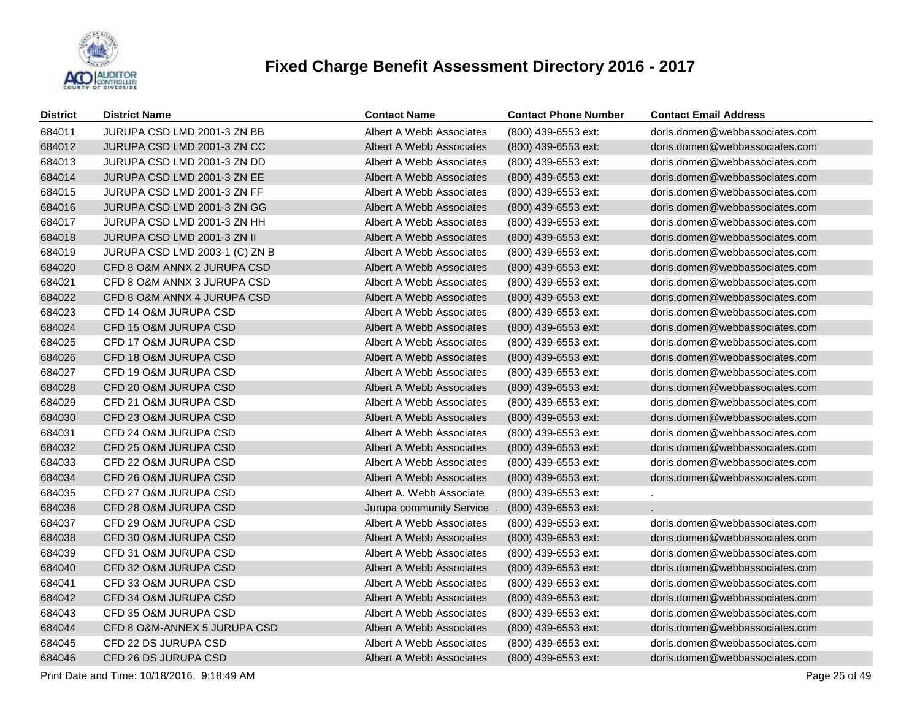

| <b>District</b> | <b>District Name</b>           | <b>Contact Name</b>       | <b>Contact Phone Number</b> | <b>Contact Email Address</b>   |
|-----------------|--------------------------------|---------------------------|-----------------------------|--------------------------------|
| 684011          | JURUPA CSD LMD 2001-3 ZN BB    | Albert A Webb Associates  | (800) 439-6553 ext:         | doris.domen@webbassociates.com |
| 684012          | JURUPA CSD LMD 2001-3 ZN CC    | Albert A Webb Associates  | (800) 439-6553 ext:         | doris.domen@webbassociates.com |
| 684013          | JURUPA CSD LMD 2001-3 ZN DD    | Albert A Webb Associates  | (800) 439-6553 ext:         | doris.domen@webbassociates.com |
| 684014          | JURUPA CSD LMD 2001-3 ZN EE    | Albert A Webb Associates  | (800) 439-6553 ext:         | doris.domen@webbassociates.com |
| 684015          | JURUPA CSD LMD 2001-3 ZN FF    | Albert A Webb Associates  | (800) 439-6553 ext:         | doris.domen@webbassociates.com |
| 684016          | JURUPA CSD LMD 2001-3 ZN GG    | Albert A Webb Associates  | (800) 439-6553 ext:         | doris.domen@webbassociates.com |
| 684017          | JURUPA CSD LMD 2001-3 ZN HH    | Albert A Webb Associates  | (800) 439-6553 ext:         | doris.domen@webbassociates.com |
| 684018          | JURUPA CSD LMD 2001-3 ZN II    | Albert A Webb Associates  | (800) 439-6553 ext:         | doris.domen@webbassociates.com |
| 684019          | JURUPA CSD LMD 2003-1 (C) ZN B | Albert A Webb Associates  | (800) 439-6553 ext:         | doris.domen@webbassociates.com |
| 684020          | CFD 8 O&M ANNX 2 JURUPA CSD    | Albert A Webb Associates  | (800) 439-6553 ext:         | doris.domen@webbassociates.com |
| 684021          | CFD 8 O&M ANNX 3 JURUPA CSD    | Albert A Webb Associates  | (800) 439-6553 ext:         | doris.domen@webbassociates.com |
| 684022          | CFD 8 O&M ANNX 4 JURUPA CSD    | Albert A Webb Associates  | (800) 439-6553 ext:         | doris.domen@webbassociates.com |
| 684023          | CFD 14 O&M JURUPA CSD          | Albert A Webb Associates  | (800) 439-6553 ext:         | doris.domen@webbassociates.com |
| 684024          | CFD 15 O&M JURUPA CSD          | Albert A Webb Associates  | (800) 439-6553 ext:         | doris.domen@webbassociates.com |
| 684025          | CFD 17 O&M JURUPA CSD          | Albert A Webb Associates  | (800) 439-6553 ext:         | doris.domen@webbassociates.com |
| 684026          | CFD 18 O&M JURUPA CSD          | Albert A Webb Associates  | (800) 439-6553 ext:         | doris.domen@webbassociates.com |
| 684027          | CFD 19 O&M JURUPA CSD          | Albert A Webb Associates  | (800) 439-6553 ext:         | doris.domen@webbassociates.com |
| 684028          | CFD 20 O&M JURUPA CSD          | Albert A Webb Associates  | $(800)$ 439-6553 ext:       | doris.domen@webbassociates.com |
| 684029          | CFD 21 O&M JURUPA CSD          | Albert A Webb Associates  | (800) 439-6553 ext:         | doris.domen@webbassociates.com |
| 684030          | CFD 23 O&M JURUPA CSD          | Albert A Webb Associates  | (800) 439-6553 ext:         | doris.domen@webbassociates.com |
| 684031          | CFD 24 O&M JURUPA CSD          | Albert A Webb Associates  | (800) 439-6553 ext:         | doris.domen@webbassociates.com |
| 684032          | CFD 25 O&M JURUPA CSD          | Albert A Webb Associates  | (800) 439-6553 ext:         | doris.domen@webbassociates.com |
| 684033          | CFD 22 O&M JURUPA CSD          | Albert A Webb Associates  | (800) 439-6553 ext:         | doris.domen@webbassociates.com |
| 684034          | CFD 26 O&M JURUPA CSD          | Albert A Webb Associates  | (800) 439-6553 ext:         | doris.domen@webbassociates.com |
| 684035          | CFD 27 O&M JURUPA CSD          | Albert A. Webb Associate  | (800) 439-6553 ext:         |                                |
| 684036          | CFD 28 O&M JURUPA CSD          | Jurupa community Service. | (800) 439-6553 ext:         |                                |
| 684037          | CFD 29 O&M JURUPA CSD          | Albert A Webb Associates  | (800) 439-6553 ext:         | doris.domen@webbassociates.com |
| 684038          | CFD 30 O&M JURUPA CSD          | Albert A Webb Associates  | (800) 439-6553 ext:         | doris.domen@webbassociates.com |
| 684039          | CFD 31 O&M JURUPA CSD          | Albert A Webb Associates  | (800) 439-6553 ext:         | doris.domen@webbassociates.com |
| 684040          | CFD 32 O&M JURUPA CSD          | Albert A Webb Associates  | (800) 439-6553 ext:         | doris.domen@webbassociates.com |
| 684041          | CFD 33 O&M JURUPA CSD          | Albert A Webb Associates  | (800) 439-6553 ext:         | doris.domen@webbassociates.com |
| 684042          | CFD 34 O&M JURUPA CSD          | Albert A Webb Associates  | (800) 439-6553 ext:         | doris.domen@webbassociates.com |
| 684043          | CFD 35 O&M JURUPA CSD          | Albert A Webb Associates  | (800) 439-6553 ext:         | doris.domen@webbassociates.com |
| 684044          | CFD 8 O&M-ANNEX 5 JURUPA CSD   | Albert A Webb Associates  | (800) 439-6553 ext:         | doris.domen@webbassociates.com |
| 684045          | CFD 22 DS JURUPA CSD           | Albert A Webb Associates  | (800) 439-6553 ext:         | doris.domen@webbassociates.com |
| 684046          | CFD 26 DS JURUPA CSD           | Albert A Webb Associates  | (800) 439-6553 ext:         | doris.domen@webbassociates.com |

Print Date and Time: 10/18/2016, 9:18:49 AM Page 25 of 49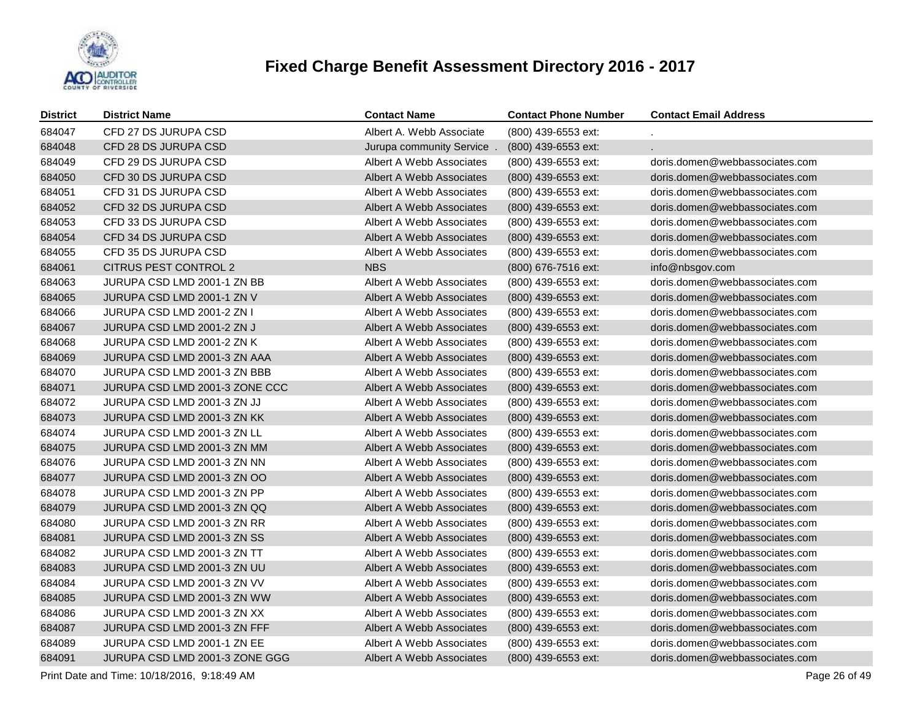

| <b>District</b> | <b>District Name</b>           | <b>Contact Name</b>      | <b>Contact Phone Number</b> | <b>Contact Email Address</b>   |
|-----------------|--------------------------------|--------------------------|-----------------------------|--------------------------------|
| 684047          | CFD 27 DS JURUPA CSD           | Albert A. Webb Associate | (800) 439-6553 ext:         |                                |
| 684048          | CFD 28 DS JURUPA CSD           | Jurupa community Service | (800) 439-6553 ext:         |                                |
| 684049          | CFD 29 DS JURUPA CSD           | Albert A Webb Associates | (800) 439-6553 ext:         | doris.domen@webbassociates.com |
| 684050          | CFD 30 DS JURUPA CSD           | Albert A Webb Associates | (800) 439-6553 ext:         | doris.domen@webbassociates.com |
| 684051          | CFD 31 DS JURUPA CSD           | Albert A Webb Associates | (800) 439-6553 ext:         | doris.domen@webbassociates.com |
| 684052          | CFD 32 DS JURUPA CSD           | Albert A Webb Associates | (800) 439-6553 ext:         | doris.domen@webbassociates.com |
| 684053          | CFD 33 DS JURUPA CSD           | Albert A Webb Associates | (800) 439-6553 ext:         | doris.domen@webbassociates.com |
| 684054          | CFD 34 DS JURUPA CSD           | Albert A Webb Associates | (800) 439-6553 ext:         | doris.domen@webbassociates.com |
| 684055          | CFD 35 DS JURUPA CSD           | Albert A Webb Associates | (800) 439-6553 ext:         | doris.domen@webbassociates.com |
| 684061          | CITRUS PEST CONTROL 2          | <b>NBS</b>               | (800) 676-7516 ext:         | info@nbsgov.com                |
| 684063          | JURUPA CSD LMD 2001-1 ZN BB    | Albert A Webb Associates | (800) 439-6553 ext:         | doris.domen@webbassociates.com |
| 684065          | JURUPA CSD LMD 2001-1 ZN V     | Albert A Webb Associates | (800) 439-6553 ext:         | doris.domen@webbassociates.com |
| 684066          | JURUPA CSD LMD 2001-2 ZN I     | Albert A Webb Associates | (800) 439-6553 ext:         | doris.domen@webbassociates.com |
| 684067          | JURUPA CSD LMD 2001-2 ZN J     | Albert A Webb Associates | (800) 439-6553 ext:         | doris.domen@webbassociates.com |
| 684068          | JURUPA CSD LMD 2001-2 ZN K     | Albert A Webb Associates | (800) 439-6553 ext:         | doris.domen@webbassociates.com |
| 684069          | JURUPA CSD LMD 2001-3 ZN AAA   | Albert A Webb Associates | (800) 439-6553 ext:         | doris.domen@webbassociates.com |
| 684070          | JURUPA CSD LMD 2001-3 ZN BBB   | Albert A Webb Associates | (800) 439-6553 ext:         | doris.domen@webbassociates.com |
| 684071          | JURUPA CSD LMD 2001-3 ZONE CCC | Albert A Webb Associates | (800) 439-6553 ext:         | doris.domen@webbassociates.com |
| 684072          | JURUPA CSD LMD 2001-3 ZN JJ    | Albert A Webb Associates | (800) 439-6553 ext:         | doris.domen@webbassociates.com |
| 684073          | JURUPA CSD LMD 2001-3 ZN KK    | Albert A Webb Associates | (800) 439-6553 ext:         | doris.domen@webbassociates.com |
| 684074          | JURUPA CSD LMD 2001-3 ZN LL    | Albert A Webb Associates | (800) 439-6553 ext:         | doris.domen@webbassociates.com |
| 684075          | JURUPA CSD LMD 2001-3 ZN MM    | Albert A Webb Associates | (800) 439-6553 ext:         | doris.domen@webbassociates.com |
| 684076          | JURUPA CSD LMD 2001-3 ZN NN    | Albert A Webb Associates | (800) 439-6553 ext:         | doris.domen@webbassociates.com |
| 684077          | JURUPA CSD LMD 2001-3 ZN OO    | Albert A Webb Associates | (800) 439-6553 ext:         | doris.domen@webbassociates.com |
| 684078          | JURUPA CSD LMD 2001-3 ZN PP    | Albert A Webb Associates | (800) 439-6553 ext:         | doris.domen@webbassociates.com |
| 684079          | JURUPA CSD LMD 2001-3 ZN QQ    | Albert A Webb Associates | (800) 439-6553 ext:         | doris.domen@webbassociates.com |
| 684080          | JURUPA CSD LMD 2001-3 ZN RR    | Albert A Webb Associates | (800) 439-6553 ext:         | doris.domen@webbassociates.com |
| 684081          | JURUPA CSD LMD 2001-3 ZN SS    | Albert A Webb Associates | (800) 439-6553 ext:         | doris.domen@webbassociates.com |
| 684082          | JURUPA CSD LMD 2001-3 ZN TT    | Albert A Webb Associates | (800) 439-6553 ext:         | doris.domen@webbassociates.com |
| 684083          | JURUPA CSD LMD 2001-3 ZN UU    | Albert A Webb Associates | (800) 439-6553 ext:         | doris.domen@webbassociates.com |
| 684084          | JURUPA CSD LMD 2001-3 ZN VV    | Albert A Webb Associates | (800) 439-6553 ext:         | doris.domen@webbassociates.com |
| 684085          | JURUPA CSD LMD 2001-3 ZN WW    | Albert A Webb Associates | (800) 439-6553 ext:         | doris.domen@webbassociates.com |
| 684086          | JURUPA CSD LMD 2001-3 ZN XX    | Albert A Webb Associates | (800) 439-6553 ext:         | doris.domen@webbassociates.com |
| 684087          | JURUPA CSD LMD 2001-3 ZN FFF   | Albert A Webb Associates | (800) 439-6553 ext:         | doris.domen@webbassociates.com |
| 684089          | JURUPA CSD LMD 2001-1 ZN EE    | Albert A Webb Associates | (800) 439-6553 ext:         | doris.domen@webbassociates.com |
| 684091          | JURUPA CSD LMD 2001-3 ZONE GGG | Albert A Webb Associates | (800) 439-6553 ext:         | doris.domen@webbassociates.com |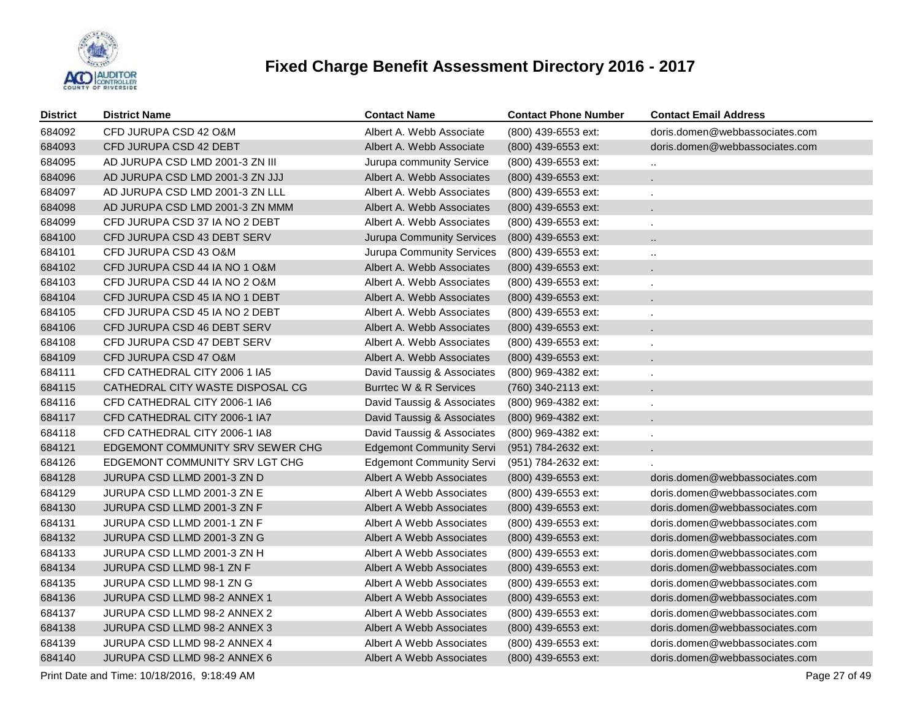

| <b>District</b> | <b>District Name</b>             | <b>Contact Name</b>              | <b>Contact Phone Number</b> | <b>Contact Email Address</b>   |
|-----------------|----------------------------------|----------------------------------|-----------------------------|--------------------------------|
| 684092          | CFD JURUPA CSD 42 O&M            | Albert A. Webb Associate         | (800) 439-6553 ext:         | doris.domen@webbassociates.com |
| 684093          | CFD JURUPA CSD 42 DEBT           | Albert A. Webb Associate         | (800) 439-6553 ext:         | doris.domen@webbassociates.com |
| 684095          | AD JURUPA CSD LMD 2001-3 ZN III  | Jurupa community Service         | (800) 439-6553 ext:         | $\ddot{\phantom{1}}$           |
| 684096          | AD JURUPA CSD LMD 2001-3 ZN JJJ  | Albert A. Webb Associates        | (800) 439-6553 ext:         |                                |
| 684097          | AD JURUPA CSD LMD 2001-3 ZN LLL  | Albert A. Webb Associates        | (800) 439-6553 ext:         |                                |
| 684098          | AD JURUPA CSD LMD 2001-3 ZN MMM  | Albert A. Webb Associates        | (800) 439-6553 ext:         |                                |
| 684099          | CFD JURUPA CSD 37 IA NO 2 DEBT   | Albert A. Webb Associates        | (800) 439-6553 ext:         | $\mathbf{r}$                   |
| 684100          | CFD JURUPA CSD 43 DEBT SERV      | <b>Jurupa Community Services</b> | (800) 439-6553 ext:         | Ω.                             |
| 684101          | CFD JURUPA CSD 43 O&M            | Jurupa Community Services        | (800) 439-6553 ext:         | $\ddot{\phantom{1}}$           |
| 684102          | CFD JURUPA CSD 44 IA NO 1 O&M    | Albert A. Webb Associates        | (800) 439-6553 ext:         |                                |
| 684103          | CFD JURUPA CSD 44 IA NO 2 O&M    | Albert A. Webb Associates        | (800) 439-6553 ext:         |                                |
| 684104          | CFD JURUPA CSD 45 IA NO 1 DEBT   | Albert A. Webb Associates        | (800) 439-6553 ext:         |                                |
| 684105          | CFD JURUPA CSD 45 IA NO 2 DEBT   | Albert A. Webb Associates        | (800) 439-6553 ext:         |                                |
| 684106          | CFD JURUPA CSD 46 DEBT SERV      | Albert A. Webb Associates        | (800) 439-6553 ext:         |                                |
| 684108          | CFD JURUPA CSD 47 DEBT SERV      | Albert A. Webb Associates        | (800) 439-6553 ext:         |                                |
| 684109          | CFD JURUPA CSD 47 O&M            | Albert A. Webb Associates        | (800) 439-6553 ext:         |                                |
| 684111          | CFD CATHEDRAL CITY 2006 1 IA5    | David Taussig & Associates       | (800) 969-4382 ext:         |                                |
| 684115          | CATHEDRAL CITY WASTE DISPOSAL CG | Burrtec W & R Services           | (760) 340-2113 ext:         |                                |
| 684116          | CFD CATHEDRAL CITY 2006-1 IA6    | David Taussig & Associates       | (800) 969-4382 ext:         |                                |
| 684117          | CFD CATHEDRAL CITY 2006-1 IA7    | David Taussig & Associates       | (800) 969-4382 ext:         |                                |
| 684118          | CFD CATHEDRAL CITY 2006-1 IA8    | David Taussig & Associates       | (800) 969-4382 ext:         |                                |
| 684121          | EDGEMONT COMMUNITY SRV SEWER CHG | <b>Edgemont Community Servi</b>  | (951) 784-2632 ext:         |                                |
| 684126          | EDGEMONT COMMUNITY SRV LGT CHG   | <b>Edgemont Community Servi</b>  | (951) 784-2632 ext:         |                                |
| 684128          | JURUPA CSD LLMD 2001-3 ZN D      | Albert A Webb Associates         | (800) 439-6553 ext:         | doris.domen@webbassociates.com |
| 684129          | JURUPA CSD LLMD 2001-3 ZN E      | Albert A Webb Associates         | (800) 439-6553 ext:         | doris.domen@webbassociates.com |
| 684130          | JURUPA CSD LLMD 2001-3 ZN F      | Albert A Webb Associates         | (800) 439-6553 ext:         | doris.domen@webbassociates.com |
| 684131          | JURUPA CSD LLMD 2001-1 ZN F      | Albert A Webb Associates         | (800) 439-6553 ext:         | doris.domen@webbassociates.com |
| 684132          | JURUPA CSD LLMD 2001-3 ZN G      | Albert A Webb Associates         | (800) 439-6553 ext:         | doris.domen@webbassociates.com |
| 684133          | JURUPA CSD LLMD 2001-3 ZN H      | Albert A Webb Associates         | (800) 439-6553 ext:         | doris.domen@webbassociates.com |
| 684134          | JURUPA CSD LLMD 98-1 ZN F        | Albert A Webb Associates         | (800) 439-6553 ext:         | doris.domen@webbassociates.com |
| 684135          | JURUPA CSD LLMD 98-1 ZN G        | Albert A Webb Associates         | (800) 439-6553 ext:         | doris.domen@webbassociates.com |
| 684136          | JURUPA CSD LLMD 98-2 ANNEX 1     | Albert A Webb Associates         | (800) 439-6553 ext:         | doris.domen@webbassociates.com |
| 684137          | JURUPA CSD LLMD 98-2 ANNEX 2     | Albert A Webb Associates         | (800) 439-6553 ext:         | doris.domen@webbassociates.com |
| 684138          | JURUPA CSD LLMD 98-2 ANNEX 3     | Albert A Webb Associates         | (800) 439-6553 ext:         | doris.domen@webbassociates.com |
| 684139          | JURUPA CSD LLMD 98-2 ANNEX 4     | Albert A Webb Associates         | (800) 439-6553 ext:         | doris.domen@webbassociates.com |
| 684140          | JURUPA CSD LLMD 98-2 ANNEX 6     | Albert A Webb Associates         | (800) 439-6553 ext:         | doris.domen@webbassociates.com |

Print Date and Time: 10/18/2016, 9:18:49 AM Page 27 of 49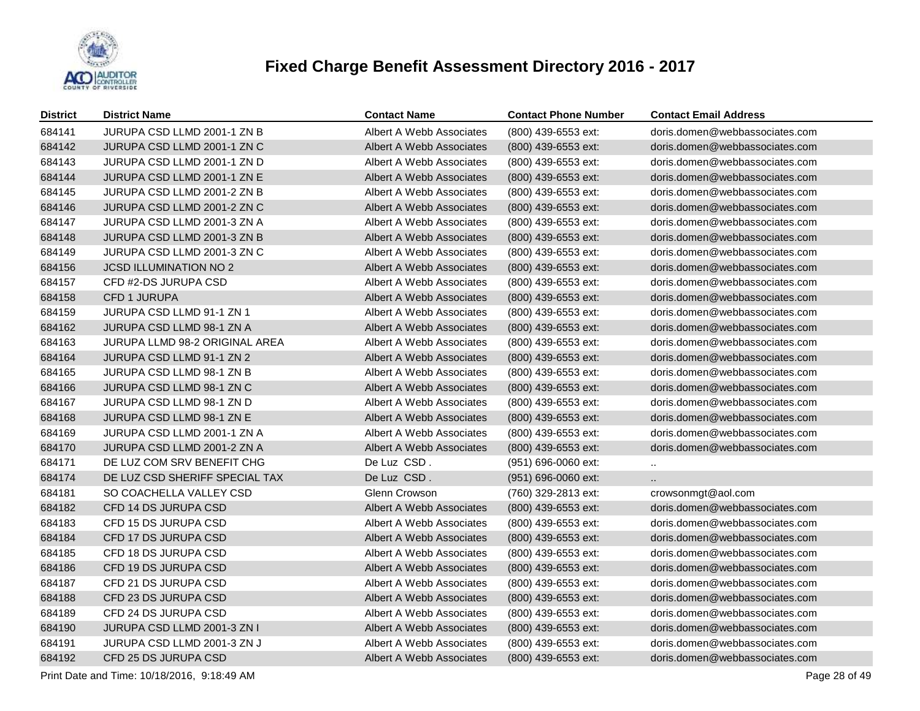

| <b>District</b> | <b>District Name</b>                  | <b>Contact Name</b>      | <b>Contact Phone Number</b> | <b>Contact Email Address</b>   |
|-----------------|---------------------------------------|--------------------------|-----------------------------|--------------------------------|
| 684141          | JURUPA CSD LLMD 2001-1 ZN B           | Albert A Webb Associates | (800) 439-6553 ext:         | doris.domen@webbassociates.com |
| 684142          | JURUPA CSD LLMD 2001-1 ZN C           | Albert A Webb Associates | (800) 439-6553 ext:         | doris.domen@webbassociates.com |
| 684143          | JURUPA CSD LLMD 2001-1 ZN D           | Albert A Webb Associates | (800) 439-6553 ext:         | doris.domen@webbassociates.com |
| 684144          | JURUPA CSD LLMD 2001-1 ZN E           | Albert A Webb Associates | (800) 439-6553 ext:         | doris.domen@webbassociates.com |
| 684145          | JURUPA CSD LLMD 2001-2 ZN B           | Albert A Webb Associates | (800) 439-6553 ext:         | doris.domen@webbassociates.com |
| 684146          | JURUPA CSD LLMD 2001-2 ZN C           | Albert A Webb Associates | (800) 439-6553 ext:         | doris.domen@webbassociates.com |
| 684147          | JURUPA CSD LLMD 2001-3 ZN A           | Albert A Webb Associates | (800) 439-6553 ext:         | doris.domen@webbassociates.com |
| 684148          | JURUPA CSD LLMD 2001-3 ZN B           | Albert A Webb Associates | (800) 439-6553 ext:         | doris.domen@webbassociates.com |
| 684149          | JURUPA CSD LLMD 2001-3 ZN C           | Albert A Webb Associates | (800) 439-6553 ext:         | doris.domen@webbassociates.com |
| 684156          | <b>JCSD ILLUMINATION NO 2</b>         | Albert A Webb Associates | (800) 439-6553 ext:         | doris.domen@webbassociates.com |
| 684157          | CFD #2-DS JURUPA CSD                  | Albert A Webb Associates | (800) 439-6553 ext:         | doris.domen@webbassociates.com |
| 684158          | CFD 1 JURUPA                          | Albert A Webb Associates | (800) 439-6553 ext:         | doris.domen@webbassociates.com |
| 684159          | JURUPA CSD LLMD 91-1 ZN 1             | Albert A Webb Associates | (800) 439-6553 ext:         | doris.domen@webbassociates.com |
| 684162          | JURUPA CSD LLMD 98-1 ZN A             | Albert A Webb Associates | (800) 439-6553 ext:         | doris.domen@webbassociates.com |
| 684163          | <b>JURUPA LLMD 98-2 ORIGINAL AREA</b> | Albert A Webb Associates | (800) 439-6553 ext:         | doris.domen@webbassociates.com |
| 684164          | JURUPA CSD LLMD 91-1 ZN 2             | Albert A Webb Associates | (800) 439-6553 ext:         | doris.domen@webbassociates.com |
| 684165          | JURUPA CSD LLMD 98-1 ZN B             | Albert A Webb Associates | (800) 439-6553 ext:         | doris.domen@webbassociates.com |
| 684166          | JURUPA CSD LLMD 98-1 ZN C             | Albert A Webb Associates | (800) 439-6553 ext:         | doris.domen@webbassociates.com |
| 684167          | JURUPA CSD LLMD 98-1 ZN D             | Albert A Webb Associates | (800) 439-6553 ext:         | doris.domen@webbassociates.com |
| 684168          | JURUPA CSD LLMD 98-1 ZN E             | Albert A Webb Associates | (800) 439-6553 ext:         | doris.domen@webbassociates.com |
| 684169          | JURUPA CSD LLMD 2001-1 ZN A           | Albert A Webb Associates | (800) 439-6553 ext:         | doris.domen@webbassociates.com |
| 684170          | JURUPA CSD LLMD 2001-2 ZN A           | Albert A Webb Associates | (800) 439-6553 ext:         | doris.domen@webbassociates.com |
| 684171          | DE LUZ COM SRV BENEFIT CHG            | De Luz CSD.              | (951) 696-0060 ext:         | $\mathbf{u}$                   |
| 684174          | DE LUZ CSD SHERIFF SPECIAL TAX        | De Luz CSD.              | (951) 696-0060 ext:         | $\ddotsc$                      |
| 684181          | SO COACHELLA VALLEY CSD               | Glenn Crowson            | (760) 329-2813 ext:         | crowsonmgt@aol.com             |
| 684182          | CFD 14 DS JURUPA CSD                  | Albert A Webb Associates | (800) 439-6553 ext:         | doris.domen@webbassociates.com |
| 684183          | CFD 15 DS JURUPA CSD                  | Albert A Webb Associates | (800) 439-6553 ext:         | doris.domen@webbassociates.com |
| 684184          | CFD 17 DS JURUPA CSD                  | Albert A Webb Associates | (800) 439-6553 ext:         | doris.domen@webbassociates.com |
| 684185          | CFD 18 DS JURUPA CSD                  | Albert A Webb Associates | (800) 439-6553 ext:         | doris.domen@webbassociates.com |
| 684186          | CFD 19 DS JURUPA CSD                  | Albert A Webb Associates | (800) 439-6553 ext:         | doris.domen@webbassociates.com |
| 684187          | CFD 21 DS JURUPA CSD                  | Albert A Webb Associates | (800) 439-6553 ext:         | doris.domen@webbassociates.com |
| 684188          | CFD 23 DS JURUPA CSD                  | Albert A Webb Associates | (800) 439-6553 ext:         | doris.domen@webbassociates.com |
| 684189          | CFD 24 DS JURUPA CSD                  | Albert A Webb Associates | (800) 439-6553 ext:         | doris.domen@webbassociates.com |
| 684190          | JURUPA CSD LLMD 2001-3 ZN I           | Albert A Webb Associates | (800) 439-6553 ext:         | doris.domen@webbassociates.com |
| 684191          | JURUPA CSD LLMD 2001-3 ZN J           | Albert A Webb Associates | (800) 439-6553 ext:         | doris.domen@webbassociates.com |
| 684192          | CFD 25 DS JURUPA CSD                  | Albert A Webb Associates | (800) 439-6553 ext:         | doris.domen@webbassociates.com |

Print Date and Time: 10/18/2016, 9:18:49 AM Page 28 of 49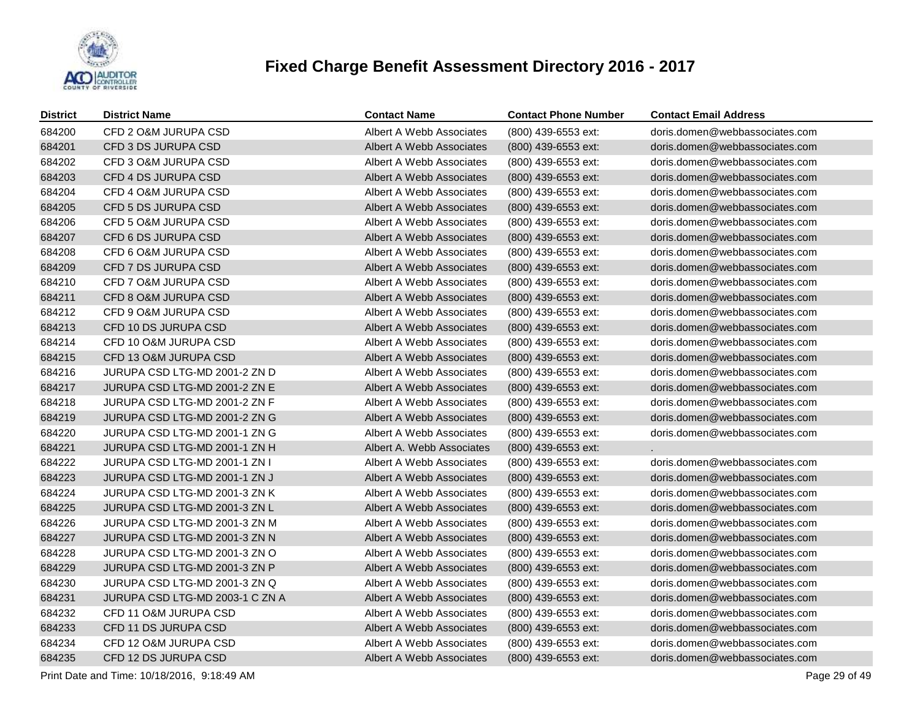

| <b>District</b> | <b>District Name</b>            | <b>Contact Name</b>       | <b>Contact Phone Number</b> | <b>Contact Email Address</b>   |
|-----------------|---------------------------------|---------------------------|-----------------------------|--------------------------------|
| 684200          | CFD 2 O&M JURUPA CSD            | Albert A Webb Associates  | (800) 439-6553 ext:         | doris.domen@webbassociates.com |
| 684201          | CFD 3 DS JURUPA CSD             | Albert A Webb Associates  | (800) 439-6553 ext:         | doris.domen@webbassociates.com |
| 684202          | CFD 3 O&M JURUPA CSD            | Albert A Webb Associates  | (800) 439-6553 ext:         | doris.domen@webbassociates.com |
| 684203          | CFD 4 DS JURUPA CSD             | Albert A Webb Associates  | (800) 439-6553 ext:         | doris.domen@webbassociates.com |
| 684204          | CFD 4 O&M JURUPA CSD            | Albert A Webb Associates  | (800) 439-6553 ext:         | doris.domen@webbassociates.com |
| 684205          | CFD 5 DS JURUPA CSD             | Albert A Webb Associates  | (800) 439-6553 ext:         | doris.domen@webbassociates.com |
| 684206          | CFD 5 O&M JURUPA CSD            | Albert A Webb Associates  | (800) 439-6553 ext:         | doris.domen@webbassociates.com |
| 684207          | CFD 6 DS JURUPA CSD             | Albert A Webb Associates  | (800) 439-6553 ext:         | doris.domen@webbassociates.com |
| 684208          | CFD 6 O&M JURUPA CSD            | Albert A Webb Associates  | (800) 439-6553 ext:         | doris.domen@webbassociates.com |
| 684209          | CFD 7 DS JURUPA CSD             | Albert A Webb Associates  | (800) 439-6553 ext:         | doris.domen@webbassociates.com |
| 684210          | CFD 7 O&M JURUPA CSD            | Albert A Webb Associates  | (800) 439-6553 ext:         | doris.domen@webbassociates.com |
| 684211          | CFD 8 O&M JURUPA CSD            | Albert A Webb Associates  | (800) 439-6553 ext:         | doris.domen@webbassociates.com |
| 684212          | CFD 9 O&M JURUPA CSD            | Albert A Webb Associates  | (800) 439-6553 ext:         | doris.domen@webbassociates.com |
| 684213          | CFD 10 DS JURUPA CSD            | Albert A Webb Associates  | (800) 439-6553 ext:         | doris.domen@webbassociates.com |
| 684214          | CFD 10 O&M JURUPA CSD           | Albert A Webb Associates  | (800) 439-6553 ext:         | doris.domen@webbassociates.com |
| 684215          | CFD 13 O&M JURUPA CSD           | Albert A Webb Associates  | (800) 439-6553 ext:         | doris.domen@webbassociates.com |
| 684216          | JURUPA CSD LTG-MD 2001-2 ZN D   | Albert A Webb Associates  | (800) 439-6553 ext:         | doris.domen@webbassociates.com |
| 684217          | JURUPA CSD LTG-MD 2001-2 ZN E   | Albert A Webb Associates  | (800) 439-6553 ext:         | doris.domen@webbassociates.com |
| 684218          | JURUPA CSD LTG-MD 2001-2 ZN F   | Albert A Webb Associates  | (800) 439-6553 ext:         | doris.domen@webbassociates.com |
| 684219          | JURUPA CSD LTG-MD 2001-2 ZN G   | Albert A Webb Associates  | (800) 439-6553 ext:         | doris.domen@webbassociates.com |
| 684220          | JURUPA CSD LTG-MD 2001-1 ZN G   | Albert A Webb Associates  | (800) 439-6553 ext:         | doris.domen@webbassociates.com |
| 684221          | JURUPA CSD LTG-MD 2001-1 ZN H   | Albert A. Webb Associates | (800) 439-6553 ext:         |                                |
| 684222          | JURUPA CSD LTG-MD 2001-1 ZN I   | Albert A Webb Associates  | (800) 439-6553 ext:         | doris.domen@webbassociates.com |
| 684223          | JURUPA CSD LTG-MD 2001-1 ZN J   | Albert A Webb Associates  | (800) 439-6553 ext:         | doris.domen@webbassociates.com |
| 684224          | JURUPA CSD LTG-MD 2001-3 ZN K   | Albert A Webb Associates  | (800) 439-6553 ext:         | doris.domen@webbassociates.com |
| 684225          | JURUPA CSD LTG-MD 2001-3 ZN L   | Albert A Webb Associates  | $(800)$ 439-6553 ext:       | doris.domen@webbassociates.com |
| 684226          | JURUPA CSD LTG-MD 2001-3 ZN M   | Albert A Webb Associates  | (800) 439-6553 ext:         | doris.domen@webbassociates.com |
| 684227          | JURUPA CSD LTG-MD 2001-3 ZN N   | Albert A Webb Associates  | (800) 439-6553 ext:         | doris.domen@webbassociates.com |
| 684228          | JURUPA CSD LTG-MD 2001-3 ZN O   | Albert A Webb Associates  | (800) 439-6553 ext:         | doris.domen@webbassociates.com |
| 684229          | JURUPA CSD LTG-MD 2001-3 ZN P   | Albert A Webb Associates  | (800) 439-6553 ext:         | doris.domen@webbassociates.com |
| 684230          | JURUPA CSD LTG-MD 2001-3 ZN Q   | Albert A Webb Associates  | (800) 439-6553 ext:         | doris.domen@webbassociates.com |
| 684231          | JURUPA CSD LTG-MD 2003-1 C ZN A | Albert A Webb Associates  | (800) 439-6553 ext:         | doris.domen@webbassociates.com |
| 684232          | CFD 11 O&M JURUPA CSD           | Albert A Webb Associates  | (800) 439-6553 ext:         | doris.domen@webbassociates.com |
| 684233          | CFD 11 DS JURUPA CSD            | Albert A Webb Associates  | (800) 439-6553 ext:         | doris.domen@webbassociates.com |
| 684234          | CFD 12 O&M JURUPA CSD           | Albert A Webb Associates  | (800) 439-6553 ext:         | doris.domen@webbassociates.com |
| 684235          | CFD 12 DS JURUPA CSD            | Albert A Webb Associates  | (800) 439-6553 ext:         | doris.domen@webbassociates.com |

Print Date and Time: 10/18/2016, 9:18:49 AM Page 29 of 49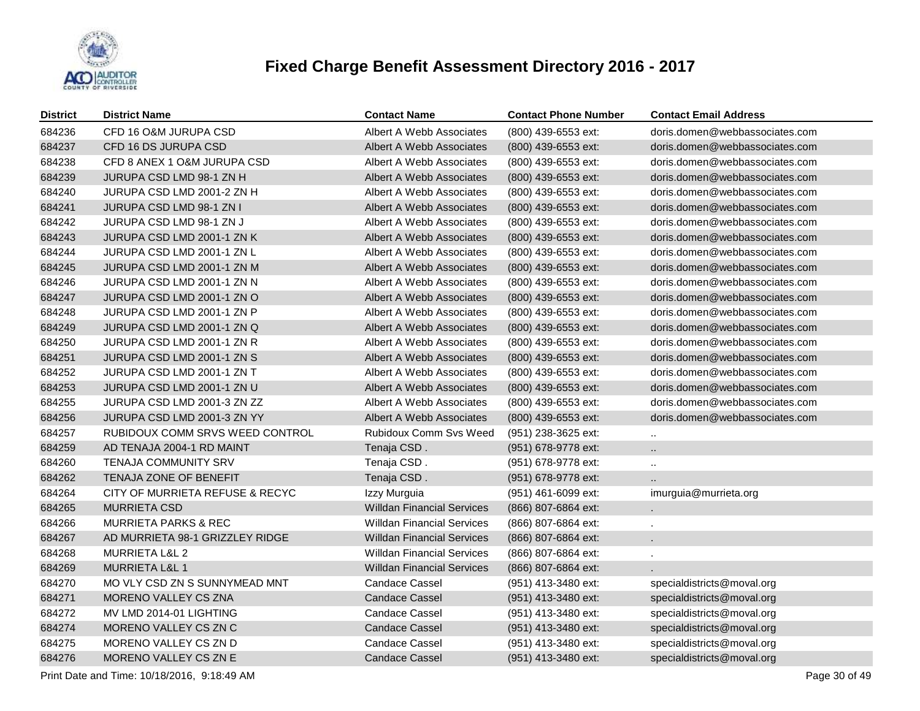

| <b>District</b> | <b>District Name</b>            | <b>Contact Name</b>               | <b>Contact Phone Number</b> | <b>Contact Email Address</b>   |
|-----------------|---------------------------------|-----------------------------------|-----------------------------|--------------------------------|
| 684236          | CFD 16 O&M JURUPA CSD           | Albert A Webb Associates          | (800) 439-6553 ext:         | doris.domen@webbassociates.com |
| 684237          | CFD 16 DS JURUPA CSD            | Albert A Webb Associates          | (800) 439-6553 ext:         | doris.domen@webbassociates.com |
| 684238          | CFD 8 ANEX 1 O&M JURUPA CSD     | Albert A Webb Associates          | (800) 439-6553 ext:         | doris.domen@webbassociates.com |
| 684239          | JURUPA CSD LMD 98-1 ZN H        | Albert A Webb Associates          | (800) 439-6553 ext:         | doris.domen@webbassociates.com |
| 684240          | JURUPA CSD LMD 2001-2 ZN H      | Albert A Webb Associates          | (800) 439-6553 ext:         | doris.domen@webbassociates.com |
| 684241          | <b>JURUPA CSD LMD 98-1 ZN I</b> | Albert A Webb Associates          | (800) 439-6553 ext:         | doris.domen@webbassociates.com |
| 684242          | JURUPA CSD LMD 98-1 ZN J        | Albert A Webb Associates          | (800) 439-6553 ext:         | doris.domen@webbassociates.com |
| 684243          | JURUPA CSD LMD 2001-1 ZN K      | Albert A Webb Associates          | (800) 439-6553 ext:         | doris.domen@webbassociates.com |
| 684244          | JURUPA CSD LMD 2001-1 ZN L      | Albert A Webb Associates          | (800) 439-6553 ext:         | doris.domen@webbassociates.com |
| 684245          | JURUPA CSD LMD 2001-1 ZN M      | Albert A Webb Associates          | (800) 439-6553 ext:         | doris.domen@webbassociates.com |
| 684246          | JURUPA CSD LMD 2001-1 ZN N      | Albert A Webb Associates          | (800) 439-6553 ext:         | doris.domen@webbassociates.com |
| 684247          | JURUPA CSD LMD 2001-1 ZN O      | Albert A Webb Associates          | (800) 439-6553 ext:         | doris.domen@webbassociates.com |
| 684248          | JURUPA CSD LMD 2001-1 ZN P      | Albert A Webb Associates          | (800) 439-6553 ext:         | doris.domen@webbassociates.com |
| 684249          | JURUPA CSD LMD 2001-1 ZN Q      | Albert A Webb Associates          | (800) 439-6553 ext:         | doris.domen@webbassociates.com |
| 684250          | JURUPA CSD LMD 2001-1 ZN R      | Albert A Webb Associates          | (800) 439-6553 ext:         | doris.domen@webbassociates.com |
| 684251          | JURUPA CSD LMD 2001-1 ZN S      | Albert A Webb Associates          | (800) 439-6553 ext:         | doris.domen@webbassociates.com |
| 684252          | JURUPA CSD LMD 2001-1 ZN T      | Albert A Webb Associates          | (800) 439-6553 ext:         | doris.domen@webbassociates.com |
| 684253          | JURUPA CSD LMD 2001-1 ZN U      | Albert A Webb Associates          | (800) 439-6553 ext:         | doris.domen@webbassociates.com |
| 684255          | JURUPA CSD LMD 2001-3 ZN ZZ     | Albert A Webb Associates          | (800) 439-6553 ext:         | doris.domen@webbassociates.com |
| 684256          | JURUPA CSD LMD 2001-3 ZN YY     | Albert A Webb Associates          | (800) 439-6553 ext:         | doris.domen@webbassociates.com |
| 684257          | RUBIDOUX COMM SRVS WEED CONTROL | <b>Rubidoux Comm Svs Weed</b>     | (951) 238-3625 ext:         | $\ddot{\phantom{a}}$           |
| 684259          | AD TENAJA 2004-1 RD MAINT       | Tenaja CSD.                       | (951) 678-9778 ext:         | $\ddotsc$                      |
| 684260          | <b>TENAJA COMMUNITY SRV</b>     | Tenaja CSD.                       | (951) 678-9778 ext:         | $\ddotsc$                      |
| 684262          | TENAJA ZONE OF BENEFIT          | Tenaja CSD.                       | (951) 678-9778 ext:         |                                |
| 684264          | CITY OF MURRIETA REFUSE & RECYC | Izzy Murguia                      | (951) 461-6099 ext:         | imurguia@murrieta.org          |
| 684265          | <b>MURRIETA CSD</b>             | <b>Willdan Financial Services</b> | (866) 807-6864 ext:         |                                |
| 684266          | <b>MURRIETA PARKS &amp; REC</b> | <b>Willdan Financial Services</b> | (866) 807-6864 ext:         |                                |
| 684267          | AD MURRIETA 98-1 GRIZZLEY RIDGE | <b>Willdan Financial Services</b> | (866) 807-6864 ext:         |                                |
| 684268          | <b>MURRIETA L&amp;L 2</b>       | <b>Willdan Financial Services</b> | (866) 807-6864 ext:         |                                |
| 684269          | <b>MURRIETA L&amp;L 1</b>       | <b>Willdan Financial Services</b> | (866) 807-6864 ext:         |                                |
| 684270          | MO VLY CSD ZN S SUNNYMEAD MNT   | Candace Cassel                    | (951) 413-3480 ext:         | specialdistricts@moval.org     |
| 684271          | MORENO VALLEY CS ZNA            | <b>Candace Cassel</b>             | (951) 413-3480 ext:         | specialdistricts@moval.org     |
| 684272          | MV LMD 2014-01 LIGHTING         | Candace Cassel                    | (951) 413-3480 ext:         | specialdistricts@moval.org     |
| 684274          | MORENO VALLEY CS ZN C           | <b>Candace Cassel</b>             | (951) 413-3480 ext:         | specialdistricts@moval.org     |
| 684275          | MORENO VALLEY CS ZN D           | <b>Candace Cassel</b>             | (951) 413-3480 ext:         | specialdistricts@moval.org     |
| 684276          | MORENO VALLEY CS ZN E           | <b>Candace Cassel</b>             | (951) 413-3480 ext:         | specialdistricts@moval.org     |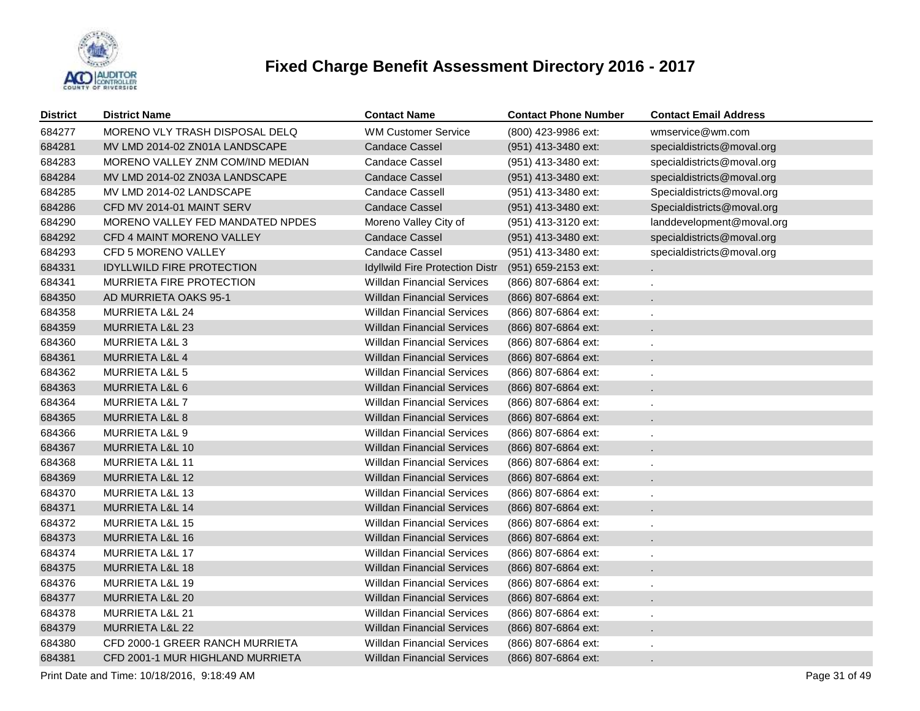

| <b>District</b> | <b>District Name</b>             | <b>Contact Name</b>               | <b>Contact Phone Number</b> | <b>Contact Email Address</b> |
|-----------------|----------------------------------|-----------------------------------|-----------------------------|------------------------------|
| 684277          | MORENO VLY TRASH DISPOSAL DELQ   | <b>WM Customer Service</b>        | (800) 423-9986 ext:         | wmservice@wm.com             |
| 684281          | MV LMD 2014-02 ZN01A LANDSCAPE   | <b>Candace Cassel</b>             | (951) 413-3480 ext:         | specialdistricts@moval.org   |
| 684283          | MORENO VALLEY ZNM COM/IND MEDIAN | <b>Candace Cassel</b>             | (951) 413-3480 ext:         | specialdistricts@moval.org   |
| 684284          | MV LMD 2014-02 ZN03A LANDSCAPE   | <b>Candace Cassel</b>             | (951) 413-3480 ext:         | specialdistricts@moval.org   |
| 684285          | MV LMD 2014-02 LANDSCAPE         | <b>Candace Cassell</b>            | (951) 413-3480 ext:         | Specialdistricts@moval.org   |
| 684286          | CFD MV 2014-01 MAINT SERV        | <b>Candace Cassel</b>             | (951) 413-3480 ext:         | Specialdistricts@moval.org   |
| 684290          | MORENO VALLEY FED MANDATED NPDES | Moreno Valley City of             | (951) 413-3120 ext:         | landdevelopment@moval.org    |
| 684292          | CFD 4 MAINT MORENO VALLEY        | <b>Candace Cassel</b>             | (951) 413-3480 ext:         | specialdistricts@moval.org   |
| 684293          | CFD 5 MORENO VALLEY              | <b>Candace Cassel</b>             | (951) 413-3480 ext:         | specialdistricts@moval.org   |
| 684331          | <b>IDYLLWILD FIRE PROTECTION</b> | Idyllwild Fire Protection Distr   | (951) 659-2153 ext:         |                              |
| 684341          | MURRIETA FIRE PROTECTION         | <b>Willdan Financial Services</b> | (866) 807-6864 ext:         |                              |
| 684350          | AD MURRIETA OAKS 95-1            | <b>Willdan Financial Services</b> | (866) 807-6864 ext:         |                              |
| 684358          | <b>MURRIETA L&amp;L 24</b>       | <b>Willdan Financial Services</b> | (866) 807-6864 ext:         |                              |
| 684359          | <b>MURRIETA L&amp;L 23</b>       | <b>Willdan Financial Services</b> | (866) 807-6864 ext:         |                              |
| 684360          | MURRIETA L&L 3                   | <b>Willdan Financial Services</b> | (866) 807-6864 ext:         |                              |
| 684361          | MURRIETA L&L 4                   | <b>Willdan Financial Services</b> | (866) 807-6864 ext:         |                              |
| 684362          | MURRIETA L&L 5                   | <b>Willdan Financial Services</b> | (866) 807-6864 ext:         |                              |
| 684363          | MURRIETA L&L 6                   | Willdan Financial Services        | (866) 807-6864 ext:         |                              |
| 684364          | MURRIETA L&L 7                   | <b>Willdan Financial Services</b> | (866) 807-6864 ext:         |                              |
| 684365          | MURRIETA L&L 8                   | <b>Willdan Financial Services</b> | (866) 807-6864 ext:         |                              |
| 684366          | MURRIETA L&L 9                   | <b>Willdan Financial Services</b> | (866) 807-6864 ext:         |                              |
| 684367          | MURRIETA L&L 10                  | <b>Willdan Financial Services</b> | (866) 807-6864 ext:         |                              |
| 684368          | <b>MURRIETA L&amp;L 11</b>       | <b>Willdan Financial Services</b> | (866) 807-6864 ext:         |                              |
| 684369          | MURRIETA L&L 12                  | <b>Willdan Financial Services</b> | (866) 807-6864 ext:         |                              |
| 684370          | <b>MURRIETA L&amp;L 13</b>       | <b>Willdan Financial Services</b> | (866) 807-6864 ext:         |                              |
| 684371          | <b>MURRIETA L&amp;L 14</b>       | <b>Willdan Financial Services</b> | (866) 807-6864 ext:         |                              |
| 684372          | MURRIETA L&L 15                  | <b>Willdan Financial Services</b> | (866) 807-6864 ext:         |                              |
| 684373          | <b>MURRIETA L&amp;L 16</b>       | <b>Willdan Financial Services</b> | (866) 807-6864 ext:         |                              |
| 684374          | MURRIETA L&L 17                  | <b>Willdan Financial Services</b> | (866) 807-6864 ext:         |                              |
| 684375          | <b>MURRIETA L&amp;L 18</b>       | Willdan Financial Services        | (866) 807-6864 ext:         |                              |
| 684376          | MURRIETA L&L 19                  | <b>Willdan Financial Services</b> | (866) 807-6864 ext:         |                              |
| 684377          | MURRIETA L&L 20                  | Willdan Financial Services        | (866) 807-6864 ext:         |                              |
| 684378          | <b>MURRIETA L&amp;L 21</b>       | <b>Willdan Financial Services</b> | (866) 807-6864 ext:         |                              |
| 684379          | MURRIETA L&L 22                  | Willdan Financial Services        | (866) 807-6864 ext:         |                              |
| 684380          | CFD 2000-1 GREER RANCH MURRIETA  | <b>Willdan Financial Services</b> | (866) 807-6864 ext:         |                              |
| 684381          | CFD 2001-1 MUR HIGHLAND MURRIETA | <b>Willdan Financial Services</b> | (866) 807-6864 ext:         |                              |

Print Date and Time: 10/18/2016, 9:18:49 AM Page 31 of 49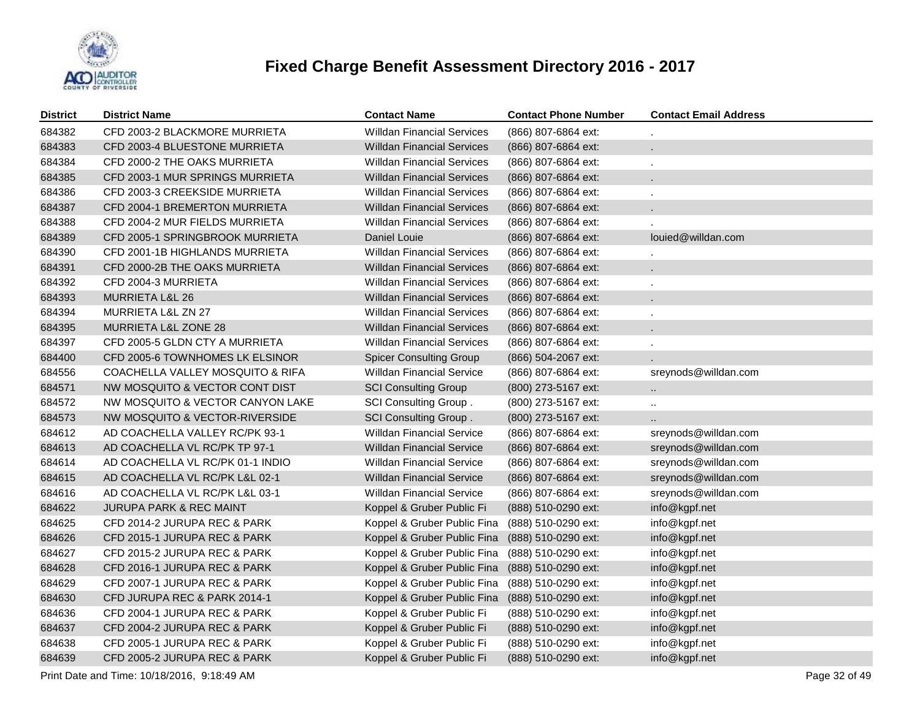

| <b>District</b> | <b>District Name</b>               | <b>Contact Name</b>               | <b>Contact Phone Number</b> | <b>Contact Email Address</b> |
|-----------------|------------------------------------|-----------------------------------|-----------------------------|------------------------------|
| 684382          | CFD 2003-2 BLACKMORE MURRIETA      | <b>Willdan Financial Services</b> | (866) 807-6864 ext:         |                              |
| 684383          | CFD 2003-4 BLUESTONE MURRIETA      | Willdan Financial Services        | (866) 807-6864 ext:         |                              |
| 684384          | CFD 2000-2 THE OAKS MURRIETA       | <b>Willdan Financial Services</b> | (866) 807-6864 ext:         |                              |
| 684385          | CFD 2003-1 MUR SPRINGS MURRIETA    | Willdan Financial Services        | (866) 807-6864 ext:         |                              |
| 684386          | CFD 2003-3 CREEKSIDE MURRIETA      | <b>Willdan Financial Services</b> | (866) 807-6864 ext:         |                              |
| 684387          | CFD 2004-1 BREMERTON MURRIETA      | <b>Willdan Financial Services</b> | (866) 807-6864 ext:         |                              |
| 684388          | CFD 2004-2 MUR FIELDS MURRIETA     | <b>Willdan Financial Services</b> | (866) 807-6864 ext:         |                              |
| 684389          | CFD 2005-1 SPRINGBROOK MURRIETA    | Daniel Louie                      | (866) 807-6864 ext:         | louied@willdan.com           |
| 684390          | CFD 2001-1B HIGHLANDS MURRIETA     | <b>Willdan Financial Services</b> | (866) 807-6864 ext:         |                              |
| 684391          | CFD 2000-2B THE OAKS MURRIETA      | <b>Willdan Financial Services</b> | (866) 807-6864 ext:         |                              |
| 684392          | CFD 2004-3 MURRIETA                | <b>Willdan Financial Services</b> | (866) 807-6864 ext:         |                              |
| 684393          | MURRIETA L&L 26                    | <b>Willdan Financial Services</b> | (866) 807-6864 ext:         |                              |
| 684394          | MURRIETA L&L ZN 27                 | <b>Willdan Financial Services</b> | (866) 807-6864 ext:         |                              |
| 684395          | MURRIETA L&L ZONE 28               | <b>Willdan Financial Services</b> | (866) 807-6864 ext:         |                              |
| 684397          | CFD 2005-5 GLDN CTY A MURRIETA     | <b>Willdan Financial Services</b> | (866) 807-6864 ext:         |                              |
| 684400          | CFD 2005-6 TOWNHOMES LK ELSINOR    | <b>Spicer Consulting Group</b>    | (866) 504-2067 ext:         |                              |
| 684556          | COACHELLA VALLEY MOSQUITO & RIFA   | <b>Willdan Financial Service</b>  | (866) 807-6864 ext:         | sreynods@willdan.com         |
| 684571          | NW MOSQUITO & VECTOR CONT DIST     | <b>SCI Consulting Group</b>       | $(800)$ 273-5167 ext:       | $\ddot{\phantom{a}}$         |
| 684572          | NW MOSQUITO & VECTOR CANYON LAKE   | SCI Consulting Group.             | (800) 273-5167 ext:         | $\ddot{\phantom{a}}$         |
| 684573          | NW MOSQUITO & VECTOR-RIVERSIDE     | <b>SCI Consulting Group.</b>      | (800) 273-5167 ext:         | ä.                           |
| 684612          | AD COACHELLA VALLEY RC/PK 93-1     | <b>Willdan Financial Service</b>  | (866) 807-6864 ext:         | sreynods@willdan.com         |
| 684613          | AD COACHELLA VL RC/PK TP 97-1      | Willdan Financial Service         | (866) 807-6864 ext:         | sreynods@willdan.com         |
| 684614          | AD COACHELLA VL RC/PK 01-1 INDIO   | <b>Willdan Financial Service</b>  | (866) 807-6864 ext:         | sreynods@willdan.com         |
| 684615          | AD COACHELLA VL RC/PK L&L 02-1     | <b>Willdan Financial Service</b>  | (866) 807-6864 ext:         | sreynods@willdan.com         |
| 684616          | AD COACHELLA VL RC/PK L&L 03-1     | <b>Willdan Financial Service</b>  | (866) 807-6864 ext:         | sreynods@willdan.com         |
| 684622          | <b>JURUPA PARK &amp; REC MAINT</b> | Koppel & Gruber Public Fi         | (888) 510-0290 ext:         | info@kgpf.net                |
| 684625          | CFD 2014-2 JURUPA REC & PARK       | Koppel & Gruber Public Fina       | (888) 510-0290 ext:         | info@kgpf.net                |
| 684626          | CFD 2015-1 JURUPA REC & PARK       | Koppel & Gruber Public Fina       | (888) 510-0290 ext:         | info@kgpf.net                |
| 684627          | CFD 2015-2 JURUPA REC & PARK       | Koppel & Gruber Public Fina       | (888) 510-0290 ext:         | info@kgpf.net                |
| 684628          | CFD 2016-1 JURUPA REC & PARK       | Koppel & Gruber Public Fina       | (888) 510-0290 ext:         | info@kgpf.net                |
| 684629          | CFD 2007-1 JURUPA REC & PARK       | Koppel & Gruber Public Fina       | (888) 510-0290 ext:         | info@kgpf.net                |
| 684630          | CFD JURUPA REC & PARK 2014-1       | Koppel & Gruber Public Fina       | (888) 510-0290 ext:         | info@kgpf.net                |
| 684636          | CFD 2004-1 JURUPA REC & PARK       | Koppel & Gruber Public Fi         | (888) 510-0290 ext:         | info@kgpf.net                |
| 684637          | CFD 2004-2 JURUPA REC & PARK       | Koppel & Gruber Public Fi         | (888) 510-0290 ext:         | info@kgpf.net                |
| 684638          | CFD 2005-1 JURUPA REC & PARK       | Koppel & Gruber Public Fi         | (888) 510-0290 ext:         | info@kgpf.net                |
| 684639          | CFD 2005-2 JURUPA REC & PARK       | Koppel & Gruber Public Fi         | (888) 510-0290 ext:         | info@kgpf.net                |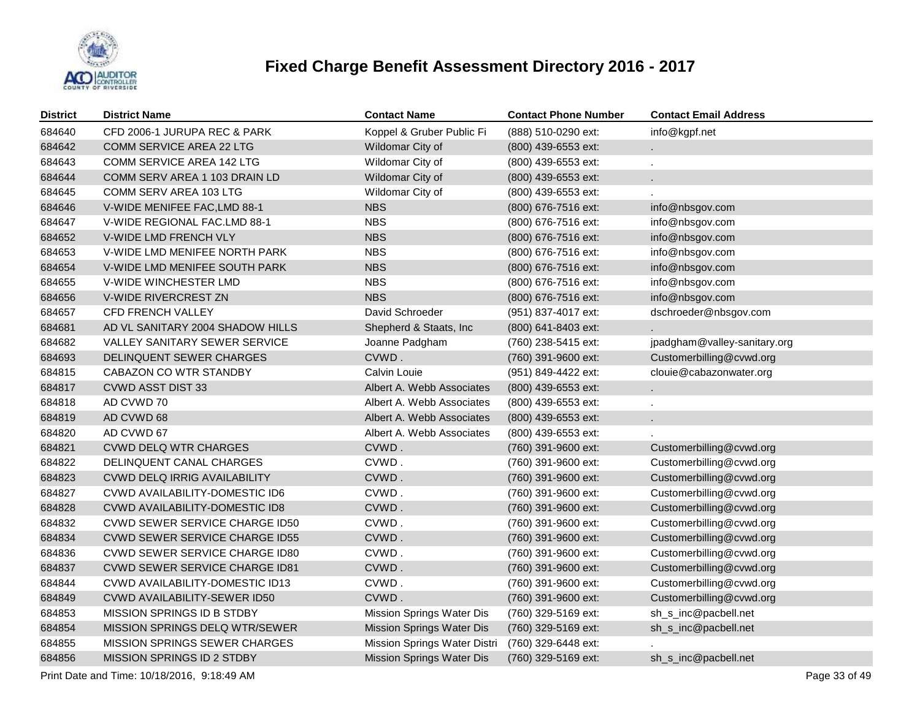

| <b>District</b> | <b>District Name</b>                  | <b>Contact Name</b>              | <b>Contact Phone Number</b> | <b>Contact Email Address</b> |
|-----------------|---------------------------------------|----------------------------------|-----------------------------|------------------------------|
| 684640          | CFD 2006-1 JURUPA REC & PARK          | Koppel & Gruber Public Fi        | (888) 510-0290 ext:         | info@kgpf.net                |
| 684642          | COMM SERVICE AREA 22 LTG              | Wildomar City of                 | (800) 439-6553 ext:         |                              |
| 684643          | COMM SERVICE AREA 142 LTG             | Wildomar City of                 | (800) 439-6553 ext:         |                              |
| 684644          | COMM SERV AREA 1 103 DRAIN LD         | Wildomar City of                 | (800) 439-6553 ext:         |                              |
| 684645          | COMM SERV AREA 103 LTG                | Wildomar City of                 | (800) 439-6553 ext:         |                              |
| 684646          | V-WIDE MENIFEE FAC, LMD 88-1          | <b>NBS</b>                       | (800) 676-7516 ext:         | info@nbsgov.com              |
| 684647          | V-WIDE REGIONAL FAC.LMD 88-1          | <b>NBS</b>                       | (800) 676-7516 ext:         | info@nbsgov.com              |
| 684652          | V-WIDE LMD FRENCH VLY                 | <b>NBS</b>                       | (800) 676-7516 ext:         | info@nbsgov.com              |
| 684653          | V-WIDE LMD MENIFEE NORTH PARK         | <b>NBS</b>                       | (800) 676-7516 ext:         | info@nbsgov.com              |
| 684654          | V-WIDE LMD MENIFEE SOUTH PARK         | <b>NBS</b>                       | (800) 676-7516 ext:         | info@nbsgov.com              |
| 684655          | V-WIDE WINCHESTER LMD                 | <b>NBS</b>                       | (800) 676-7516 ext:         | info@nbsgov.com              |
| 684656          | V-WIDE RIVERCREST ZN                  | <b>NBS</b>                       | (800) 676-7516 ext:         | info@nbsgov.com              |
| 684657          | CFD FRENCH VALLEY                     | David Schroeder                  | (951) 837-4017 ext:         | dschroeder@nbsgov.com        |
| 684681          | AD VL SANITARY 2004 SHADOW HILLS      | Shepherd & Staats, Inc           | (800) 641-8403 ext:         |                              |
| 684682          | VALLEY SANITARY SEWER SERVICE         | Joanne Padgham                   | (760) 238-5415 ext:         | jpadgham@valley-sanitary.org |
| 684693          | DELINQUENT SEWER CHARGES              | CVWD.                            | (760) 391-9600 ext:         | Customerbilling@cvwd.org     |
| 684815          | CABAZON CO WTR STANDBY                | Calvin Louie                     | (951) 849-4422 ext:         | clouie@cabazonwater.org      |
| 684817          | <b>CVWD ASST DIST 33</b>              | Albert A. Webb Associates        | (800) 439-6553 ext:         |                              |
| 684818          | AD CVWD 70                            | Albert A. Webb Associates        | (800) 439-6553 ext:         |                              |
| 684819          | AD CVWD 68                            | Albert A. Webb Associates        | (800) 439-6553 ext:         |                              |
| 684820          | AD CVWD 67                            | Albert A. Webb Associates        | (800) 439-6553 ext:         |                              |
| 684821          | <b>CVWD DELQ WTR CHARGES</b>          | CVWD.                            | (760) 391-9600 ext:         | Customerbilling@cvwd.org     |
| 684822          | DELINQUENT CANAL CHARGES              | CVWD.                            | (760) 391-9600 ext:         | Customerbilling@cvwd.org     |
| 684823          | CVWD DELQ IRRIG AVAILABILITY          | CVWD.                            | (760) 391-9600 ext:         | Customerbilling@cvwd.org     |
| 684827          | CVWD AVAILABILITY-DOMESTIC ID6        | CVWD.                            | (760) 391-9600 ext:         | Customerbilling@cvwd.org     |
| 684828          | <b>CVWD AVAILABILITY-DOMESTIC ID8</b> | CVWD.                            | (760) 391-9600 ext:         | Customerbilling@cvwd.org     |
| 684832          | <b>CVWD SEWER SERVICE CHARGE ID50</b> | CVWD.                            | (760) 391-9600 ext:         | Customerbilling@cvwd.org     |
| 684834          | <b>CVWD SEWER SERVICE CHARGE ID55</b> | CVWD.                            | (760) 391-9600 ext:         | Customerbilling@cvwd.org     |
| 684836          | <b>CVWD SEWER SERVICE CHARGE ID80</b> | CVWD.                            | (760) 391-9600 ext:         | Customerbilling@cvwd.org     |
| 684837          | <b>CVWD SEWER SERVICE CHARGE ID81</b> | CVWD.                            | (760) 391-9600 ext:         | Customerbilling@cvwd.org     |
| 684844          | CVWD AVAILABILITY-DOMESTIC ID13       | CVWD.                            | (760) 391-9600 ext:         | Customerbilling@cvwd.org     |
| 684849          | <b>CVWD AVAILABILITY-SEWER ID50</b>   | CVWD.                            | (760) 391-9600 ext:         | Customerbilling@cvwd.org     |
| 684853          | MISSION SPRINGS ID B STDBY            | Mission Springs Water Dis        | (760) 329-5169 ext:         | sh_s_inc@pacbell.net         |
| 684854          | MISSION SPRINGS DELQ WTR/SEWER        | Mission Springs Water Dis        | (760) 329-5169 ext:         | sh_s_inc@pacbell.net         |
| 684855          | <b>MISSION SPRINGS SEWER CHARGES</b>  | Mission Springs Water Distri     | (760) 329-6448 ext:         |                              |
| 684856          | MISSION SPRINGS ID 2 STDBY            | <b>Mission Springs Water Dis</b> | (760) 329-5169 ext:         | sh_s_inc@pacbell.net         |
|                 |                                       |                                  |                             |                              |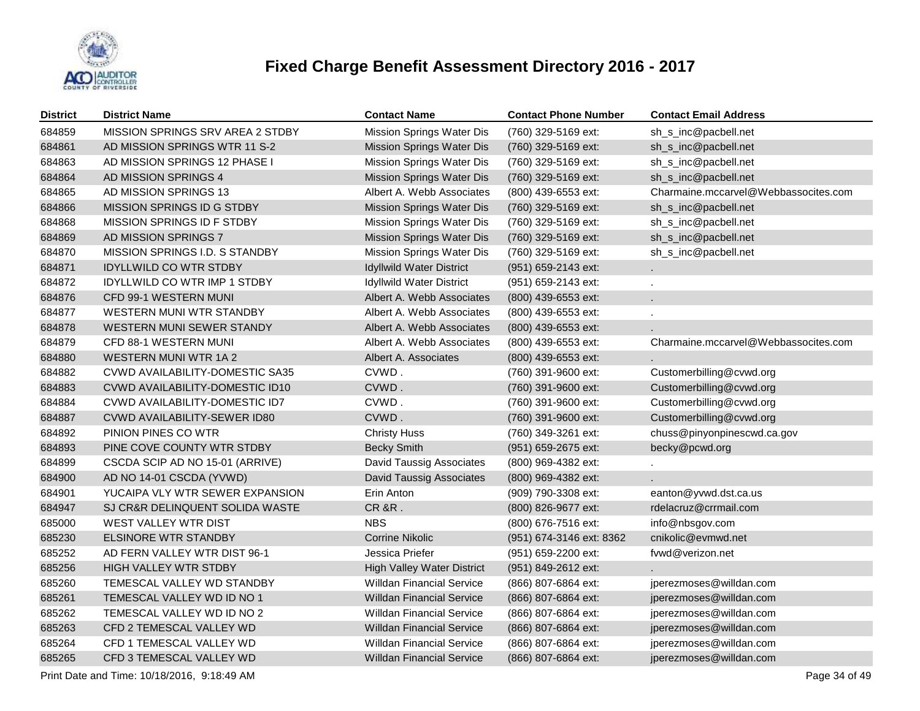

| <b>District</b> | <b>District Name</b>                        | <b>Contact Name</b>               | <b>Contact Phone Number</b> | <b>Contact Email Address</b>         |
|-----------------|---------------------------------------------|-----------------------------------|-----------------------------|--------------------------------------|
| 684859          | MISSION SPRINGS SRV AREA 2 STDBY            | <b>Mission Springs Water Dis</b>  | (760) 329-5169 ext:         | sh_s_inc@pacbell.net                 |
| 684861          | AD MISSION SPRINGS WTR 11 S-2               | Mission Springs Water Dis         | (760) 329-5169 ext:         | sh_s_inc@pacbell.net                 |
| 684863          | AD MISSION SPRINGS 12 PHASE I               | Mission Springs Water Dis         | (760) 329-5169 ext:         | sh_s_inc@pacbell.net                 |
| 684864          | AD MISSION SPRINGS 4                        | Mission Springs Water Dis         | (760) 329-5169 ext:         | sh_s_inc@pacbell.net                 |
| 684865          | AD MISSION SPRINGS 13                       | Albert A. Webb Associates         | (800) 439-6553 ext:         | Charmaine.mccarvel@Webbassocites.com |
| 684866          | <b>MISSION SPRINGS ID G STDBY</b>           | <b>Mission Springs Water Dis</b>  | (760) 329-5169 ext:         | sh_s_inc@pacbell.net                 |
| 684868          | MISSION SPRINGS ID F STDBY                  | Mission Springs Water Dis         | (760) 329-5169 ext:         | sh_s_inc@pacbell.net                 |
| 684869          | AD MISSION SPRINGS 7                        | <b>Mission Springs Water Dis</b>  | (760) 329-5169 ext:         | sh_s_inc@pacbell.net                 |
| 684870          | MISSION SPRINGS I.D. S STANDBY              | Mission Springs Water Dis         | (760) 329-5169 ext:         | sh_s_inc@pacbell.net                 |
| 684871          | <b>IDYLLWILD CO WTR STDBY</b>               | <b>Idyllwild Water District</b>   | (951) 659-2143 ext:         |                                      |
| 684872          | <b>IDYLLWILD CO WTR IMP 1 STDBY</b>         | Idyllwild Water District          | (951) 659-2143 ext:         | ÷.                                   |
| 684876          | CFD 99-1 WESTERN MUNI                       | Albert A. Webb Associates         | (800) 439-6553 ext:         |                                      |
| 684877          | WESTERN MUNI WTR STANDBY                    | Albert A. Webb Associates         | (800) 439-6553 ext:         |                                      |
| 684878          | <b>WESTERN MUNI SEWER STANDY</b>            | Albert A. Webb Associates         | (800) 439-6553 ext:         |                                      |
| 684879          | CFD 88-1 WESTERN MUNI                       | Albert A. Webb Associates         | (800) 439-6553 ext:         | Charmaine.mccarvel@Webbassocites.com |
| 684880          | WESTERN MUNI WTR 1A 2                       | Albert A. Associates              | (800) 439-6553 ext:         |                                      |
| 684882          | CVWD AVAILABILITY-DOMESTIC SA35             | CVWD.                             | (760) 391-9600 ext:         | Customerbilling@cvwd.org             |
| 684883          | CVWD AVAILABILITY-DOMESTIC ID10             | CVWD.                             | (760) 391-9600 ext:         | Customerbilling@cvwd.org             |
| 684884          | CVWD AVAILABILITY-DOMESTIC ID7              | CVWD.                             | (760) 391-9600 ext:         | Customerbilling@cvwd.org             |
| 684887          | CVWD AVAILABILITY-SEWER ID80                | CVWD.                             | (760) 391-9600 ext:         | Customerbilling@cvwd.org             |
| 684892          | PINION PINES CO WTR                         | <b>Christy Huss</b>               | (760) 349-3261 ext:         | chuss@pinyonpinescwd.ca.gov          |
| 684893          | PINE COVE COUNTY WTR STDBY                  | <b>Becky Smith</b>                | (951) 659-2675 ext:         | becky@pcwd.org                       |
| 684899          | CSCDA SCIP AD NO 15-01 (ARRIVE)             | David Taussig Associates          | (800) 969-4382 ext:         |                                      |
| 684900          | AD NO 14-01 CSCDA (YVWD)                    | David Taussig Associates          | (800) 969-4382 ext:         |                                      |
| 684901          | YUCAIPA VLY WTR SEWER EXPANSION             | Erin Anton                        | (909) 790-3308 ext:         | eanton@yvwd.dst.ca.us                |
| 684947          | SJ CR&R DELINQUENT SOLIDA WASTE             | <b>CR &amp;R.</b>                 | (800) 826-9677 ext:         | rdelacruz@crrmail.com                |
| 685000          | WEST VALLEY WTR DIST                        | <b>NBS</b>                        | (800) 676-7516 ext:         | info@nbsgov.com                      |
| 685230          | <b>ELSINORE WTR STANDBY</b>                 | Corrine Nikolic                   | (951) 674-3146 ext: 8362    | cnikolic@evmwd.net                   |
| 685252          | AD FERN VALLEY WTR DIST 96-1                | Jessica Priefer                   | (951) 659-2200 ext:         | fvwd@verizon.net                     |
| 685256          | HIGH VALLEY WTR STDBY                       | <b>High Valley Water District</b> | (951) 849-2612 ext:         |                                      |
| 685260          | TEMESCAL VALLEY WD STANDBY                  | <b>Willdan Financial Service</b>  | (866) 807-6864 ext:         | jperezmoses@willdan.com              |
| 685261          | TEMESCAL VALLEY WD ID NO 1                  | <b>Willdan Financial Service</b>  | (866) 807-6864 ext:         | jperezmoses@willdan.com              |
| 685262          | TEMESCAL VALLEY WD ID NO 2                  | <b>Willdan Financial Service</b>  | (866) 807-6864 ext:         | jperezmoses@willdan.com              |
| 685263          | CFD 2 TEMESCAL VALLEY WD                    | <b>Willdan Financial Service</b>  | (866) 807-6864 ext:         | jperezmoses@willdan.com              |
| 685264          | CFD 1 TEMESCAL VALLEY WD                    | <b>Willdan Financial Service</b>  | (866) 807-6864 ext:         | jperezmoses@willdan.com              |
| 685265          | CFD 3 TEMESCAL VALLEY WD                    | <b>Willdan Financial Service</b>  | (866) 807-6864 ext:         | jperezmoses@willdan.com              |
|                 | Print Date and Time: 10/18/2016, 9:18:49 AM |                                   |                             | Page 34 of 49                        |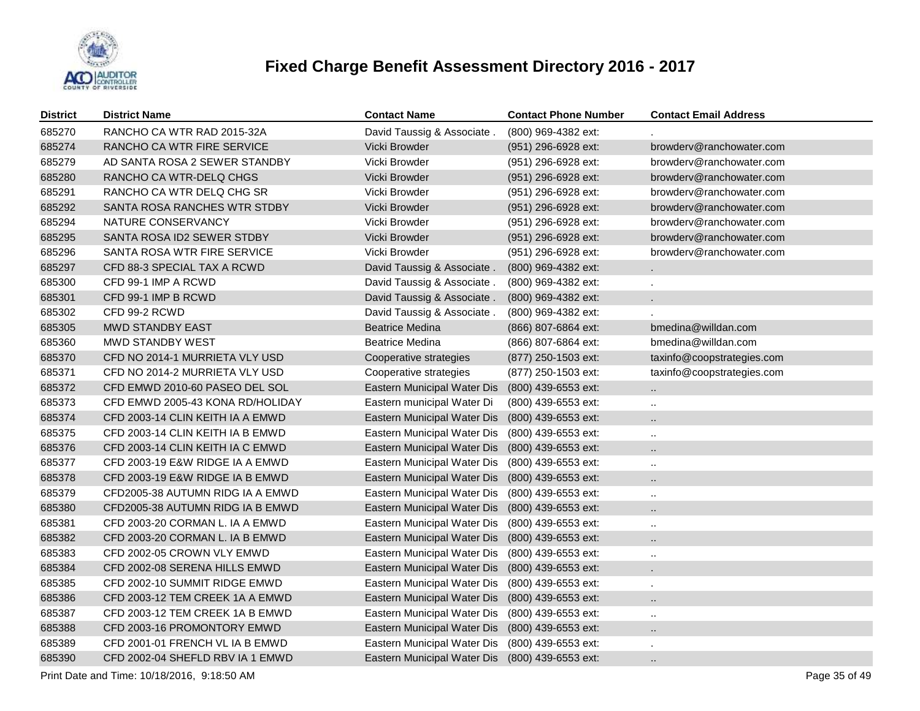

| <b>District</b> | <b>District Name</b>             | <b>Contact Name</b>                             | <b>Contact Phone Number</b> | <b>Contact Email Address</b> |
|-----------------|----------------------------------|-------------------------------------------------|-----------------------------|------------------------------|
| 685270          | RANCHO CA WTR RAD 2015-32A       | David Taussig & Associate.                      | (800) 969-4382 ext:         |                              |
| 685274          | RANCHO CA WTR FIRE SERVICE       | Vicki Browder                                   | (951) 296-6928 ext:         | browdery@ranchowater.com     |
| 685279          | AD SANTA ROSA 2 SEWER STANDBY    | Vicki Browder                                   | (951) 296-6928 ext:         | browderv@ranchowater.com     |
| 685280          | RANCHO CA WTR-DELQ CHGS          | Vicki Browder                                   | (951) 296-6928 ext:         | browdery@ranchowater.com     |
| 685291          | RANCHO CA WTR DELQ CHG SR        | Vicki Browder                                   | (951) 296-6928 ext:         | browderv@ranchowater.com     |
| 685292          | SANTA ROSA RANCHES WTR STDBY     | Vicki Browder                                   | (951) 296-6928 ext:         | browdery@ranchowater.com     |
| 685294          | NATURE CONSERVANCY               | Vicki Browder                                   | (951) 296-6928 ext:         | browderv@ranchowater.com     |
| 685295          | SANTA ROSA ID2 SEWER STDBY       | Vicki Browder                                   | (951) 296-6928 ext:         | browderv@ranchowater.com     |
| 685296          | SANTA ROSA WTR FIRE SERVICE      | Vicki Browder                                   | (951) 296-6928 ext:         | browderv@ranchowater.com     |
| 685297          | CFD 88-3 SPECIAL TAX A RCWD      | David Taussig & Associate.                      | (800) 969-4382 ext:         | ä.                           |
| 685300          | CFD 99-1 IMP A RCWD              | David Taussig & Associate.                      | (800) 969-4382 ext:         |                              |
| 685301          | CFD 99-1 IMP B RCWD              | David Taussig & Associate.                      | (800) 969-4382 ext:         | $\mathbf{r}$                 |
| 685302          | CFD 99-2 RCWD                    | David Taussig & Associate.                      | (800) 969-4382 ext:         |                              |
| 685305          | <b>MWD STANDBY EAST</b>          | <b>Beatrice Medina</b>                          | (866) 807-6864 ext:         | bmedina@willdan.com          |
| 685360          | MWD STANDBY WEST                 | <b>Beatrice Medina</b>                          | (866) 807-6864 ext:         | bmedina@willdan.com          |
| 685370          | CFD NO 2014-1 MURRIETA VLY USD   | Cooperative strategies                          | (877) 250-1503 ext:         | taxinfo@coopstrategies.com   |
| 685371          | CFD NO 2014-2 MURRIETA VLY USD   | Cooperative strategies                          | (877) 250-1503 ext:         | taxinfo@coopstrategies.com   |
| 685372          | CFD EMWD 2010-60 PASEO DEL SOL   | Eastern Municipal Water Dis                     | (800) 439-6553 ext:         | $\sim$                       |
| 685373          | CFD EMWD 2005-43 KONA RD/HOLIDAY | Eastern municipal Water Di                      | (800) 439-6553 ext:         | $\ddotsc$                    |
| 685374          | CFD 2003-14 CLIN KEITH IA A EMWD | Eastern Municipal Water Dis                     | (800) 439-6553 ext:         | $\ddot{\phantom{1}}$         |
| 685375          | CFD 2003-14 CLIN KEITH IA B EMWD | Eastern Municipal Water Dis                     | (800) 439-6553 ext:         | $\ddotsc$                    |
| 685376          | CFD 2003-14 CLIN KEITH IA C EMWD | Eastern Municipal Water Dis                     | (800) 439-6553 ext:         | $\ddot{\phantom{1}}$         |
| 685377          | CFD 2003-19 E&W RIDGE IA A EMWD  | Eastern Municipal Water Dis                     | (800) 439-6553 ext:         | $\ddot{\phantom{a}}$         |
| 685378          | CFD 2003-19 E&W RIDGE IA B EMWD  | Eastern Municipal Water Dis                     | (800) 439-6553 ext:         | $\ddot{\phantom{1}}$         |
| 685379          | CFD2005-38 AUTUMN RIDG IA A EMWD | Eastern Municipal Water Dis                     | (800) 439-6553 ext:         | $\ddot{\phantom{a}}$         |
| 685380          | CFD2005-38 AUTUMN RIDG IA B EMWD | Eastern Municipal Water Dis                     | (800) 439-6553 ext:         | $\ddot{\phantom{1}}$         |
| 685381          | CFD 2003-20 CORMAN L. IA A EMWD  | Eastern Municipal Water Dis                     | (800) 439-6553 ext:         | $\ddotsc$                    |
| 685382          | CFD 2003-20 CORMAN L. IA B EMWD  | Eastern Municipal Water Dis                     | (800) 439-6553 ext:         | $\ddot{\phantom{a}}$         |
| 685383          | CFD 2002-05 CROWN VLY EMWD       | Eastern Municipal Water Dis                     | (800) 439-6553 ext:         | $\ddotsc$                    |
| 685384          | CFD 2002-08 SERENA HILLS EMWD    | Eastern Municipal Water Dis                     | (800) 439-6553 ext:         |                              |
| 685385          | CFD 2002-10 SUMMIT RIDGE EMWD    | Eastern Municipal Water Dis                     | (800) 439-6553 ext:         |                              |
| 685386          | CFD 2003-12 TEM CREEK 1A A EMWD  | Eastern Municipal Water Dis                     | (800) 439-6553 ext:         | $\ddot{\phantom{a}}$         |
| 685387          | CFD 2003-12 TEM CREEK 1A B EMWD  | Eastern Municipal Water Dis                     | (800) 439-6553 ext:         | $\ddotsc$                    |
| 685388          | CFD 2003-16 PROMONTORY EMWD      | Eastern Municipal Water Dis                     | (800) 439-6553 ext:         | $\ddot{\phantom{a}}$         |
| 685389          | CFD 2001-01 FRENCH VL IA B EMWD  | Eastern Municipal Water Dis                     | (800) 439-6553 ext:         |                              |
| 685390          | CFD 2002-04 SHEFLD RBV IA 1 EMWD | Eastern Municipal Water Dis (800) 439-6553 ext: |                             | $\ddotsc$                    |

Print Date and Time: 10/18/2016, 9:18:50 AM Page 35 of 49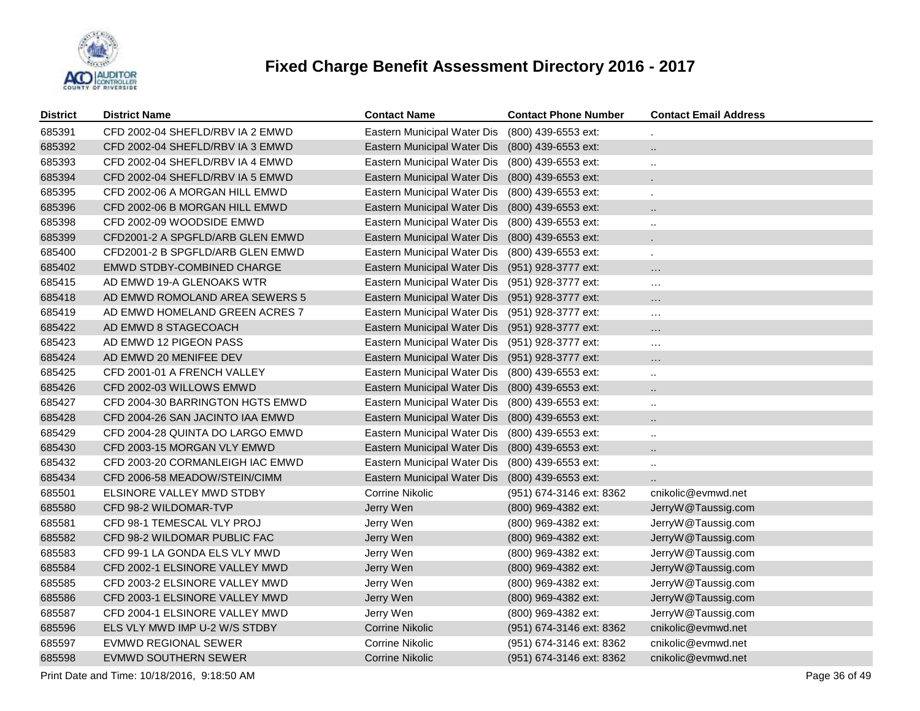

| District | <b>District Name</b>              | <b>Contact Name</b>         | <b>Contact Phone Number</b> | <b>Contact Email Address</b> |
|----------|-----------------------------------|-----------------------------|-----------------------------|------------------------------|
| 685391   | CFD 2002-04 SHEFLD/RBV IA 2 EMWD  | Eastern Municipal Water Dis | (800) 439-6553 ext:         |                              |
| 685392   | CFD 2002-04 SHEFLD/RBV IA 3 EMWD  | Eastern Municipal Water Dis | (800) 439-6553 ext:         | $\ddot{\phantom{1}}$         |
| 685393   | CFD 2002-04 SHEFLD/RBV IA 4 EMWD  | Eastern Municipal Water Dis | (800) 439-6553 ext:         | $\ddotsc$                    |
| 685394   | CFD 2002-04 SHEFLD/RBV IA 5 EMWD  | Eastern Municipal Water Dis | (800) 439-6553 ext:         |                              |
| 685395   | CFD 2002-06 A MORGAN HILL EMWD    | Eastern Municipal Water Dis | (800) 439-6553 ext:         |                              |
| 685396   | CFD 2002-06 B MORGAN HILL EMWD    | Eastern Municipal Water Dis | (800) 439-6553 ext:         | $\cdot$ .                    |
| 685398   | CFD 2002-09 WOODSIDE EMWD         | Eastern Municipal Water Dis | (800) 439-6553 ext:         | $\ddotsc$                    |
| 685399   | CFD2001-2 A SPGFLD/ARB GLEN EMWD  | Eastern Municipal Water Dis | (800) 439-6553 ext:         |                              |
| 685400   | CFD2001-2 B SPGFLD/ARB GLEN EMWD  | Eastern Municipal Water Dis | (800) 439-6553 ext:         | ä,                           |
| 685402   | <b>EMWD STDBY-COMBINED CHARGE</b> | Eastern Municipal Water Dis | (951) 928-3777 ext:         | $\ldots$                     |
| 685415   | AD EMWD 19-A GLENOAKS WTR         | Eastern Municipal Water Dis | (951) 928-3777 ext:         | $\sim$                       |
| 685418   | AD EMWD ROMOLAND AREA SEWERS 5    | Eastern Municipal Water Dis | (951) 928-3777 ext:         | $\ldots$                     |
| 685419   | AD EMWD HOMELAND GREEN ACRES 7    | Eastern Municipal Water Dis | (951) 928-3777 ext:         | $\sim$                       |
| 685422   | AD EMWD 8 STAGECOACH              | Eastern Municipal Water Dis | (951) 928-3777 ext:         | $\ldots$                     |
| 685423   | AD EMWD 12 PIGEON PASS            | Eastern Municipal Water Dis | (951) 928-3777 ext:         | $\ldots$                     |
| 685424   | AD EMWD 20 MENIFEE DEV            | Eastern Municipal Water Dis | (951) 928-3777 ext:         | $\ldots$                     |
| 685425   | CFD 2001-01 A FRENCH VALLEY       | Eastern Municipal Water Dis | (800) 439-6553 ext:         | $\ddot{\phantom{a}}$         |
| 685426   | CFD 2002-03 WILLOWS EMWD          | Eastern Municipal Water Dis | (800) 439-6553 ext:         | $\ddot{\phantom{1}}$         |
| 685427   | CFD 2004-30 BARRINGTON HGTS EMWD  | Eastern Municipal Water Dis | (800) 439-6553 ext:         | $\ddotsc$                    |
| 685428   | CFD 2004-26 SAN JACINTO IAA EMWD  | Eastern Municipal Water Dis | (800) 439-6553 ext:         | $\ddotsc$                    |
| 685429   | CFD 2004-28 QUINTA DO LARGO EMWD  | Eastern Municipal Water Dis | (800) 439-6553 ext:         | $\ddotsc$                    |
| 685430   | CFD 2003-15 MORGAN VLY EMWD       | Eastern Municipal Water Dis | (800) 439-6553 ext:         | $\ddot{\phantom{a}}$         |
| 685432   | CFD 2003-20 CORMANLEIGH IAC EMWD  | Eastern Municipal Water Dis | (800) 439-6553 ext:         | $\ddot{\phantom{a}}$         |
| 685434   | CFD 2006-58 MEADOW/STEIN/CIMM     | Eastern Municipal Water Dis | (800) 439-6553 ext:         |                              |
| 685501   | ELSINORE VALLEY MWD STDBY         | Corrine Nikolic             | (951) 674-3146 ext: 8362    | cnikolic@evmwd.net           |
| 685580   | CFD 98-2 WILDOMAR-TVP             | Jerry Wen                   | (800) 969-4382 ext:         | JerryW@Taussig.com           |
| 685581   | CFD 98-1 TEMESCAL VLY PROJ        | Jerry Wen                   | (800) 969-4382 ext:         | JerryW@Taussig.com           |
| 685582   | CFD 98-2 WILDOMAR PUBLIC FAC      | Jerry Wen                   | (800) 969-4382 ext:         | JerryW@Taussig.com           |
| 685583   | CFD 99-1 LA GONDA ELS VLY MWD     | Jerry Wen                   | (800) 969-4382 ext:         | JerryW@Taussig.com           |
| 685584   | CFD 2002-1 ELSINORE VALLEY MWD    | Jerry Wen                   | (800) 969-4382 ext:         | JerryW@Taussig.com           |
| 685585   | CFD 2003-2 ELSINORE VALLEY MWD    | Jerry Wen                   | (800) 969-4382 ext:         | JerryW@Taussig.com           |
| 685586   | CFD 2003-1 ELSINORE VALLEY MWD    | Jerry Wen                   | (800) 969-4382 ext:         | JerryW@Taussig.com           |
| 685587   | CFD 2004-1 ELSINORE VALLEY MWD    | Jerry Wen                   | (800) 969-4382 ext:         | JerryW@Taussig.com           |
| 685596   | ELS VLY MWD IMP U-2 W/S STDBY     | Corrine Nikolic             | (951) 674-3146 ext: 8362    | cnikolic@evmwd.net           |
| 685597   | <b>EVMWD REGIONAL SEWER</b>       | Corrine Nikolic             | (951) 674-3146 ext: 8362    | cnikolic@evmwd.net           |
| 685598   | EVMWD SOUTHERN SEWER              | Corrine Nikolic             | (951) 674-3146 ext: 8362    | cnikolic@evmwd.net           |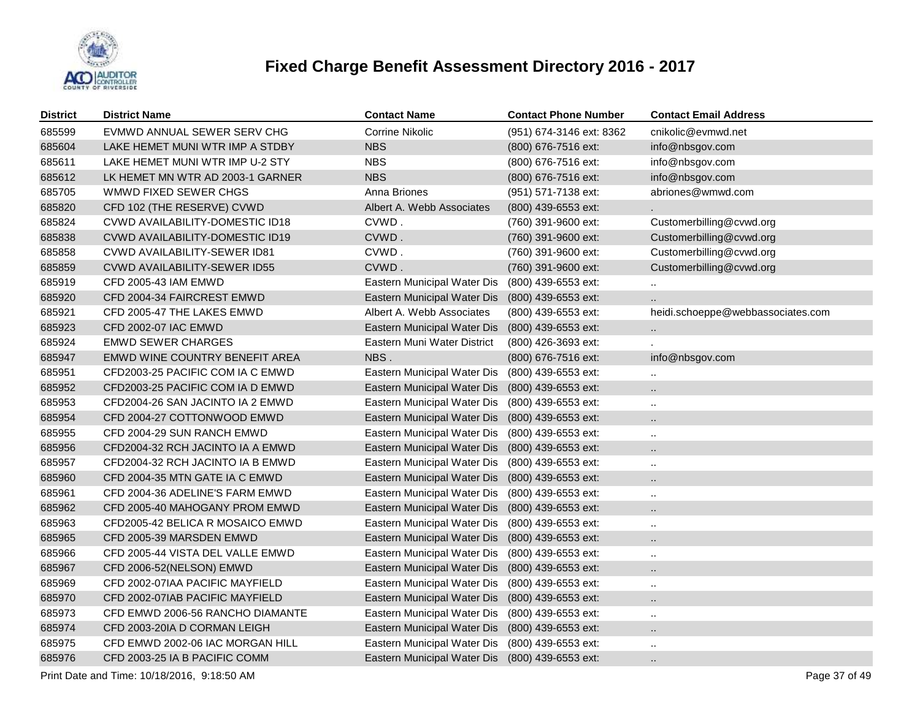

| <b>District</b> | <b>District Name</b>                   | <b>Contact Name</b>         | <b>Contact Phone Number</b> | <b>Contact Email Address</b>      |
|-----------------|----------------------------------------|-----------------------------|-----------------------------|-----------------------------------|
| 685599          | EVMWD ANNUAL SEWER SERV CHG            | Corrine Nikolic             | (951) 674-3146 ext: 8362    | cnikolic@evmwd.net                |
| 685604          | LAKE HEMET MUNI WTR IMP A STDBY        | <b>NBS</b>                  | (800) 676-7516 ext:         | info@nbsgov.com                   |
| 685611          | LAKE HEMET MUNI WTR IMP U-2 STY        | <b>NBS</b>                  | (800) 676-7516 ext:         | info@nbsgov.com                   |
| 685612          | LK HEMET MN WTR AD 2003-1 GARNER       | <b>NBS</b>                  | (800) 676-7516 ext:         | info@nbsgov.com                   |
| 685705          | WMWD FIXED SEWER CHGS                  | Anna Briones                | (951) 571-7138 ext:         | abriones@wmwd.com                 |
| 685820          | CFD 102 (THE RESERVE) CVWD             | Albert A. Webb Associates   | (800) 439-6553 ext:         |                                   |
| 685824          | CVWD AVAILABILITY-DOMESTIC ID18        | CVWD.                       | (760) 391-9600 ext:         | Customerbilling@cvwd.org          |
| 685838          | <b>CVWD AVAILABILITY-DOMESTIC ID19</b> | CVWD.                       | (760) 391-9600 ext:         | Customerbilling@cvwd.org          |
| 685858          | CVWD AVAILABILITY-SEWER ID81           | CVWD.                       | (760) 391-9600 ext:         | Customerbilling@cvwd.org          |
| 685859          | CVWD AVAILABILITY-SEWER ID55           | CVWD.                       | (760) 391-9600 ext:         | Customerbilling@cvwd.org          |
| 685919          | CFD 2005-43 IAM EMWD                   | Eastern Municipal Water Dis | (800) 439-6553 ext:         |                                   |
| 685920          | CFD 2004-34 FAIRCREST EMWD             | Eastern Municipal Water Dis | (800) 439-6553 ext:         |                                   |
| 685921          | CFD 2005-47 THE LAKES EMWD             | Albert A. Webb Associates   | (800) 439-6553 ext:         | heidi.schoeppe@webbassociates.com |
| 685923          | CFD 2002-07 IAC EMWD                   | Eastern Municipal Water Dis | (800) 439-6553 ext:         |                                   |
| 685924          | <b>EMWD SEWER CHARGES</b>              | Eastern Muni Water District | (800) 426-3693 ext:         |                                   |
| 685947          | EMWD WINE COUNTRY BENEFIT AREA         | NBS.                        | (800) 676-7516 ext:         | info@nbsgov.com                   |
| 685951          | CFD2003-25 PACIFIC COM IA C EMWD       | Eastern Municipal Water Dis | (800) 439-6553 ext:         | $\ddot{\phantom{a}}$              |
| 685952          | CFD2003-25 PACIFIC COM IA D EMWD       | Eastern Municipal Water Dis | (800) 439-6553 ext:         |                                   |
| 685953          | CFD2004-26 SAN JACINTO IA 2 EMWD       | Eastern Municipal Water Dis | (800) 439-6553 ext:         | $\ddotsc$                         |
| 685954          | CFD 2004-27 COTTONWOOD EMWD            | Eastern Municipal Water Dis | (800) 439-6553 ext:         |                                   |
| 685955          | CFD 2004-29 SUN RANCH EMWD             | Eastern Municipal Water Dis | (800) 439-6553 ext:         | $\ddotsc$                         |
| 685956          | CFD2004-32 RCH JACINTO IA A EMWD       | Eastern Municipal Water Dis | (800) 439-6553 ext:         |                                   |
| 685957          | CFD2004-32 RCH JACINTO IA B EMWD       | Eastern Municipal Water Dis | (800) 439-6553 ext:         | $\ddotsc$                         |
| 685960          | CFD 2004-35 MTN GATE IA C EMWD         | Eastern Municipal Water Dis | (800) 439-6553 ext:         | $\ddot{\phantom{a}}$              |
| 685961          | CFD 2004-36 ADELINE'S FARM EMWD        | Eastern Municipal Water Dis | (800) 439-6553 ext:         | $\ddot{\phantom{a}}$              |
| 685962          | CFD 2005-40 MAHOGANY PROM EMWD         | Eastern Municipal Water Dis | (800) 439-6553 ext:         |                                   |
| 685963          | CFD2005-42 BELICA R MOSAICO EMWD       | Eastern Municipal Water Dis | (800) 439-6553 ext:         | $\ddot{\phantom{a}}$              |
| 685965          | CFD 2005-39 MARSDEN EMWD               | Eastern Municipal Water Dis | (800) 439-6553 ext:         | $\ddotsc$                         |
| 685966          | CFD 2005-44 VISTA DEL VALLE EMWD       | Eastern Municipal Water Dis | (800) 439-6553 ext:         | $\ddotsc$                         |
| 685967          | CFD 2006-52(NELSON) EMWD               | Eastern Municipal Water Dis | (800) 439-6553 ext:         | $\ddot{\phantom{a}}$              |
| 685969          | CFD 2002-07IAA PACIFIC MAYFIELD        | Eastern Municipal Water Dis | (800) 439-6553 ext:         | $\ddotsc$                         |
| 685970          | CFD 2002-07IAB PACIFIC MAYFIELD        | Eastern Municipal Water Dis | $(800)$ 439-6553 ext:       | $\ddot{\phantom{a}}$              |
| 685973          | CFD EMWD 2006-56 RANCHO DIAMANTE       | Eastern Municipal Water Dis | (800) 439-6553 ext:         | $\ddotsc$                         |
| 685974          | CFD 2003-20IA D CORMAN LEIGH           | Eastern Municipal Water Dis | $(800)$ 439-6553 ext:       |                                   |
| 685975          | CFD EMWD 2002-06 IAC MORGAN HILL       | Eastern Municipal Water Dis | (800) 439-6553 ext:         | $\ddotsc$                         |
| 685976          | CFD 2003-25 IA B PACIFIC COMM          | Eastern Municipal Water Dis | (800) 439-6553 ext:         | Ω.                                |

Print Date and Time: 10/18/2016, 9:18:50 AM Page 37 of 49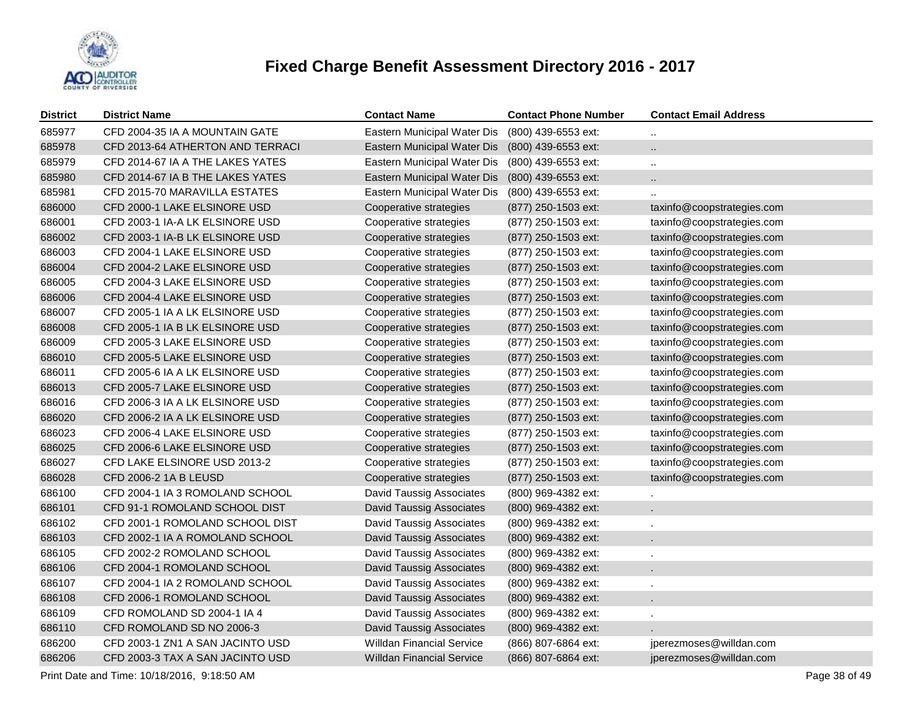

| <b>District</b> | <b>District Name</b>             | <b>Contact Name</b>                             | <b>Contact Phone Number</b> | <b>Contact Email Address</b> |
|-----------------|----------------------------------|-------------------------------------------------|-----------------------------|------------------------------|
| 685977          | CFD 2004-35 IA A MOUNTAIN GATE   | Eastern Municipal Water Dis                     | (800) 439-6553 ext:         |                              |
| 685978          | CFD 2013-64 ATHERTON AND TERRACI | Eastern Municipal Water Dis                     | (800) 439-6553 ext:         |                              |
| 685979          | CFD 2014-67 IA A THE LAKES YATES | Eastern Municipal Water Dis (800) 439-6553 ext: |                             | $\ddotsc$                    |
| 685980          | CFD 2014-67 IA B THE LAKES YATES | Eastern Municipal Water Dis                     | (800) 439-6553 ext:         |                              |
| 685981          | CFD 2015-70 MARAVILLA ESTATES    | Eastern Municipal Water Dis                     | (800) 439-6553 ext:         |                              |
| 686000          | CFD 2000-1 LAKE ELSINORE USD     | Cooperative strategies                          | (877) 250-1503 ext:         | taxinfo@coopstrategies.com   |
| 686001          | CFD 2003-1 IA-A LK ELSINORE USD  | Cooperative strategies                          | (877) 250-1503 ext:         | taxinfo@coopstrategies.com   |
| 686002          | CFD 2003-1 IA-B LK ELSINORE USD  | Cooperative strategies                          | (877) 250-1503 ext:         | taxinfo@coopstrategies.com   |
| 686003          | CFD 2004-1 LAKE ELSINORE USD     | Cooperative strategies                          | (877) 250-1503 ext:         | taxinfo@coopstrategies.com   |
| 686004          | CFD 2004-2 LAKE ELSINORE USD     | Cooperative strategies                          | (877) 250-1503 ext:         | taxinfo@coopstrategies.com   |
| 686005          | CFD 2004-3 LAKE ELSINORE USD     | Cooperative strategies                          | (877) 250-1503 ext:         | taxinfo@coopstrategies.com   |
| 686006          | CFD 2004-4 LAKE ELSINORE USD     | Cooperative strategies                          | (877) 250-1503 ext:         | taxinfo@coopstrategies.com   |
| 686007          | CFD 2005-1 IA A LK ELSINORE USD  | Cooperative strategies                          | (877) 250-1503 ext:         | taxinfo@coopstrategies.com   |
| 686008          | CFD 2005-1 IA B LK ELSINORE USD  | Cooperative strategies                          | (877) 250-1503 ext:         | taxinfo@coopstrategies.com   |
| 686009          | CFD 2005-3 LAKE ELSINORE USD     | Cooperative strategies                          | (877) 250-1503 ext:         | taxinfo@coopstrategies.com   |
| 686010          | CFD 2005-5 LAKE ELSINORE USD     | Cooperative strategies                          | (877) 250-1503 ext:         | taxinfo@coopstrategies.com   |
| 686011          | CFD 2005-6 IA A LK ELSINORE USD  | Cooperative strategies                          | (877) 250-1503 ext:         | taxinfo@coopstrategies.com   |
| 686013          | CFD 2005-7 LAKE ELSINORE USD     | Cooperative strategies                          | (877) 250-1503 ext:         | taxinfo@coopstrategies.com   |
| 686016          | CFD 2006-3 IA A LK ELSINORE USD  | Cooperative strategies                          | (877) 250-1503 ext:         | taxinfo@coopstrategies.com   |
| 686020          | CFD 2006-2 IA A LK ELSINORE USD  | Cooperative strategies                          | (877) 250-1503 ext:         | taxinfo@coopstrategies.com   |
| 686023          | CFD 2006-4 LAKE ELSINORE USD     | Cooperative strategies                          | (877) 250-1503 ext:         | taxinfo@coopstrategies.com   |
| 686025          | CFD 2006-6 LAKE ELSINORE USD     | Cooperative strategies                          | (877) 250-1503 ext:         | taxinfo@coopstrategies.com   |
| 686027          | CFD LAKE ELSINORE USD 2013-2     | Cooperative strategies                          | (877) 250-1503 ext:         | taxinfo@coopstrategies.com   |
| 686028          | CFD 2006-2 1A B LEUSD            | Cooperative strategies                          | (877) 250-1503 ext:         | taxinfo@coopstrategies.com   |
| 686100          | CFD 2004-1 IA 3 ROMOLAND SCHOOL  | David Taussig Associates                        | (800) 969-4382 ext:         |                              |
| 686101          | CFD 91-1 ROMOLAND SCHOOL DIST    | David Taussig Associates                        | (800) 969-4382 ext:         |                              |
| 686102          | CFD 2001-1 ROMOLAND SCHOOL DIST  | David Taussig Associates                        | (800) 969-4382 ext:         |                              |
| 686103          | CFD 2002-1 IA A ROMOLAND SCHOOL  | David Taussig Associates                        | (800) 969-4382 ext:         |                              |
| 686105          | CFD 2002-2 ROMOLAND SCHOOL       | David Taussig Associates                        | (800) 969-4382 ext:         |                              |
| 686106          | CFD 2004-1 ROMOLAND SCHOOL       | David Taussig Associates                        | (800) 969-4382 ext:         |                              |
| 686107          | CFD 2004-1 IA 2 ROMOLAND SCHOOL  | David Taussig Associates                        | (800) 969-4382 ext:         |                              |
| 686108          | CFD 2006-1 ROMOLAND SCHOOL       | David Taussig Associates                        | (800) 969-4382 ext:         |                              |
| 686109          | CFD ROMOLAND SD 2004-1 IA 4      | David Taussig Associates                        | (800) 969-4382 ext:         |                              |
| 686110          | CFD ROMOLAND SD NO 2006-3        | David Taussig Associates                        | (800) 969-4382 ext:         |                              |
| 686200          | CFD 2003-1 ZN1 A SAN JACINTO USD | <b>Willdan Financial Service</b>                | (866) 807-6864 ext:         | jperezmoses@willdan.com      |
| 686206          | CFD 2003-3 TAX A SAN JACINTO USD | <b>Willdan Financial Service</b>                | (866) 807-6864 ext:         | jperezmoses@willdan.com      |

Print Date and Time: 10/18/2016, 9:18:50 AM Page 38 of 49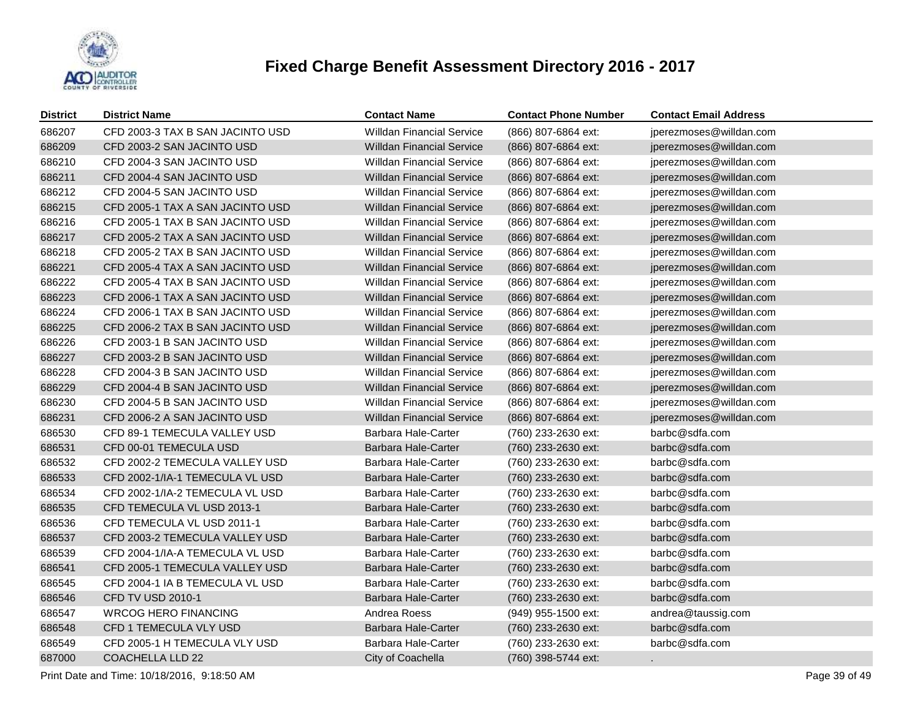

| <b>District</b> | <b>District Name</b>             | <b>Contact Name</b>              | <b>Contact Phone Number</b> | <b>Contact Email Address</b> |
|-----------------|----------------------------------|----------------------------------|-----------------------------|------------------------------|
| 686207          | CFD 2003-3 TAX B SAN JACINTO USD | <b>Willdan Financial Service</b> | (866) 807-6864 ext:         | jperezmoses@willdan.com      |
| 686209          | CFD 2003-2 SAN JACINTO USD       | <b>Willdan Financial Service</b> | (866) 807-6864 ext:         | jperezmoses@willdan.com      |
| 686210          | CFD 2004-3 SAN JACINTO USD       | <b>Willdan Financial Service</b> | (866) 807-6864 ext:         | jperezmoses@willdan.com      |
| 686211          | CFD 2004-4 SAN JACINTO USD       | <b>Willdan Financial Service</b> | (866) 807-6864 ext:         | jperezmoses@willdan.com      |
| 686212          | CFD 2004-5 SAN JACINTO USD       | <b>Willdan Financial Service</b> | (866) 807-6864 ext:         | jperezmoses@willdan.com      |
| 686215          | CFD 2005-1 TAX A SAN JACINTO USD | <b>Willdan Financial Service</b> | (866) 807-6864 ext:         | jperezmoses@willdan.com      |
| 686216          | CFD 2005-1 TAX B SAN JACINTO USD | <b>Willdan Financial Service</b> | (866) 807-6864 ext:         | jperezmoses@willdan.com      |
| 686217          | CFD 2005-2 TAX A SAN JACINTO USD | <b>Willdan Financial Service</b> | (866) 807-6864 ext:         | jperezmoses@willdan.com      |
| 686218          | CFD 2005-2 TAX B SAN JACINTO USD | <b>Willdan Financial Service</b> | (866) 807-6864 ext:         | jperezmoses@willdan.com      |
| 686221          | CFD 2005-4 TAX A SAN JACINTO USD | <b>Willdan Financial Service</b> | (866) 807-6864 ext:         | jperezmoses@willdan.com      |
| 686222          | CFD 2005-4 TAX B SAN JACINTO USD | <b>Willdan Financial Service</b> | (866) 807-6864 ext:         | jperezmoses@willdan.com      |
| 686223          | CFD 2006-1 TAX A SAN JACINTO USD | <b>Willdan Financial Service</b> | (866) 807-6864 ext:         | jperezmoses@willdan.com      |
| 686224          | CFD 2006-1 TAX B SAN JACINTO USD | <b>Willdan Financial Service</b> | (866) 807-6864 ext:         | jperezmoses@willdan.com      |
| 686225          | CFD 2006-2 TAX B SAN JACINTO USD | <b>Willdan Financial Service</b> | (866) 807-6864 ext:         | jperezmoses@willdan.com      |
| 686226          | CFD 2003-1 B SAN JACINTO USD     | <b>Willdan Financial Service</b> | (866) 807-6864 ext:         | jperezmoses@willdan.com      |
| 686227          | CFD 2003-2 B SAN JACINTO USD     | <b>Willdan Financial Service</b> | (866) 807-6864 ext:         | jperezmoses@willdan.com      |
| 686228          | CFD 2004-3 B SAN JACINTO USD     | <b>Willdan Financial Service</b> | (866) 807-6864 ext:         | jperezmoses@willdan.com      |
| 686229          | CFD 2004-4 B SAN JACINTO USD     | <b>Willdan Financial Service</b> | (866) 807-6864 ext:         | jperezmoses@willdan.com      |
| 686230          | CFD 2004-5 B SAN JACINTO USD     | <b>Willdan Financial Service</b> | (866) 807-6864 ext:         | jperezmoses@willdan.com      |
| 686231          | CFD 2006-2 A SAN JACINTO USD     | <b>Willdan Financial Service</b> | (866) 807-6864 ext:         | jperezmoses@willdan.com      |
| 686530          | CFD 89-1 TEMECULA VALLEY USD     | <b>Barbara Hale-Carter</b>       | (760) 233-2630 ext:         | barbc@sdfa.com               |
| 686531          | CFD 00-01 TEMECULA USD           | Barbara Hale-Carter              | (760) 233-2630 ext:         | barbc@sdfa.com               |
| 686532          | CFD 2002-2 TEMECULA VALLEY USD   | Barbara Hale-Carter              | (760) 233-2630 ext:         | barbc@sdfa.com               |
| 686533          | CFD 2002-1/IA-1 TEMECULA VL USD  | <b>Barbara Hale-Carter</b>       | (760) 233-2630 ext:         | barbc@sdfa.com               |
| 686534          | CFD 2002-1/IA-2 TEMECULA VL USD  | Barbara Hale-Carter              | (760) 233-2630 ext:         | barbc@sdfa.com               |
| 686535          | CFD TEMECULA VL USD 2013-1       | Barbara Hale-Carter              | (760) 233-2630 ext:         | barbc@sdfa.com               |
| 686536          | CFD TEMECULA VL USD 2011-1       | Barbara Hale-Carter              | (760) 233-2630 ext:         | barbc@sdfa.com               |
| 686537          | CFD 2003-2 TEMECULA VALLEY USD   | Barbara Hale-Carter              | (760) 233-2630 ext:         | barbc@sdfa.com               |
| 686539          | CFD 2004-1/IA-A TEMECULA VL USD  | Barbara Hale-Carter              | (760) 233-2630 ext:         | barbc@sdfa.com               |
| 686541          | CFD 2005-1 TEMECULA VALLEY USD   | <b>Barbara Hale-Carter</b>       | (760) 233-2630 ext:         | barbc@sdfa.com               |
| 686545          | CFD 2004-1 IA B TEMECULA VL USD  | Barbara Hale-Carter              | (760) 233-2630 ext:         | barbc@sdfa.com               |
| 686546          | CFD TV USD 2010-1                | <b>Barbara Hale-Carter</b>       | (760) 233-2630 ext:         | barbc@sdfa.com               |
| 686547          | <b>WRCOG HERO FINANCING</b>      | Andrea Roess                     | (949) 955-1500 ext:         | andrea@taussig.com           |
| 686548          | CFD 1 TEMECULA VLY USD           | Barbara Hale-Carter              | (760) 233-2630 ext:         | barbc@sdfa.com               |
| 686549          | CFD 2005-1 H TEMECULA VLY USD    | Barbara Hale-Carter              | (760) 233-2630 ext:         | barbc@sdfa.com               |
| 687000          | <b>COACHELLA LLD 22</b>          | City of Coachella                | (760) 398-5744 ext:         |                              |

Print Date and Time: 10/18/2016, 9:18:50 AM Page 39 of 49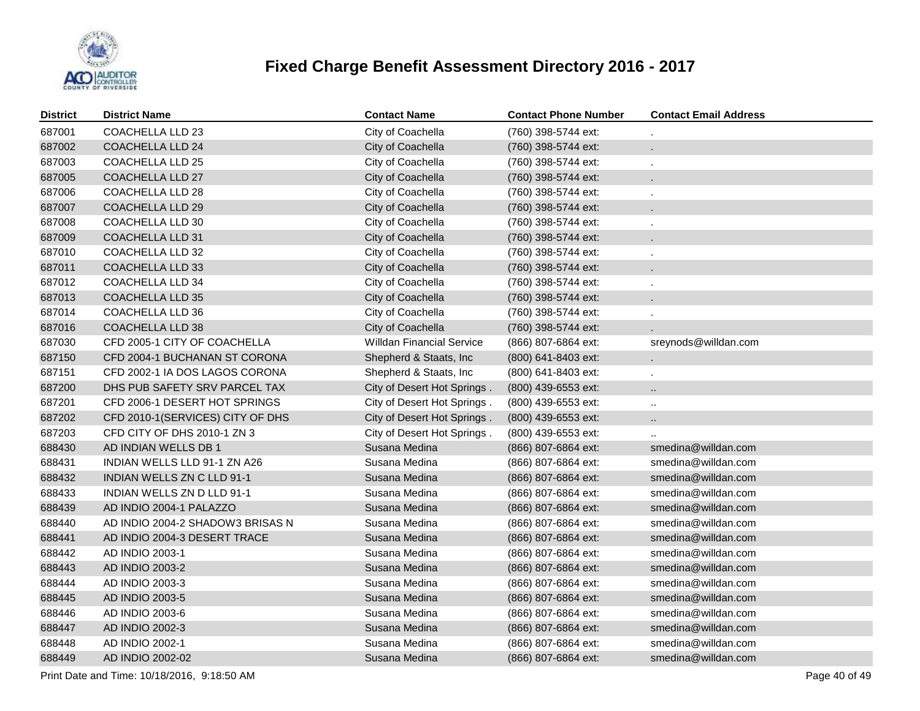

| <b>District</b> | <b>District Name</b>             | <b>Contact Name</b>              | <b>Contact Phone Number</b> | <b>Contact Email Address</b> |
|-----------------|----------------------------------|----------------------------------|-----------------------------|------------------------------|
| 687001          | COACHELLA LLD 23                 | City of Coachella                | (760) 398-5744 ext:         |                              |
| 687002          | COACHELLA LLD 24                 | City of Coachella                | (760) 398-5744 ext:         | L.                           |
| 687003          | COACHELLA LLD 25                 | City of Coachella                | (760) 398-5744 ext:         |                              |
| 687005          | <b>COACHELLA LLD 27</b>          | City of Coachella                | (760) 398-5744 ext:         | ÷.                           |
| 687006          | COACHELLA LLD 28                 | City of Coachella                | (760) 398-5744 ext:         |                              |
| 687007          | <b>COACHELLA LLD 29</b>          | City of Coachella                | (760) 398-5744 ext:         | ÷.                           |
| 687008          | COACHELLA LLD 30                 | City of Coachella                | (760) 398-5744 ext:         |                              |
| 687009          | <b>COACHELLA LLD 31</b>          | City of Coachella                | (760) 398-5744 ext:         | ÷.                           |
| 687010          | COACHELLA LLD 32                 | City of Coachella                | (760) 398-5744 ext:         |                              |
| 687011          | <b>COACHELLA LLD 33</b>          | City of Coachella                | (760) 398-5744 ext:         | ÷.                           |
| 687012          | COACHELLA LLD 34                 | City of Coachella                | (760) 398-5744 ext:         |                              |
| 687013          | <b>COACHELLA LLD 35</b>          | City of Coachella                | (760) 398-5744 ext:         | ÷.                           |
| 687014          | COACHELLA LLD 36                 | City of Coachella                | (760) 398-5744 ext:         |                              |
| 687016          | <b>COACHELLA LLD 38</b>          | City of Coachella                | (760) 398-5744 ext:         |                              |
| 687030          | CFD 2005-1 CITY OF COACHELLA     | <b>Willdan Financial Service</b> | (866) 807-6864 ext:         | sreynods@willdan.com         |
| 687150          | CFD 2004-1 BUCHANAN ST CORONA    | Shepherd & Staats, Inc.          | (800) 641-8403 ext:         | L.                           |
| 687151          | CFD 2002-1 IA DOS LAGOS CORONA   | Shepherd & Staats, Inc           | (800) 641-8403 ext:         |                              |
| 687200          | DHS PUB SAFETY SRV PARCEL TAX    | City of Desert Hot Springs.      | $(800)$ 439-6553 ext:       | u.                           |
| 687201          | CFD 2006-1 DESERT HOT SPRINGS    | City of Desert Hot Springs.      | (800) 439-6553 ext:         | Ω.                           |
| 687202          | CFD 2010-1(SERVICES) CITY OF DHS | City of Desert Hot Springs.      | (800) 439-6553 ext:         | $\ddotsc$                    |
| 687203          | CFD CITY OF DHS 2010-1 ZN 3      | City of Desert Hot Springs.      | $(800)$ 439-6553 ext:       |                              |
| 688430          | AD INDIAN WELLS DB 1             | Susana Medina                    | (866) 807-6864 ext:         | smedina@willdan.com          |
| 688431          | INDIAN WELLS LLD 91-1 ZN A26     | Susana Medina                    | (866) 807-6864 ext:         | smedina@willdan.com          |
| 688432          | INDIAN WELLS ZN C LLD 91-1       | Susana Medina                    | (866) 807-6864 ext:         | smedina@willdan.com          |
| 688433          | INDIAN WELLS ZN D LLD 91-1       | Susana Medina                    | (866) 807-6864 ext:         | smedina@willdan.com          |
| 688439          | AD INDIO 2004-1 PALAZZO          | Susana Medina                    | (866) 807-6864 ext:         | smedina@willdan.com          |
| 688440          | AD INDIO 2004-2 SHADOW3 BRISAS N | Susana Medina                    | (866) 807-6864 ext:         | smedina@willdan.com          |
| 688441          | AD INDIO 2004-3 DESERT TRACE     | Susana Medina                    | (866) 807-6864 ext:         | smedina@willdan.com          |
| 688442          | AD INDIO 2003-1                  | Susana Medina                    | (866) 807-6864 ext:         | smedina@willdan.com          |
| 688443          | AD INDIO 2003-2                  | Susana Medina                    | (866) 807-6864 ext:         | smedina@willdan.com          |
| 688444          | AD INDIO 2003-3                  | Susana Medina                    | (866) 807-6864 ext:         | smedina@willdan.com          |
| 688445          | AD INDIO 2003-5                  | Susana Medina                    | (866) 807-6864 ext:         | smedina@willdan.com          |
| 688446          | AD INDIO 2003-6                  | Susana Medina                    | (866) 807-6864 ext:         | smedina@willdan.com          |
| 688447          | AD INDIO 2002-3                  | Susana Medina                    | (866) 807-6864 ext:         | smedina@willdan.com          |
| 688448          | AD INDIO 2002-1                  | Susana Medina                    | (866) 807-6864 ext:         | smedina@willdan.com          |
| 688449          | AD INDIO 2002-02                 | Susana Medina                    | (866) 807-6864 ext:         | smedina@willdan.com          |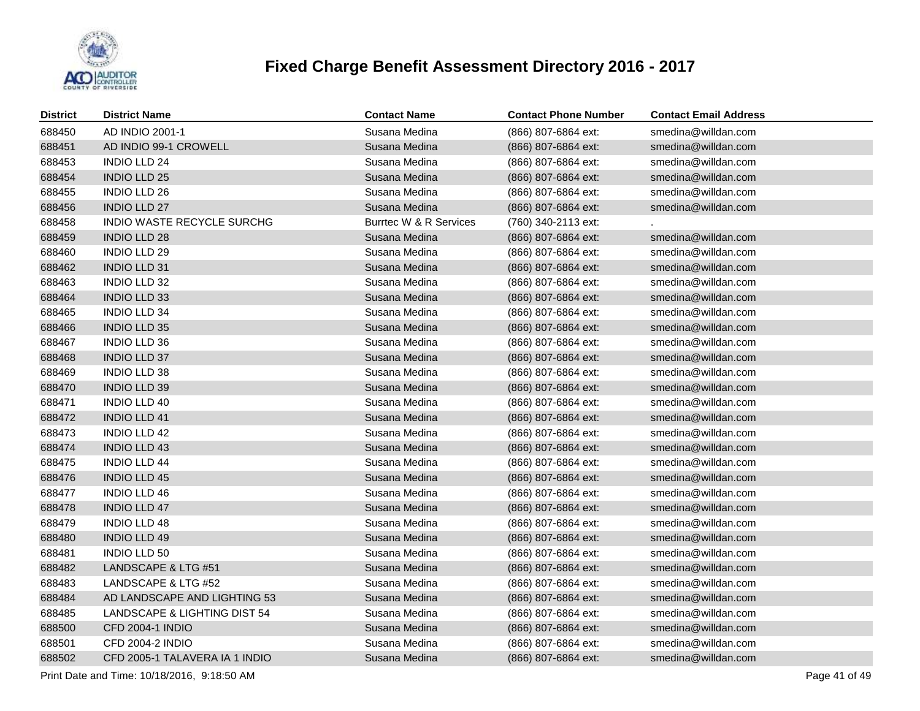

| District | <b>District Name</b>           | <b>Contact Name</b>    | <b>Contact Phone Number</b> | <b>Contact Email Address</b> |
|----------|--------------------------------|------------------------|-----------------------------|------------------------------|
| 688450   | AD INDIO 2001-1                | Susana Medina          | (866) 807-6864 ext:         | smedina@willdan.com          |
| 688451   | AD INDIO 99-1 CROWELL          | Susana Medina          | (866) 807-6864 ext:         | smedina@willdan.com          |
| 688453   | <b>INDIO LLD 24</b>            | Susana Medina          | (866) 807-6864 ext:         | smedina@willdan.com          |
| 688454   | <b>INDIO LLD 25</b>            | Susana Medina          | (866) 807-6864 ext:         | smedina@willdan.com          |
| 688455   | <b>INDIO LLD 26</b>            | Susana Medina          | (866) 807-6864 ext:         | smedina@willdan.com          |
| 688456   | <b>INDIO LLD 27</b>            | Susana Medina          | (866) 807-6864 ext:         | smedina@willdan.com          |
| 688458   | INDIO WASTE RECYCLE SURCHG     | Burrtec W & R Services | (760) 340-2113 ext:         |                              |
| 688459   | <b>INDIO LLD 28</b>            | Susana Medina          | (866) 807-6864 ext:         | smedina@willdan.com          |
| 688460   | <b>INDIO LLD 29</b>            | Susana Medina          | (866) 807-6864 ext:         | smedina@willdan.com          |
| 688462   | <b>INDIO LLD 31</b>            | Susana Medina          | (866) 807-6864 ext:         | smedina@willdan.com          |
| 688463   | <b>INDIO LLD 32</b>            | Susana Medina          | (866) 807-6864 ext:         | smedina@willdan.com          |
| 688464   | <b>INDIO LLD 33</b>            | Susana Medina          | (866) 807-6864 ext:         | smedina@willdan.com          |
| 688465   | <b>INDIO LLD 34</b>            | Susana Medina          | (866) 807-6864 ext:         | smedina@willdan.com          |
| 688466   | <b>INDIO LLD 35</b>            | Susana Medina          | (866) 807-6864 ext:         | smedina@willdan.com          |
| 688467   | <b>INDIO LLD 36</b>            | Susana Medina          | (866) 807-6864 ext:         | smedina@willdan.com          |
| 688468   | <b>INDIO LLD 37</b>            | Susana Medina          | (866) 807-6864 ext:         | smedina@willdan.com          |
| 688469   | <b>INDIO LLD 38</b>            | Susana Medina          | (866) 807-6864 ext:         | smedina@willdan.com          |
| 688470   | <b>INDIO LLD 39</b>            | Susana Medina          | (866) 807-6864 ext:         | smedina@willdan.com          |
| 688471   | <b>INDIO LLD 40</b>            | Susana Medina          | (866) 807-6864 ext:         | smedina@willdan.com          |
| 688472   | <b>INDIO LLD 41</b>            | Susana Medina          | (866) 807-6864 ext:         | smedina@willdan.com          |
| 688473   | <b>INDIO LLD 42</b>            | Susana Medina          | (866) 807-6864 ext:         | smedina@willdan.com          |
| 688474   | <b>INDIO LLD 43</b>            | Susana Medina          | (866) 807-6864 ext:         | smedina@willdan.com          |
| 688475   | <b>INDIO LLD 44</b>            | Susana Medina          | (866) 807-6864 ext:         | smedina@willdan.com          |
| 688476   | <b>INDIO LLD 45</b>            | Susana Medina          | (866) 807-6864 ext:         | smedina@willdan.com          |
| 688477   | <b>INDIO LLD 46</b>            | Susana Medina          | (866) 807-6864 ext:         | smedina@willdan.com          |
| 688478   | <b>INDIO LLD 47</b>            | Susana Medina          | (866) 807-6864 ext:         | smedina@willdan.com          |
| 688479   | <b>INDIO LLD 48</b>            | Susana Medina          | (866) 807-6864 ext:         | smedina@willdan.com          |
| 688480   | <b>INDIO LLD 49</b>            | Susana Medina          | (866) 807-6864 ext:         | smedina@willdan.com          |
| 688481   | INDIO LLD 50                   | Susana Medina          | (866) 807-6864 ext:         | smedina@willdan.com          |
| 688482   | LANDSCAPE & LTG #51            | Susana Medina          | (866) 807-6864 ext:         | smedina@willdan.com          |
| 688483   | LANDSCAPE & LTG #52            | Susana Medina          | (866) 807-6864 ext:         | smedina@willdan.com          |
| 688484   | AD LANDSCAPE AND LIGHTING 53   | Susana Medina          | (866) 807-6864 ext:         | smedina@willdan.com          |
| 688485   | LANDSCAPE & LIGHTING DIST 54   | Susana Medina          | (866) 807-6864 ext:         | smedina@willdan.com          |
| 688500   | CFD 2004-1 INDIO               | Susana Medina          | (866) 807-6864 ext:         | smedina@willdan.com          |
| 688501   | CFD 2004-2 INDIO               | Susana Medina          | (866) 807-6864 ext:         | smedina@willdan.com          |
| 688502   | CFD 2005-1 TALAVERA IA 1 INDIO | Susana Medina          | (866) 807-6864 ext:         | smedina@willdan.com          |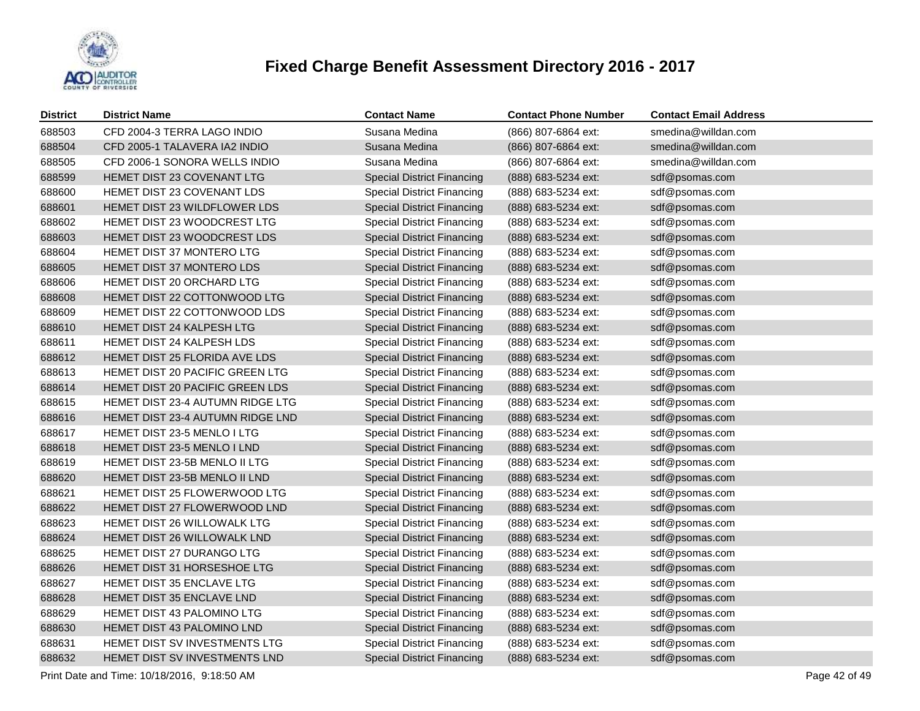

| <b>District</b> | <b>District Name</b>               | <b>Contact Name</b>               | <b>Contact Phone Number</b> | <b>Contact Email Address</b> |
|-----------------|------------------------------------|-----------------------------------|-----------------------------|------------------------------|
| 688503          | CFD 2004-3 TERRA LAGO INDIO        | Susana Medina                     | (866) 807-6864 ext:         | smedina@willdan.com          |
| 688504          | CFD 2005-1 TALAVERA IA2 INDIO      | Susana Medina                     | (866) 807-6864 ext:         | smedina@willdan.com          |
| 688505          | CFD 2006-1 SONORA WELLS INDIO      | Susana Medina                     | (866) 807-6864 ext:         | smedina@willdan.com          |
| 688599          | HEMET DIST 23 COVENANT LTG         | <b>Special District Financing</b> | (888) 683-5234 ext:         | sdf@psomas.com               |
| 688600          | HEMET DIST 23 COVENANT LDS         | <b>Special District Financing</b> | (888) 683-5234 ext:         | sdf@psomas.com               |
| 688601          | HEMET DIST 23 WILDFLOWER LDS       | <b>Special District Financing</b> | (888) 683-5234 ext:         | sdf@psomas.com               |
| 688602          | HEMET DIST 23 WOODCREST LTG        | <b>Special District Financing</b> | (888) 683-5234 ext:         | sdf@psomas.com               |
| 688603          | HEMET DIST 23 WOODCREST LDS        | <b>Special District Financing</b> | (888) 683-5234 ext:         | sdf@psomas.com               |
| 688604          | HEMET DIST 37 MONTERO LTG          | <b>Special District Financing</b> | (888) 683-5234 ext:         | sdf@psomas.com               |
| 688605          | HEMET DIST 37 MONTERO LDS          | <b>Special District Financing</b> | (888) 683-5234 ext:         | sdf@psomas.com               |
| 688606          | HEMET DIST 20 ORCHARD LTG          | <b>Special District Financing</b> | (888) 683-5234 ext:         | sdf@psomas.com               |
| 688608          | HEMET DIST 22 COTTONWOOD LTG       | <b>Special District Financing</b> | (888) 683-5234 ext:         | sdf@psomas.com               |
| 688609          | HEMET DIST 22 COTTONWOOD LDS       | <b>Special District Financing</b> | (888) 683-5234 ext:         | sdf@psomas.com               |
| 688610          | HEMET DIST 24 KALPESH LTG          | <b>Special District Financing</b> | (888) 683-5234 ext:         | sdf@psomas.com               |
| 688611          | HEMET DIST 24 KALPESH LDS          | <b>Special District Financing</b> | (888) 683-5234 ext:         | sdf@psomas.com               |
| 688612          | HEMET DIST 25 FLORIDA AVE LDS      | <b>Special District Financing</b> | (888) 683-5234 ext:         | sdf@psomas.com               |
| 688613          | HEMET DIST 20 PACIFIC GREEN LTG    | <b>Special District Financing</b> | (888) 683-5234 ext:         | sdf@psomas.com               |
| 688614          | HEMET DIST 20 PACIFIC GREEN LDS    | <b>Special District Financing</b> | (888) 683-5234 ext:         | sdf@psomas.com               |
| 688615          | HEMET DIST 23-4 AUTUMN RIDGE LTG   | <b>Special District Financing</b> | (888) 683-5234 ext:         | sdf@psomas.com               |
| 688616          | HEMET DIST 23-4 AUTUMN RIDGE LND   | <b>Special District Financing</b> | (888) 683-5234 ext:         | sdf@psomas.com               |
| 688617          | HEMET DIST 23-5 MENLO I LTG        | <b>Special District Financing</b> | (888) 683-5234 ext:         | sdf@psomas.com               |
| 688618          | HEMET DIST 23-5 MENLO I LND        | <b>Special District Financing</b> | (888) 683-5234 ext:         | sdf@psomas.com               |
| 688619          | HEMET DIST 23-5B MENLO II LTG      | <b>Special District Financing</b> | (888) 683-5234 ext:         | sdf@psomas.com               |
| 688620          | HEMET DIST 23-5B MENLO II LND      | <b>Special District Financing</b> | (888) 683-5234 ext:         | sdf@psomas.com               |
| 688621          | HEMET DIST 25 FLOWERWOOD LTG       | <b>Special District Financing</b> | (888) 683-5234 ext:         | sdf@psomas.com               |
| 688622          | HEMET DIST 27 FLOWERWOOD LND       | <b>Special District Financing</b> | (888) 683-5234 ext:         | sdf@psomas.com               |
| 688623          | <b>HEMET DIST 26 WILLOWALK LTG</b> | <b>Special District Financing</b> | (888) 683-5234 ext:         | sdf@psomas.com               |
| 688624          | HEMET DIST 26 WILLOWALK LND        | <b>Special District Financing</b> | (888) 683-5234 ext:         | sdf@psomas.com               |
| 688625          | HEMET DIST 27 DURANGO LTG          | <b>Special District Financing</b> | (888) 683-5234 ext:         | sdf@psomas.com               |
| 688626          | HEMET DIST 31 HORSESHOE LTG        | <b>Special District Financing</b> | (888) 683-5234 ext:         | sdf@psomas.com               |
| 688627          | HEMET DIST 35 ENCLAVE LTG          | <b>Special District Financing</b> | (888) 683-5234 ext:         | sdf@psomas.com               |
| 688628          | HEMET DIST 35 ENCLAVE LND          | <b>Special District Financing</b> | (888) 683-5234 ext:         | sdf@psomas.com               |
| 688629          | HEMET DIST 43 PALOMINO LTG         | <b>Special District Financing</b> | (888) 683-5234 ext:         | sdf@psomas.com               |
| 688630          | HEMET DIST 43 PALOMINO LND         | <b>Special District Financing</b> | (888) 683-5234 ext:         | sdf@psomas.com               |
| 688631          | HEMET DIST SV INVESTMENTS LTG      | <b>Special District Financing</b> | (888) 683-5234 ext:         | sdf@psomas.com               |
| 688632          | HEMET DIST SV INVESTMENTS LND      | <b>Special District Financing</b> | (888) 683-5234 ext:         | sdf@psomas.com               |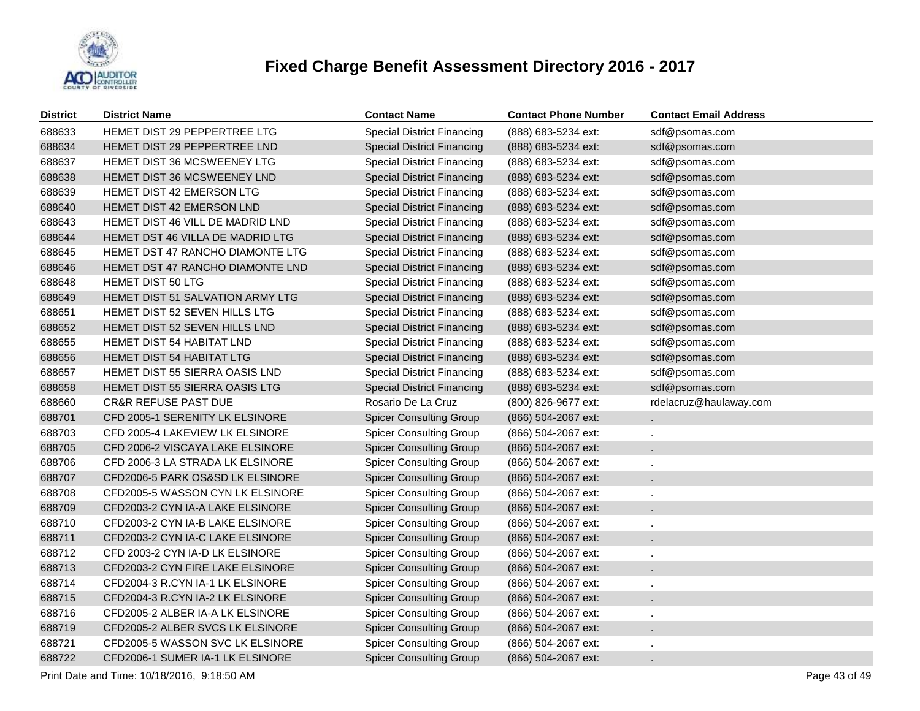

| <b>District</b> | <b>District Name</b>             | <b>Contact Name</b>               | <b>Contact Phone Number</b> | <b>Contact Email Address</b> |
|-----------------|----------------------------------|-----------------------------------|-----------------------------|------------------------------|
| 688633          | HEMET DIST 29 PEPPERTREE LTG     | <b>Special District Financing</b> | (888) 683-5234 ext:         | sdf@psomas.com               |
| 688634          | HEMET DIST 29 PEPPERTREE LND     | <b>Special District Financing</b> | (888) 683-5234 ext:         | sdf@psomas.com               |
| 688637          | HEMET DIST 36 MCSWEENEY LTG      | <b>Special District Financing</b> | (888) 683-5234 ext:         | sdf@psomas.com               |
| 688638          | HEMET DIST 36 MCSWEENEY LND      | <b>Special District Financing</b> | (888) 683-5234 ext:         | sdf@psomas.com               |
| 688639          | HEMET DIST 42 EMERSON LTG        | <b>Special District Financing</b> | (888) 683-5234 ext:         | sdf@psomas.com               |
| 688640          | HEMET DIST 42 EMERSON LND        | <b>Special District Financing</b> | (888) 683-5234 ext:         | sdf@psomas.com               |
| 688643          | HEMET DIST 46 VILL DE MADRID LND | <b>Special District Financing</b> | (888) 683-5234 ext:         | sdf@psomas.com               |
| 688644          | HEMET DST 46 VILLA DE MADRID LTG | <b>Special District Financing</b> | (888) 683-5234 ext:         | sdf@psomas.com               |
| 688645          | HEMET DST 47 RANCHO DIAMONTE LTG | <b>Special District Financing</b> | (888) 683-5234 ext:         | sdf@psomas.com               |
| 688646          | HEMET DST 47 RANCHO DIAMONTE LND | <b>Special District Financing</b> | (888) 683-5234 ext:         | sdf@psomas.com               |
| 688648          | HEMET DIST 50 LTG                | <b>Special District Financing</b> | (888) 683-5234 ext:         | sdf@psomas.com               |
| 688649          | HEMET DIST 51 SALVATION ARMY LTG | <b>Special District Financing</b> | (888) 683-5234 ext:         | sdf@psomas.com               |
| 688651          | HEMET DIST 52 SEVEN HILLS LTG    | <b>Special District Financing</b> | (888) 683-5234 ext:         | sdf@psomas.com               |
| 688652          | HEMET DIST 52 SEVEN HILLS LND    | <b>Special District Financing</b> | (888) 683-5234 ext:         | sdf@psomas.com               |
| 688655          | HEMET DIST 54 HABITAT LND        | <b>Special District Financing</b> | (888) 683-5234 ext:         | sdf@psomas.com               |
| 688656          | HEMET DIST 54 HABITAT LTG        | <b>Special District Financing</b> | (888) 683-5234 ext:         | sdf@psomas.com               |
| 688657          | HEMET DIST 55 SIERRA OASIS LND   | <b>Special District Financing</b> | (888) 683-5234 ext:         | sdf@psomas.com               |
| 688658          | HEMET DIST 55 SIERRA OASIS LTG   | <b>Special District Financing</b> | (888) 683-5234 ext:         | sdf@psomas.com               |
| 688660          | <b>CR&amp;R REFUSE PAST DUE</b>  | Rosario De La Cruz                | (800) 826-9677 ext:         | rdelacruz@haulaway.com       |
| 688701          | CFD 2005-1 SERENITY LK ELSINORE  | <b>Spicer Consulting Group</b>    | (866) 504-2067 ext:         |                              |
| 688703          | CFD 2005-4 LAKEVIEW LK ELSINORE  | <b>Spicer Consulting Group</b>    | (866) 504-2067 ext:         |                              |
| 688705          | CFD 2006-2 VISCAYA LAKE ELSINORE | <b>Spicer Consulting Group</b>    | (866) 504-2067 ext:         |                              |
| 688706          | CFD 2006-3 LA STRADA LK ELSINORE | <b>Spicer Consulting Group</b>    | (866) 504-2067 ext:         |                              |
| 688707          | CFD2006-5 PARK OS&SD LK ELSINORE | <b>Spicer Consulting Group</b>    | (866) 504-2067 ext:         |                              |
| 688708          | CFD2005-5 WASSON CYN LK ELSINORE | <b>Spicer Consulting Group</b>    | (866) 504-2067 ext:         |                              |
| 688709          | CFD2003-2 CYN IA-A LAKE ELSINORE | <b>Spicer Consulting Group</b>    | (866) 504-2067 ext:         |                              |
| 688710          | CFD2003-2 CYN IA-B LAKE ELSINORE | <b>Spicer Consulting Group</b>    | (866) 504-2067 ext:         |                              |
| 688711          | CFD2003-2 CYN IA-C LAKE ELSINORE | <b>Spicer Consulting Group</b>    | (866) 504-2067 ext:         |                              |
| 688712          | CFD 2003-2 CYN IA-D LK ELSINORE  | <b>Spicer Consulting Group</b>    | (866) 504-2067 ext:         |                              |
| 688713          | CFD2003-2 CYN FIRE LAKE ELSINORE | <b>Spicer Consulting Group</b>    | (866) 504-2067 ext:         |                              |
| 688714          | CFD2004-3 R.CYN IA-1 LK ELSINORE | <b>Spicer Consulting Group</b>    | (866) 504-2067 ext:         |                              |
| 688715          | CFD2004-3 R.CYN IA-2 LK ELSINORE | <b>Spicer Consulting Group</b>    | (866) 504-2067 ext:         |                              |
| 688716          | CFD2005-2 ALBER IA-A LK ELSINORE | <b>Spicer Consulting Group</b>    | (866) 504-2067 ext:         |                              |
| 688719          | CFD2005-2 ALBER SVCS LK ELSINORE | <b>Spicer Consulting Group</b>    | (866) 504-2067 ext:         |                              |
| 688721          | CFD2005-5 WASSON SVC LK ELSINORE | <b>Spicer Consulting Group</b>    | (866) 504-2067 ext:         |                              |
| 688722          | CFD2006-1 SUMER IA-1 LK ELSINORE | <b>Spicer Consulting Group</b>    | (866) 504-2067 ext:         |                              |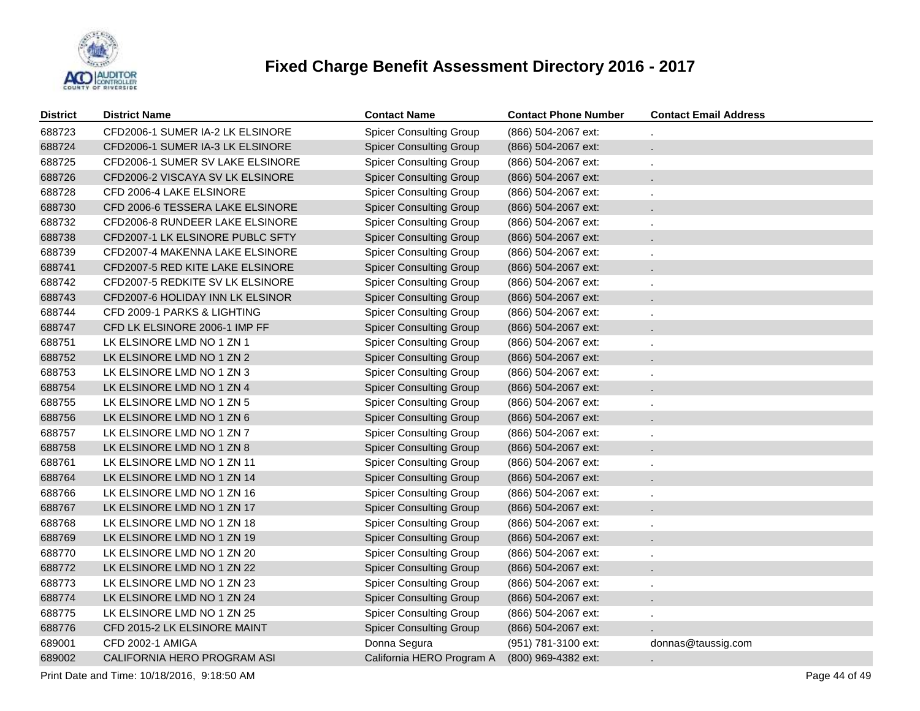

| <b>District</b> | <b>District Name</b>             | <b>Contact Name</b>            | <b>Contact Phone Number</b> | <b>Contact Email Address</b> |
|-----------------|----------------------------------|--------------------------------|-----------------------------|------------------------------|
| 688723          | CFD2006-1 SUMER IA-2 LK ELSINORE | <b>Spicer Consulting Group</b> | (866) 504-2067 ext:         |                              |
| 688724          | CFD2006-1 SUMER IA-3 LK ELSINORE | <b>Spicer Consulting Group</b> | (866) 504-2067 ext:         |                              |
| 688725          | CFD2006-1 SUMER SV LAKE ELSINORE | <b>Spicer Consulting Group</b> | (866) 504-2067 ext:         |                              |
| 688726          | CFD2006-2 VISCAYA SV LK ELSINORE | <b>Spicer Consulting Group</b> | (866) 504-2067 ext:         |                              |
| 688728          | CFD 2006-4 LAKE ELSINORE         | <b>Spicer Consulting Group</b> | (866) 504-2067 ext:         |                              |
| 688730          | CFD 2006-6 TESSERA LAKE ELSINORE | <b>Spicer Consulting Group</b> | (866) 504-2067 ext:         |                              |
| 688732          | CFD2006-8 RUNDEER LAKE ELSINORE  | <b>Spicer Consulting Group</b> | (866) 504-2067 ext:         |                              |
| 688738          | CFD2007-1 LK ELSINORE PUBLC SFTY | <b>Spicer Consulting Group</b> | (866) 504-2067 ext:         |                              |
| 688739          | CFD2007-4 MAKENNA LAKE ELSINORE  | <b>Spicer Consulting Group</b> | (866) 504-2067 ext:         |                              |
| 688741          | CFD2007-5 RED KITE LAKE ELSINORE | <b>Spicer Consulting Group</b> | (866) 504-2067 ext:         |                              |
| 688742          | CFD2007-5 REDKITE SV LK ELSINORE | <b>Spicer Consulting Group</b> | (866) 504-2067 ext:         |                              |
| 688743          | CFD2007-6 HOLIDAY INN LK ELSINOR | <b>Spicer Consulting Group</b> | (866) 504-2067 ext:         |                              |
| 688744          | CFD 2009-1 PARKS & LIGHTING      | <b>Spicer Consulting Group</b> | (866) 504-2067 ext:         |                              |
| 688747          | CFD LK ELSINORE 2006-1 IMP FF    | <b>Spicer Consulting Group</b> | (866) 504-2067 ext:         |                              |
| 688751          | LK ELSINORE LMD NO 1 ZN 1        | <b>Spicer Consulting Group</b> | (866) 504-2067 ext:         |                              |
| 688752          | LK ELSINORE LMD NO 1 ZN 2        | <b>Spicer Consulting Group</b> | (866) 504-2067 ext:         |                              |
| 688753          | LK ELSINORE LMD NO 1 ZN 3        | <b>Spicer Consulting Group</b> | (866) 504-2067 ext:         |                              |
| 688754          | LK ELSINORE LMD NO 1 ZN 4        | <b>Spicer Consulting Group</b> | (866) 504-2067 ext:         |                              |
| 688755          | LK ELSINORE LMD NO 1 ZN 5        | <b>Spicer Consulting Group</b> | (866) 504-2067 ext:         |                              |
| 688756          | LK ELSINORE LMD NO 1 ZN 6        | <b>Spicer Consulting Group</b> | (866) 504-2067 ext:         |                              |
| 688757          | LK ELSINORE LMD NO 1 ZN 7        | <b>Spicer Consulting Group</b> | (866) 504-2067 ext:         |                              |
| 688758          | LK ELSINORE LMD NO 1 ZN 8        | <b>Spicer Consulting Group</b> | (866) 504-2067 ext:         |                              |
| 688761          | LK ELSINORE LMD NO 1 ZN 11       | <b>Spicer Consulting Group</b> | (866) 504-2067 ext:         |                              |
| 688764          | LK ELSINORE LMD NO 1 ZN 14       | <b>Spicer Consulting Group</b> | (866) 504-2067 ext:         |                              |
| 688766          | LK ELSINORE LMD NO 1 ZN 16       | <b>Spicer Consulting Group</b> | (866) 504-2067 ext:         |                              |
| 688767          | LK ELSINORE LMD NO 1 ZN 17       | <b>Spicer Consulting Group</b> | (866) 504-2067 ext:         |                              |
| 688768          | LK ELSINORE LMD NO 1 ZN 18       | <b>Spicer Consulting Group</b> | (866) 504-2067 ext:         |                              |
| 688769          | LK ELSINORE LMD NO 1 ZN 19       | <b>Spicer Consulting Group</b> | (866) 504-2067 ext:         |                              |
| 688770          | LK ELSINORE LMD NO 1 ZN 20       | <b>Spicer Consulting Group</b> | (866) 504-2067 ext:         |                              |
| 688772          | LK ELSINORE LMD NO 1 ZN 22       | <b>Spicer Consulting Group</b> | (866) 504-2067 ext:         |                              |
| 688773          | LK ELSINORE LMD NO 1 ZN 23       | <b>Spicer Consulting Group</b> | (866) 504-2067 ext:         |                              |
| 688774          | LK ELSINORE LMD NO 1 ZN 24       | <b>Spicer Consulting Group</b> | (866) 504-2067 ext:         |                              |
| 688775          | LK ELSINORE LMD NO 1 ZN 25       | <b>Spicer Consulting Group</b> | (866) 504-2067 ext:         |                              |
| 688776          | CFD 2015-2 LK ELSINORE MAINT     | <b>Spicer Consulting Group</b> | (866) 504-2067 ext:         |                              |
| 689001          | <b>CFD 2002-1 AMIGA</b>          | Donna Segura                   | (951) 781-3100 ext:         | donnas@taussig.com           |
| 689002          | CALIFORNIA HERO PROGRAM ASI      | California HERO Program A      | (800) 969-4382 ext:         |                              |

Print Date and Time: 10/18/2016, 9:18:50 AM Page 44 of 49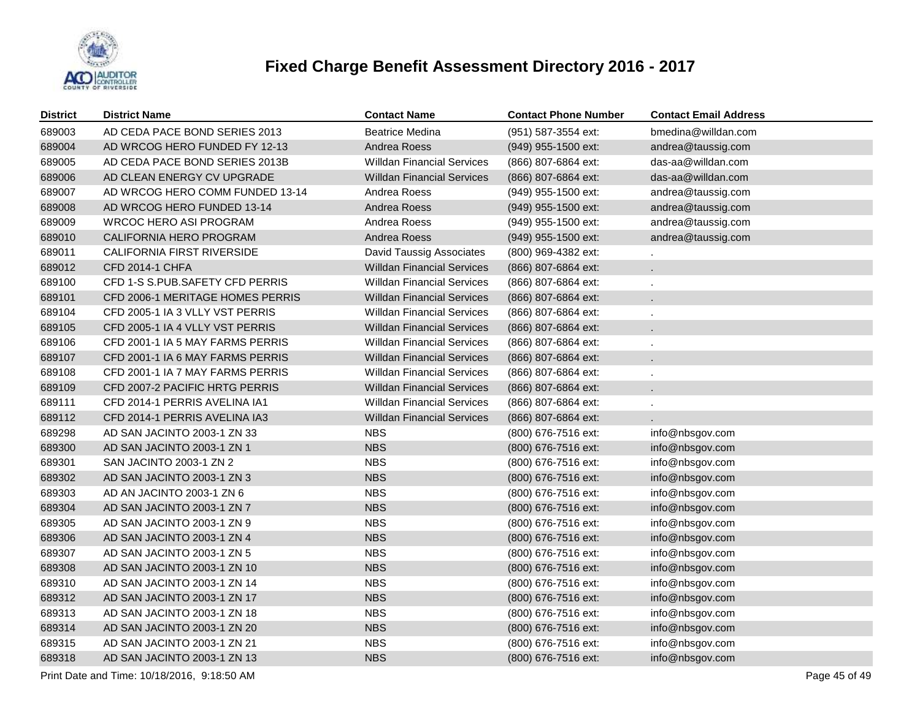

| <b>District</b> | <b>District Name</b>                        | <b>Contact Name</b>               | <b>Contact Phone Number</b> | <b>Contact Email Address</b> |
|-----------------|---------------------------------------------|-----------------------------------|-----------------------------|------------------------------|
| 689003          | AD CEDA PACE BOND SERIES 2013               | <b>Beatrice Medina</b>            | (951) 587-3554 ext:         | bmedina@willdan.com          |
| 689004          | AD WRCOG HERO FUNDED FY 12-13               | Andrea Roess                      | (949) 955-1500 ext:         | andrea@taussig.com           |
| 689005          | AD CEDA PACE BOND SERIES 2013B              | <b>Willdan Financial Services</b> | (866) 807-6864 ext:         | das-aa@willdan.com           |
| 689006          | AD CLEAN ENERGY CV UPGRADE                  | <b>Willdan Financial Services</b> | (866) 807-6864 ext:         | das-aa@willdan.com           |
| 689007          | AD WRCOG HERO COMM FUNDED 13-14             | Andrea Roess                      | (949) 955-1500 ext:         | andrea@taussig.com           |
| 689008          | AD WRCOG HERO FUNDED 13-14                  | Andrea Roess                      | (949) 955-1500 ext:         | andrea@taussig.com           |
| 689009          | <b>WRCOC HERO ASI PROGRAM</b>               | Andrea Roess                      | (949) 955-1500 ext:         | andrea@taussig.com           |
| 689010          | CALIFORNIA HERO PROGRAM                     | Andrea Roess                      | (949) 955-1500 ext:         | andrea@taussig.com           |
| 689011          | CALIFORNIA FIRST RIVERSIDE                  | David Taussig Associates          | (800) 969-4382 ext:         |                              |
| 689012          | CFD 2014-1 CHFA                             | <b>Willdan Financial Services</b> | (866) 807-6864 ext:         |                              |
| 689100          | CFD 1-S S.PUB.SAFETY CFD PERRIS             | <b>Willdan Financial Services</b> | (866) 807-6864 ext:         |                              |
| 689101          | CFD 2006-1 MERITAGE HOMES PERRIS            | <b>Willdan Financial Services</b> | (866) 807-6864 ext:         |                              |
| 689104          | CFD 2005-1 IA 3 VLLY VST PERRIS             | <b>Willdan Financial Services</b> | (866) 807-6864 ext:         |                              |
| 689105          | CFD 2005-1 IA 4 VLLY VST PERRIS             | <b>Willdan Financial Services</b> | (866) 807-6864 ext:         |                              |
| 689106          | CFD 2001-1 IA 5 MAY FARMS PERRIS            | <b>Willdan Financial Services</b> | (866) 807-6864 ext:         |                              |
| 689107          | CFD 2001-1 IA 6 MAY FARMS PERRIS            | <b>Willdan Financial Services</b> | (866) 807-6864 ext:         |                              |
| 689108          | CFD 2001-1 IA 7 MAY FARMS PERRIS            | <b>Willdan Financial Services</b> | (866) 807-6864 ext:         |                              |
| 689109          | CFD 2007-2 PACIFIC HRTG PERRIS              | <b>Willdan Financial Services</b> | (866) 807-6864 ext:         |                              |
| 689111          | CFD 2014-1 PERRIS AVELINA IA1               | <b>Willdan Financial Services</b> | (866) 807-6864 ext:         |                              |
| 689112          | CFD 2014-1 PERRIS AVELINA IA3               | <b>Willdan Financial Services</b> | (866) 807-6864 ext:         |                              |
| 689298          | AD SAN JACINTO 2003-1 ZN 33                 | <b>NBS</b>                        | (800) 676-7516 ext:         | info@nbsgov.com              |
| 689300          | AD SAN JACINTO 2003-1 ZN 1                  | <b>NBS</b>                        | (800) 676-7516 ext:         | info@nbsgov.com              |
| 689301          | SAN JACINTO 2003-1 ZN 2                     | <b>NBS</b>                        | (800) 676-7516 ext:         | info@nbsgov.com              |
| 689302          | AD SAN JACINTO 2003-1 ZN 3                  | <b>NBS</b>                        | (800) 676-7516 ext:         | info@nbsgov.com              |
| 689303          | AD AN JACINTO 2003-1 ZN 6                   | <b>NBS</b>                        | (800) 676-7516 ext:         | info@nbsgov.com              |
| 689304          | AD SAN JACINTO 2003-1 ZN 7                  | <b>NBS</b>                        | (800) 676-7516 ext:         | info@nbsgov.com              |
| 689305          | AD SAN JACINTO 2003-1 ZN 9                  | <b>NBS</b>                        | (800) 676-7516 ext:         | info@nbsgov.com              |
| 689306          | AD SAN JACINTO 2003-1 ZN 4                  | <b>NBS</b>                        | (800) 676-7516 ext:         | info@nbsgov.com              |
| 689307          | AD SAN JACINTO 2003-1 ZN 5                  | <b>NBS</b>                        | (800) 676-7516 ext:         | info@nbsgov.com              |
| 689308          | AD SAN JACINTO 2003-1 ZN 10                 | <b>NBS</b>                        | (800) 676-7516 ext:         | info@nbsgov.com              |
| 689310          | AD SAN JACINTO 2003-1 ZN 14                 | <b>NBS</b>                        | (800) 676-7516 ext:         | info@nbsgov.com              |
| 689312          | AD SAN JACINTO 2003-1 ZN 17                 | <b>NBS</b>                        | (800) 676-7516 ext:         | info@nbsgov.com              |
| 689313          | AD SAN JACINTO 2003-1 ZN 18                 | <b>NBS</b>                        | (800) 676-7516 ext:         | info@nbsgov.com              |
| 689314          | AD SAN JACINTO 2003-1 ZN 20                 | <b>NBS</b>                        | (800) 676-7516 ext:         | info@nbsgov.com              |
| 689315          | AD SAN JACINTO 2003-1 ZN 21                 | <b>NBS</b>                        | (800) 676-7516 ext:         | info@nbsgov.com              |
| 689318          | AD SAN JACINTO 2003-1 ZN 13                 | <b>NBS</b>                        | (800) 676-7516 ext:         | info@nbsgov.com              |
|                 | Print Date and Time: 10/18/2016, 9:18:50 AM |                                   |                             | Page 45 of 49                |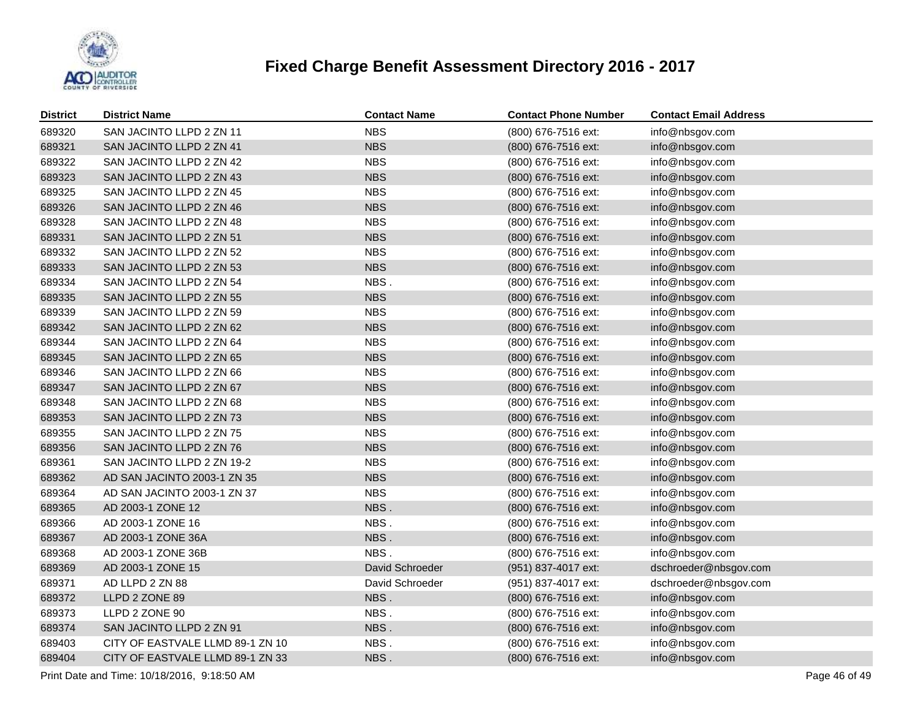

| <b>District</b> | <b>District Name</b>             | <b>Contact Name</b> | <b>Contact Phone Number</b> | <b>Contact Email Address</b> |
|-----------------|----------------------------------|---------------------|-----------------------------|------------------------------|
| 689320          | SAN JACINTO LLPD 2 ZN 11         | <b>NBS</b>          | (800) 676-7516 ext:         | info@nbsgov.com              |
| 689321          | SAN JACINTO LLPD 2 ZN 41         | <b>NBS</b>          | (800) 676-7516 ext:         | info@nbsgov.com              |
| 689322          | SAN JACINTO LLPD 2 ZN 42         | <b>NBS</b>          | (800) 676-7516 ext:         | info@nbsgov.com              |
| 689323          | SAN JACINTO LLPD 2 ZN 43         | <b>NBS</b>          | (800) 676-7516 ext:         | info@nbsgov.com              |
| 689325          | SAN JACINTO LLPD 2 ZN 45         | <b>NBS</b>          | (800) 676-7516 ext:         | info@nbsgov.com              |
| 689326          | SAN JACINTO LLPD 2 ZN 46         | <b>NBS</b>          | (800) 676-7516 ext:         | info@nbsgov.com              |
| 689328          | SAN JACINTO LLPD 2 ZN 48         | <b>NBS</b>          | (800) 676-7516 ext:         | info@nbsgov.com              |
| 689331          | SAN JACINTO LLPD 2 ZN 51         | <b>NBS</b>          | (800) 676-7516 ext:         | info@nbsgov.com              |
| 689332          | SAN JACINTO LLPD 2 ZN 52         | <b>NBS</b>          | (800) 676-7516 ext:         | info@nbsgov.com              |
| 689333          | SAN JACINTO LLPD 2 ZN 53         | <b>NBS</b>          | (800) 676-7516 ext:         | info@nbsgov.com              |
| 689334          | SAN JACINTO LLPD 2 ZN 54         | NBS.                | (800) 676-7516 ext:         | info@nbsgov.com              |
| 689335          | SAN JACINTO LLPD 2 ZN 55         | <b>NBS</b>          | (800) 676-7516 ext:         | info@nbsgov.com              |
| 689339          | SAN JACINTO LLPD 2 ZN 59         | <b>NBS</b>          | (800) 676-7516 ext:         | info@nbsgov.com              |
| 689342          | SAN JACINTO LLPD 2 ZN 62         | <b>NBS</b>          | (800) 676-7516 ext:         | info@nbsgov.com              |
| 689344          | SAN JACINTO LLPD 2 ZN 64         | <b>NBS</b>          | (800) 676-7516 ext:         | info@nbsgov.com              |
| 689345          | SAN JACINTO LLPD 2 ZN 65         | <b>NBS</b>          | (800) 676-7516 ext:         | info@nbsgov.com              |
| 689346          | SAN JACINTO LLPD 2 ZN 66         | <b>NBS</b>          | (800) 676-7516 ext:         | info@nbsgov.com              |
| 689347          | SAN JACINTO LLPD 2 ZN 67         | <b>NBS</b>          | (800) 676-7516 ext:         | info@nbsgov.com              |
| 689348          | SAN JACINTO LLPD 2 ZN 68         | <b>NBS</b>          | (800) 676-7516 ext:         | info@nbsgov.com              |
| 689353          | SAN JACINTO LLPD 2 ZN 73         | <b>NBS</b>          | (800) 676-7516 ext:         | info@nbsgov.com              |
| 689355          | SAN JACINTO LLPD 2 ZN 75         | <b>NBS</b>          | (800) 676-7516 ext:         | info@nbsgov.com              |
| 689356          | SAN JACINTO LLPD 2 ZN 76         | <b>NBS</b>          | (800) 676-7516 ext:         | info@nbsgov.com              |
| 689361          | SAN JACINTO LLPD 2 ZN 19-2       | <b>NBS</b>          | (800) 676-7516 ext:         | info@nbsgov.com              |
| 689362          | AD SAN JACINTO 2003-1 ZN 35      | <b>NBS</b>          | (800) 676-7516 ext:         | info@nbsgov.com              |
| 689364          | AD SAN JACINTO 2003-1 ZN 37      | <b>NBS</b>          | (800) 676-7516 ext:         | info@nbsgov.com              |
| 689365          | AD 2003-1 ZONE 12                | NBS.                | (800) 676-7516 ext:         | info@nbsgov.com              |
| 689366          | AD 2003-1 ZONE 16                | NBS.                | (800) 676-7516 ext:         | info@nbsgov.com              |
| 689367          | AD 2003-1 ZONE 36A               | NBS.                | (800) 676-7516 ext:         | info@nbsgov.com              |
| 689368          | AD 2003-1 ZONE 36B               | NBS.                | (800) 676-7516 ext:         | info@nbsgov.com              |
| 689369          | AD 2003-1 ZONE 15                | David Schroeder     | (951) 837-4017 ext:         | dschroeder@nbsgov.com        |
| 689371          | AD LLPD 2 ZN 88                  | David Schroeder     | (951) 837-4017 ext:         | dschroeder@nbsgov.com        |
| 689372          | LLPD 2 ZONE 89                   | NBS.                | (800) 676-7516 ext:         | info@nbsgov.com              |
| 689373          | LLPD 2 ZONE 90                   | NBS.                | (800) 676-7516 ext:         | info@nbsgov.com              |
| 689374          | SAN JACINTO LLPD 2 ZN 91         | NBS.                | (800) 676-7516 ext:         | info@nbsgov.com              |
| 689403          | CITY OF EASTVALE LLMD 89-1 ZN 10 | NBS.                | (800) 676-7516 ext:         | info@nbsgov.com              |
| 689404          | CITY OF EASTVALE LLMD 89-1 ZN 33 | NBS.                | (800) 676-7516 ext:         | info@nbsgov.com              |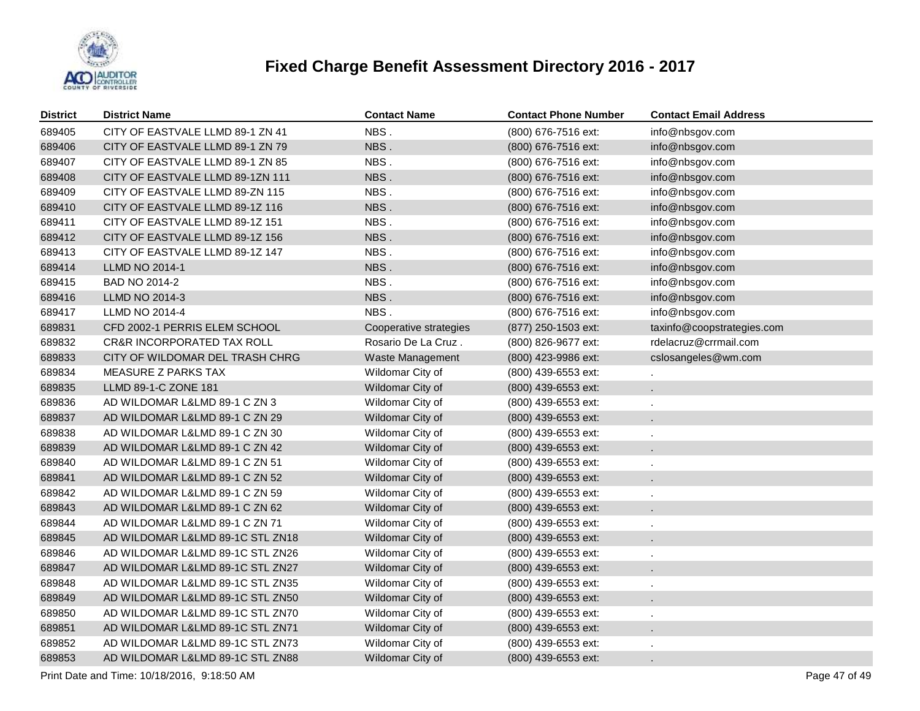

| <b>District</b> | <b>District Name</b>                  | <b>Contact Name</b>    | <b>Contact Phone Number</b> | <b>Contact Email Address</b> |
|-----------------|---------------------------------------|------------------------|-----------------------------|------------------------------|
| 689405          | CITY OF EASTVALE LLMD 89-1 ZN 41      | NBS.                   | (800) 676-7516 ext:         | info@nbsgov.com              |
| 689406          | CITY OF EASTVALE LLMD 89-1 ZN 79      | NBS.                   | (800) 676-7516 ext:         | info@nbsgov.com              |
| 689407          | CITY OF EASTVALE LLMD 89-1 ZN 85      | NBS.                   | (800) 676-7516 ext:         | info@nbsgov.com              |
| 689408          | CITY OF EASTVALE LLMD 89-1ZN 111      | NBS.                   | (800) 676-7516 ext:         | info@nbsgov.com              |
| 689409          | CITY OF EASTVALE LLMD 89-ZN 115       | NBS.                   | (800) 676-7516 ext:         | info@nbsgov.com              |
| 689410          | CITY OF EASTVALE LLMD 89-1Z 116       | NBS.                   | (800) 676-7516 ext:         | info@nbsgov.com              |
| 689411          | CITY OF EASTVALE LLMD 89-1Z 151       | NBS.                   | (800) 676-7516 ext:         | info@nbsgov.com              |
| 689412          | CITY OF EASTVALE LLMD 89-1Z 156       | NBS.                   | (800) 676-7516 ext:         | info@nbsgov.com              |
| 689413          | CITY OF EASTVALE LLMD 89-1Z 147       | NBS.                   | (800) 676-7516 ext:         | info@nbsgov.com              |
| 689414          | <b>LLMD NO 2014-1</b>                 | NBS.                   | (800) 676-7516 ext:         | info@nbsgov.com              |
| 689415          | BAD NO 2014-2                         | NBS.                   | (800) 676-7516 ext:         | info@nbsgov.com              |
| 689416          | LLMD NO 2014-3                        | NBS.                   | (800) 676-7516 ext:         | info@nbsgov.com              |
| 689417          | LLMD NO 2014-4                        | NBS.                   | (800) 676-7516 ext:         | info@nbsgov.com              |
| 689831          | CFD 2002-1 PERRIS ELEM SCHOOL         | Cooperative strategies | (877) 250-1503 ext:         | taxinfo@coopstrategies.com   |
| 689832          | <b>CR&amp;R INCORPORATED TAX ROLL</b> | Rosario De La Cruz.    | (800) 826-9677 ext:         | rdelacruz@crrmail.com        |
| 689833          | CITY OF WILDOMAR DEL TRASH CHRG       | Waste Management       | (800) 423-9986 ext:         | cslosangeles@wm.com          |
| 689834          | <b>MEASURE Z PARKS TAX</b>            | Wildomar City of       | (800) 439-6553 ext:         |                              |
| 689835          | LLMD 89-1-C ZONE 181                  | Wildomar City of       | (800) 439-6553 ext:         | $\mathcal{L}^{\mathcal{L}}$  |
| 689836          | AD WILDOMAR L&LMD 89-1 C ZN 3         | Wildomar City of       | (800) 439-6553 ext:         |                              |
| 689837          | AD WILDOMAR L&LMD 89-1 C ZN 29        | Wildomar City of       | $(800)$ 439-6553 ext:       | $\mathbf{r}$                 |
| 689838          | AD WILDOMAR L&LMD 89-1 C ZN 30        | Wildomar City of       | (800) 439-6553 ext:         |                              |
| 689839          | AD WILDOMAR L&LMD 89-1 C ZN 42        | Wildomar City of       | $(800)$ 439-6553 ext:       | $\mathbf{r}$                 |
| 689840          | AD WILDOMAR L&LMD 89-1 C ZN 51        | Wildomar City of       | (800) 439-6553 ext:         | $\mathbf{r}$                 |
| 689841          | AD WILDOMAR L&LMD 89-1 C ZN 52        | Wildomar City of       | (800) 439-6553 ext:         |                              |
| 689842          | AD WILDOMAR L&LMD 89-1 C ZN 59        | Wildomar City of       | (800) 439-6553 ext:         | $\epsilon$                   |
| 689843          | AD WILDOMAR L&LMD 89-1 C ZN 62        | Wildomar City of       | $(800)$ 439-6553 ext:       | $\mathbf{r}$                 |
| 689844          | AD WILDOMAR L&LMD 89-1 C ZN 71        | Wildomar City of       | (800) 439-6553 ext:         | $\epsilon$                   |
| 689845          | AD WILDOMAR L&LMD 89-1C STL ZN18      | Wildomar City of       | (800) 439-6553 ext:         | $\mathbf{r}$                 |
| 689846          | AD WILDOMAR L&LMD 89-1C STL ZN26      | Wildomar City of       | (800) 439-6553 ext:         | $\epsilon$                   |
| 689847          | AD WILDOMAR L&LMD 89-1C STL ZN27      | Wildomar City of       | (800) 439-6553 ext:         | $\mathbf{r}$                 |
| 689848          | AD WILDOMAR L&LMD 89-1C STL ZN35      | Wildomar City of       | (800) 439-6553 ext:         | $\epsilon$                   |
| 689849          | AD WILDOMAR L&LMD 89-1C STL ZN50      | Wildomar City of       | (800) 439-6553 ext:         | $\mathbf{r}$                 |
| 689850          | AD WILDOMAR L&LMD 89-1C STL ZN70      | Wildomar City of       | (800) 439-6553 ext:         | $\epsilon$                   |
| 689851          | AD WILDOMAR L&LMD 89-1C STL ZN71      | Wildomar City of       | (800) 439-6553 ext:         | $\mathbf{r}$                 |
| 689852          | AD WILDOMAR L&LMD 89-1C STL ZN73      | Wildomar City of       | (800) 439-6553 ext:         |                              |
| 689853          | AD WILDOMAR L&LMD 89-1C STL ZN88      | Wildomar City of       | (800) 439-6553 ext:         |                              |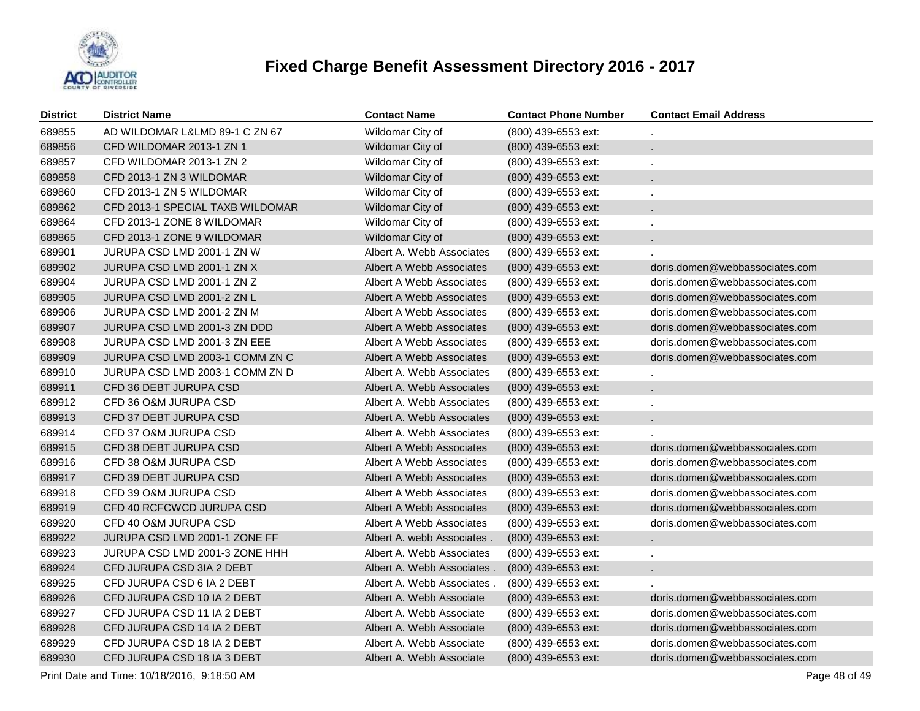

| <b>District</b> | <b>District Name</b>             | <b>Contact Name</b>        | <b>Contact Phone Number</b> | <b>Contact Email Address</b>   |
|-----------------|----------------------------------|----------------------------|-----------------------------|--------------------------------|
| 689855          | AD WILDOMAR L&LMD 89-1 C ZN 67   | Wildomar City of           | (800) 439-6553 ext:         |                                |
| 689856          | CFD WILDOMAR 2013-1 ZN 1         | Wildomar City of           | (800) 439-6553 ext:         | L.                             |
| 689857          | CFD WILDOMAR 2013-1 ZN 2         | Wildomar City of           | (800) 439-6553 ext:         |                                |
| 689858          | CFD 2013-1 ZN 3 WILDOMAR         | Wildomar City of           | (800) 439-6553 ext:         | ÷.                             |
| 689860          | CFD 2013-1 ZN 5 WILDOMAR         | Wildomar City of           | (800) 439-6553 ext:         | ä,                             |
| 689862          | CFD 2013-1 SPECIAL TAXB WILDOMAR | Wildomar City of           | (800) 439-6553 ext:         | ä,                             |
| 689864          | CFD 2013-1 ZONE 8 WILDOMAR       | Wildomar City of           | (800) 439-6553 ext:         | ä,                             |
| 689865          | CFD 2013-1 ZONE 9 WILDOMAR       | Wildomar City of           | (800) 439-6553 ext:         | a.                             |
| 689901          | JURUPA CSD LMD 2001-1 ZN W       | Albert A. Webb Associates  | (800) 439-6553 ext:         |                                |
| 689902          | JURUPA CSD LMD 2001-1 ZN X       | Albert A Webb Associates   | (800) 439-6553 ext:         | doris.domen@webbassociates.com |
| 689904          | JURUPA CSD LMD 2001-1 ZN Z       | Albert A Webb Associates   | (800) 439-6553 ext:         | doris.domen@webbassociates.com |
| 689905          | JURUPA CSD LMD 2001-2 ZN L       | Albert A Webb Associates   | $(800)$ 439-6553 ext:       | doris.domen@webbassociates.com |
| 689906          | JURUPA CSD LMD 2001-2 ZN M       | Albert A Webb Associates   | (800) 439-6553 ext:         | doris.domen@webbassociates.com |
| 689907          | JURUPA CSD LMD 2001-3 ZN DDD     | Albert A Webb Associates   | $(800)$ 439-6553 ext:       | doris.domen@webbassociates.com |
| 689908          | JURUPA CSD LMD 2001-3 ZN EEE     | Albert A Webb Associates   | (800) 439-6553 ext:         | doris.domen@webbassociates.com |
| 689909          | JURUPA CSD LMD 2003-1 COMM ZN C  | Albert A Webb Associates   | $(800)$ 439-6553 ext:       | doris.domen@webbassociates.com |
| 689910          | JURUPA CSD LMD 2003-1 COMM ZN D  | Albert A. Webb Associates  | (800) 439-6553 ext:         |                                |
| 689911          | CFD 36 DEBT JURUPA CSD           | Albert A. Webb Associates  | (800) 439-6553 ext:         |                                |
| 689912          | CFD 36 O&M JURUPA CSD            | Albert A. Webb Associates  | (800) 439-6553 ext:         |                                |
| 689913          | CFD 37 DEBT JURUPA CSD           | Albert A. Webb Associates  | (800) 439-6553 ext:         |                                |
| 689914          | CFD 37 O&M JURUPA CSD            | Albert A. Webb Associates  | (800) 439-6553 ext:         |                                |
| 689915          | CFD 38 DEBT JURUPA CSD           | Albert A Webb Associates   | (800) 439-6553 ext:         | doris.domen@webbassociates.com |
| 689916          | CFD 38 O&M JURUPA CSD            | Albert A Webb Associates   | (800) 439-6553 ext:         | doris.domen@webbassociates.com |
| 689917          | <b>CFD 39 DEBT JURUPA CSD</b>    | Albert A Webb Associates   | (800) 439-6553 ext:         | doris.domen@webbassociates.com |
| 689918          | CFD 39 O&M JURUPA CSD            | Albert A Webb Associates   | (800) 439-6553 ext:         | doris.domen@webbassociates.com |
| 689919          | CFD 40 RCFCWCD JURUPA CSD        | Albert A Webb Associates   | (800) 439-6553 ext:         | doris.domen@webbassociates.com |
| 689920          | CFD 40 O&M JURUPA CSD            | Albert A Webb Associates   | (800) 439-6553 ext:         | doris.domen@webbassociates.com |
| 689922          | JURUPA CSD LMD 2001-1 ZONE FF    | Albert A. webb Associates. | (800) 439-6553 ext:         | L.                             |
| 689923          | JURUPA CSD LMD 2001-3 ZONE HHH   | Albert A. Webb Associates  | (800) 439-6553 ext:         | L.                             |
| 689924          | CFD JURUPA CSD 3IA 2 DEBT        | Albert A. Webb Associates. | (800) 439-6553 ext:         | a.                             |
| 689925          | CFD JURUPA CSD 6 IA 2 DEBT       | Albert A. Webb Associates. | (800) 439-6553 ext:         |                                |
| 689926          | CFD JURUPA CSD 10 IA 2 DEBT      | Albert A. Webb Associate   | (800) 439-6553 ext:         | doris.domen@webbassociates.com |
| 689927          | CFD JURUPA CSD 11 IA 2 DEBT      | Albert A. Webb Associate   | (800) 439-6553 ext:         | doris.domen@webbassociates.com |
| 689928          | CFD JURUPA CSD 14 IA 2 DEBT      | Albert A. Webb Associate   | (800) 439-6553 ext:         | doris.domen@webbassociates.com |
| 689929          | CFD JURUPA CSD 18 IA 2 DEBT      | Albert A. Webb Associate   | (800) 439-6553 ext:         | doris.domen@webbassociates.com |
| 689930          | CFD JURUPA CSD 18 IA 3 DEBT      | Albert A. Webb Associate   | (800) 439-6553 ext:         | doris.domen@webbassociates.com |